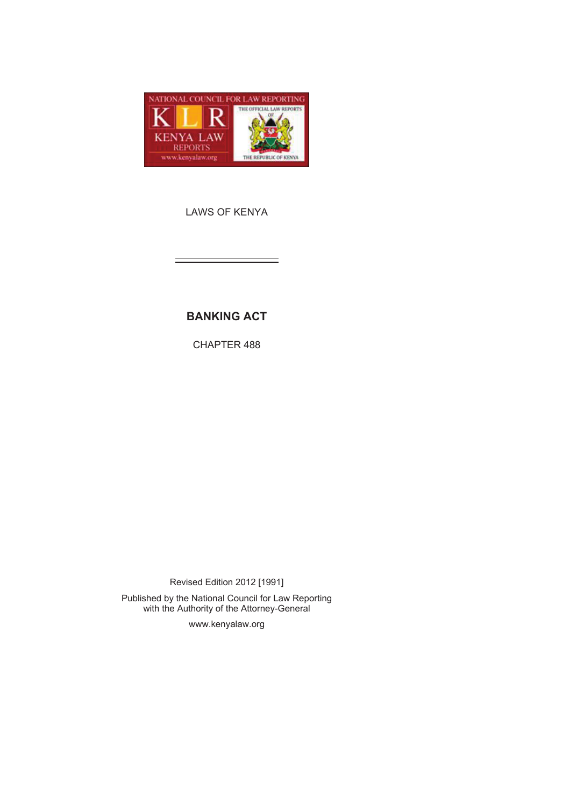

LAWS OF KENYA

# **BANKING ACT**

CHAPTER 488

Revised Edition 2012 [1991] Published by the National Council for Law Reporting with the Authority of the Attorney-General

www.kenyalaw.org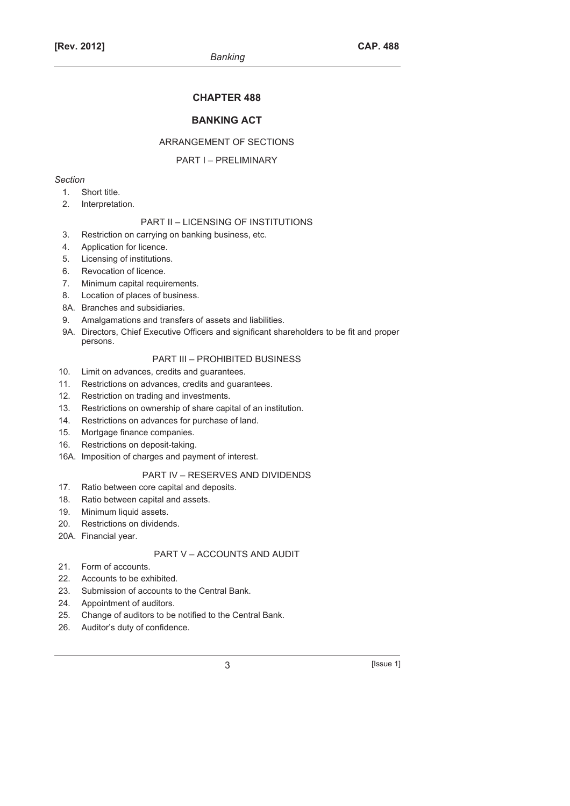### **CHAPTER 488**

# **BANKING ACT**

#### ARRANGEMENT OF SECTIONS

#### PART I – PRELIMINARY

#### *Section*

- 1. Short title.
- 2. Interpretation.

#### PART II – LICENSING OF INSTITUTIONS

- 3. Restriction on carrying on banking business, etc.
- 4. Application for licence.
- 5. Licensing of institutions.
- 6. Revocation of licence.
- 7. Minimum capital requirements.
- 8. Location of places of business.
- 8A. Branches and subsidiaries.
- 9. Amalgamations and transfers of assets and liabilities.
- 9A. Directors, Chief Executive Officers and significant shareholders to be fit and proper persons.

# PART III – PROHIBITED BUSINESS

- 10. Limit on advances, credits and guarantees.
- 11. Restrictions on advances, credits and guarantees.
- 12. Restriction on trading and investments.
- 13. Restrictions on ownership of share capital of an institution.
- 14. Restrictions on advances for purchase of land.
- 15. Mortgage finance companies.
- 16. Restrictions on deposit-taking.
- 16A. Imposition of charges and payment of interest.

### PART IV – RESERVES AND DIVIDENDS

- 17. Ratio between core capital and deposits.
- 18. Ratio between capital and assets.
- 19. Minimum liquid assets.
- 20. Restrictions on dividends.
- 20A. Financial year.

# PART V – ACCOUNTS AND AUDIT

- 21. Form of accounts.
- 22. Accounts to be exhibited.
- 23. Submission of accounts to the Central Bank.
- 24. Appointment of auditors.
- 25. Change of auditors to be notified to the Central Bank.
- 26. Auditor's duty of confidence.

3 [Issue 1]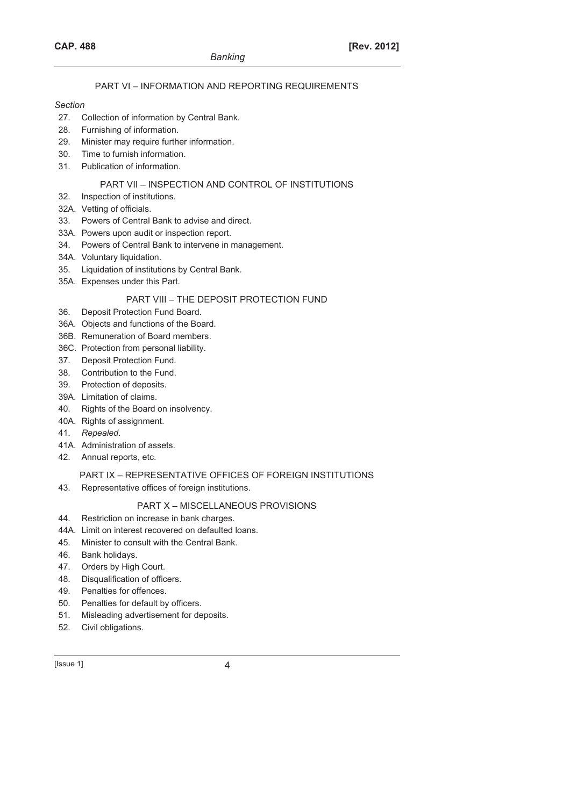# PART VI – INFORMATION AND REPORTING REQUIREMENTS

#### *Section*

- 27. Collection of information by Central Bank.
- 28. Furnishing of information.
- 29. Minister may require further information.
- 30. Time to furnish information.
- 31. Publication of information.

### PART VII – INSPECTION AND CONTROL OF INSTITUTIONS

- 32. Inspection of institutions.
- 32A. Vetting of officials.
- 33. Powers of Central Bank to advise and direct.
- 33A. Powers upon audit or inspection report.
- 34. Powers of Central Bank to intervene in management.
- 34A. Voluntary liquidation.
- 35. Liquidation of institutions by Central Bank.
- 35A. Expenses under this Part.

# PART VIII – THE DEPOSIT PROTECTION FUND

- 36. Deposit Protection Fund Board.
- 36A. Objects and functions of the Board.
- 36B. Remuneration of Board members.
- 36C. Protection from personal liability.
- 37. Deposit Protection Fund.
- 38. Contribution to the Fund.
- 39. Protection of deposits.
- 39A. Limitation of claims.
- 40. Rights of the Board on insolvency.
- 40A. Rights of assignment.
- 41. *Repealed*.
- 41A. Administration of assets.
- 42. Annual reports, etc.

### PART IX – REPRESENTATIVE OFFICES OF FOREIGN INSTITUTIONS

43. Representative offices of foreign institutions.

# PART X – MISCELLANEOUS PROVISIONS

- 44. Restriction on increase in bank charges.
- 44A. Limit on interest recovered on defaulted loans.
- 45. Minister to consult with the Central Bank.
- 46. Bank holidays.
- 47. Orders by High Court.
- 48. Disqualification of officers.
- 49. Penalties for offences.
- 50. Penalties for default by officers.
- 51. Misleading advertisement for deposits.
- 52. Civil obligations.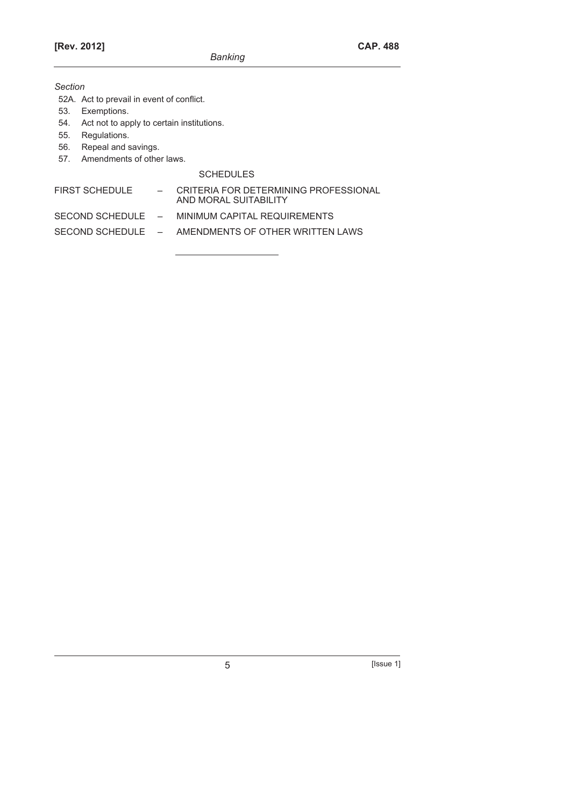*Section* 

- 52A. Act to prevail in event of conflict.
- 53. Exemptions.
- 54. Act not to apply to certain institutions.
- 55. Regulations.
- 56. Repeal and savings.
- 57. Amendments of other laws.

# SCHEDULES

| FIRST SCHEDULE    | CRITERIA FOR DETERMINING PROFESSIONAL<br>AND MORAL SUITABILITY |
|-------------------|----------------------------------------------------------------|
| SECOND SCHEDULE – | MINIMUM CAPITAL REQUIREMENTS                                   |

SECOND SCHEDULE – AMENDMENTS OF OTHER WRITTEN LAWS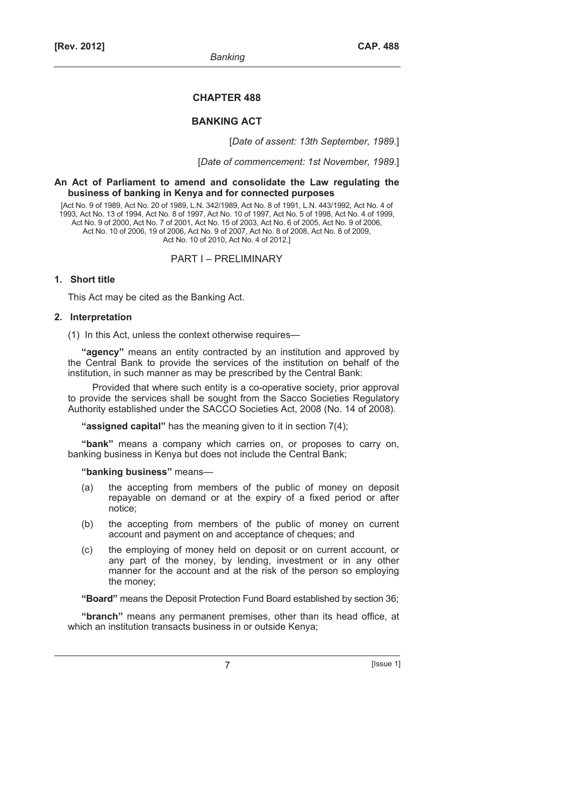#### **CHAPTER 488**

### **BANKING ACT**

[*Date of assent: 13th September, 1989*.]

[*Date of commencement: 1st November, 1989*.]

#### **An Act of Parliament to amend and consolidate the Law regulating the business of banking in Kenya and for connected purposes**

[Act No. 9 of 1989, Act No. 20 of 1989, L.N. 342/1989, Act No. 8 of 1991, L.N. 443/1992, Act No. 4 of 1993, Act No. 13 of 1994, Act No. 8 of 1997, Act No. 10 of 1997, Act No. 5 of 1998, Act No. 4 of 1999, Act No. 9 of 2000, Act No. 7 of 2001, Act No. 15 of 2003, Act No. 6 of 2005, Act No. 9 of 2006, Act No. 10 of 2006, 19 of 2006, Act No. 9 of 2007, Act No. 8 of 2008, Act No. 8 of 2009, Act No. 10 of 2010, Act No. 4 of 2012.]

#### PART I – PRELIMINARY

#### **1. Short title**

This Act may be cited as the Banking Act.

#### **2. Interpretation**

(1) In this Act, unless the context otherwise requires—

**"agency"** means an entity contracted by an institution and approved by the Central Bank to provide the services of the institution on behalf of the institution, in such manner as may be prescribed by the Central Bank:

Provided that where such entity is a co-operative society, prior approval to provide the services shall be sought from the Sacco Societies Regulatory Authority established under the SACCO Societies Act, 2008 (No. 14 of 2008).

**"assigned capital"** has the meaning given to it in section 7(4);

**"bank"** means a company which carries on, or proposes to carry on, banking business in Kenya but does not include the Central Bank;

#### **"banking business"** means—

- (a) the accepting from members of the public of money on deposit repayable on demand or at the expiry of a fixed period or after notice;
- (b) the accepting from members of the public of money on current account and payment on and acceptance of cheques; and
- (c) the employing of money held on deposit or on current account, or any part of the money, by lending, investment or in any other manner for the account and at the risk of the person so employing the money;

**"Board"** means the Deposit Protection Fund Board established by section 36;

**"branch"** means any permanent premises, other than its head office, at which an institution transacts business in or outside Kenya;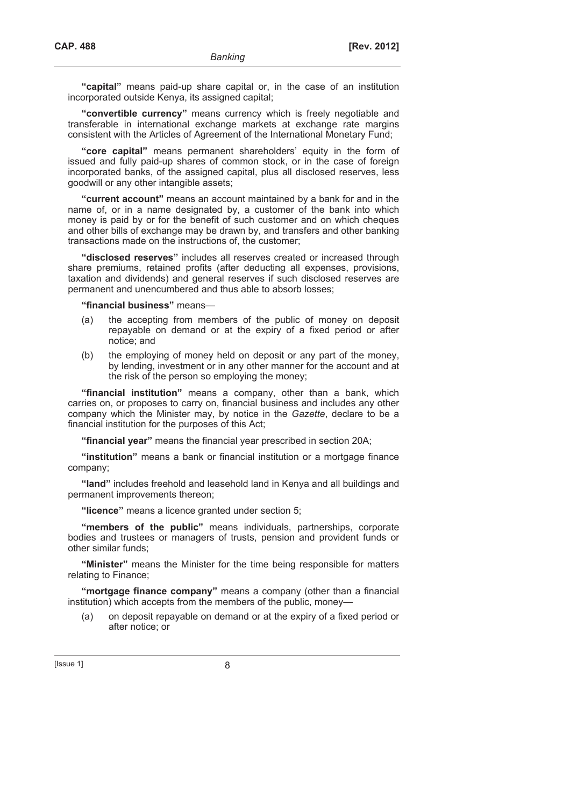**"capital"** means paid-up share capital or, in the case of an institution incorporated outside Kenya, its assigned capital;

**"convertible currency"** means currency which is freely negotiable and transferable in international exchange markets at exchange rate margins consistent with the Articles of Agreement of the International Monetary Fund;

**"core capital"** means permanent shareholders' equity in the form of issued and fully paid-up shares of common stock, or in the case of foreign incorporated banks, of the assigned capital, plus all disclosed reserves, less goodwill or any other intangible assets;

**"current account"** means an account maintained by a bank for and in the name of, or in a name designated by, a customer of the bank into which money is paid by or for the benefit of such customer and on which cheques and other bills of exchange may be drawn by, and transfers and other banking transactions made on the instructions of, the customer;

**"disclosed reserves"** includes all reserves created or increased through share premiums, retained profits (after deducting all expenses, provisions, taxation and dividends) and general reserves if such disclosed reserves are permanent and unencumbered and thus able to absorb losses;

#### **"financial business"** means—

- (a) the accepting from members of the public of money on deposit repayable on demand or at the expiry of a fixed period or after notice; and
- (b) the employing of money held on deposit or any part of the money, by lending, investment or in any other manner for the account and at the risk of the person so employing the money;

**"financial institution"** means a company, other than a bank, which carries on, or proposes to carry on, financial business and includes any other company which the Minister may, by notice in the *Gazette*, declare to be a financial institution for the purposes of this Act;

**"financial year"** means the financial year prescribed in section 20A;

**"institution"** means a bank or financial institution or a mortgage finance company;

**"land"** includes freehold and leasehold land in Kenya and all buildings and permanent improvements thereon;

**"licence"** means a licence granted under section 5;

**"members of the public"** means individuals, partnerships, corporate bodies and trustees or managers of trusts, pension and provident funds or other similar funds;

**"Minister"** means the Minister for the time being responsible for matters relating to Finance;

**"mortgage finance company"** means a company (other than a financial institution) which accepts from the members of the public, money—

 (a) on deposit repayable on demand or at the expiry of a fixed period or after notice; or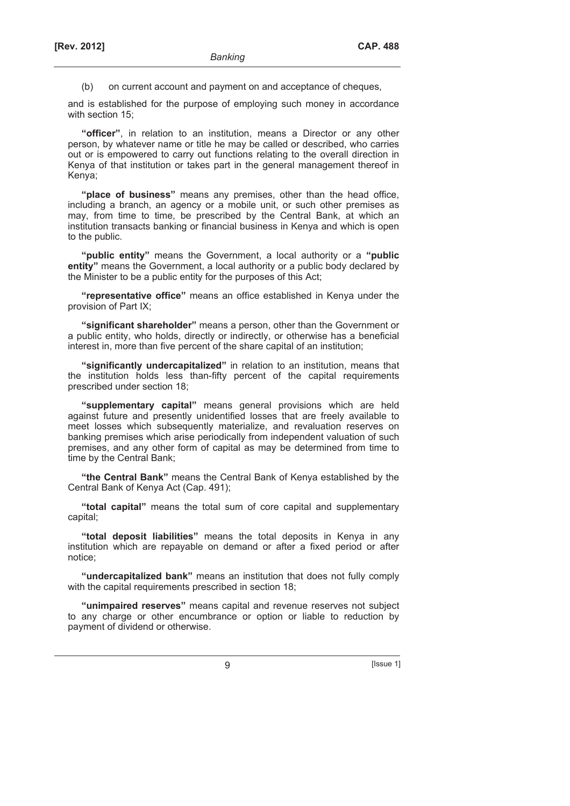(b) on current account and payment on and acceptance of cheques,

and is established for the purpose of employing such money in accordance with section 15;

**"officer"**, in relation to an institution, means a Director or any other person, by whatever name or title he may be called or described, who carries out or is empowered to carry out functions relating to the overall direction in Kenya of that institution or takes part in the general management thereof in Kenya;

**"place of business"** means any premises, other than the head office, including a branch, an agency or a mobile unit, or such other premises as may, from time to time, be prescribed by the Central Bank, at which an institution transacts banking or financial business in Kenya and which is open to the public.

**"public entity"** means the Government, a local authority or a **"public entity"** means the Government, a local authority or a public body declared by the Minister to be a public entity for the purposes of this Act;

**"representative office"** means an office established in Kenya under the provision of Part IX;

**"significant shareholder"** means a person, other than the Government or a public entity, who holds, directly or indirectly, or otherwise has a beneficial interest in, more than five percent of the share capital of an institution;

**"significantly undercapitalized"** in relation to an institution, means that the institution holds less than-fifty percent of the capital requirements prescribed under section 18;

**"supplementary capital"** means general provisions which are held against future and presently unidentified losses that are freely available to meet losses which subsequently materialize, and revaluation reserves on banking premises which arise periodically from independent valuation of such premises, and any other form of capital as may be determined from time to time by the Central Bank;

**"the Central Bank"** means the Central Bank of Kenya established by the Central Bank of Kenya Act (Cap. 491);

**"total capital"** means the total sum of core capital and supplementary capital;

**"total deposit liabilities"** means the total deposits in Kenya in any institution which are repayable on demand or after a fixed period or after notice;

**"undercapitalized bank"** means an institution that does not fully comply with the capital requirements prescribed in section 18;

**"unimpaired reserves"** means capital and revenue reserves not subject to any charge or other encumbrance or option or liable to reduction by payment of dividend or otherwise.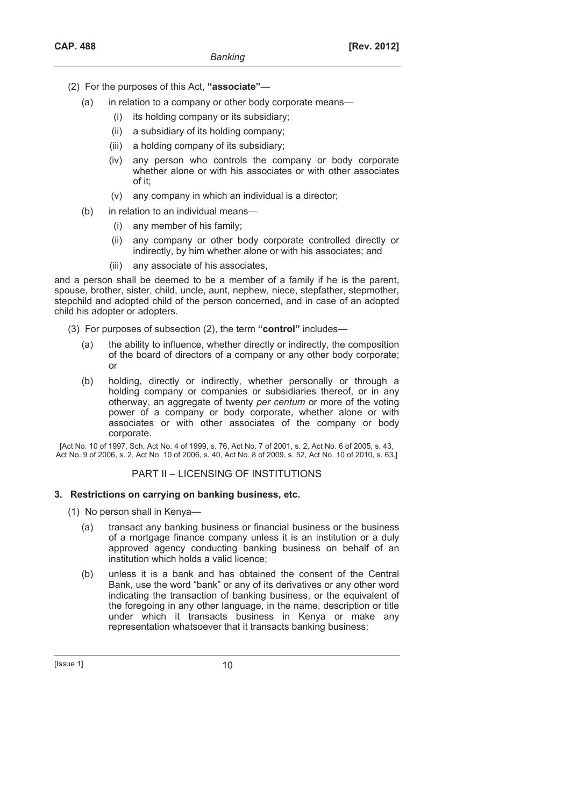- (2) For the purposes of this Act, **"associate"**
	- (a) in relation to a company or other body corporate means—
		- (i) its holding company or its subsidiary;
		- (ii) a subsidiary of its holding company;
		- (iii) a holding company of its subsidiary;
		- (iv) any person who controls the company or body corporate whether alone or with his associates or with other associates of it;
		- (v) any company in which an individual is a director;
	- (b) in relation to an individual means—
		- (i) any member of his family;
		- (ii) any company or other body corporate controlled directly or indirectly, by him whether alone or with his associates; and
		- (iii) any associate of his associates,

and a person shall be deemed to be a member of a family if he is the parent, spouse, brother, sister, child, uncle, aunt, nephew, niece, stepfather, stepmother, stepchild and adopted child of the person concerned, and in case of an adopted child his adopter or adopters.

- (3) For purposes of subsection (2), the term **"control"** includes—
	- (a) the ability to influence, whether directly or indirectly, the composition of the board of directors of a company or any other body corporate; or
	- (b) holding, directly or indirectly, whether personally or through a holding company or companies or subsidiaries thereof, or in any otherway, an aggregate of twenty *per centum* or more of the voting power of a company or body corporate, whether alone or with associates or with other associates of the company or body corporate.

[Act No. 10 of 1997, Sch. Act No. 4 of 1999, s. 76, Act No. 7 of 2001, s. 2, Act No. 6 of 2005, s. 43, Act No. 9 of 2006, s. 2, Act No. 10 of 2006, s. 40, Act No. 8 of 2009, s. 52, Act No. 10 of 2010, s. 63.]

# PART II – LICENSING OF INSTITUTIONS

### **3. Restrictions on carrying on banking business, etc.**

(1) No person shall in Kenya—

- (a) transact any banking business or financial business or the business of a mortgage finance company unless it is an institution or a duly approved agency conducting banking business on behalf of an institution which holds a valid licence;
- (b) unless it is a bank and has obtained the consent of the Central Bank, use the word "bank" or any of its derivatives or any other word indicating the transaction of banking business, or the equivalent of the foregoing in any other language, in the name, description or title under which it transacts business in Kenya or make any representation whatsoever that it transacts banking business;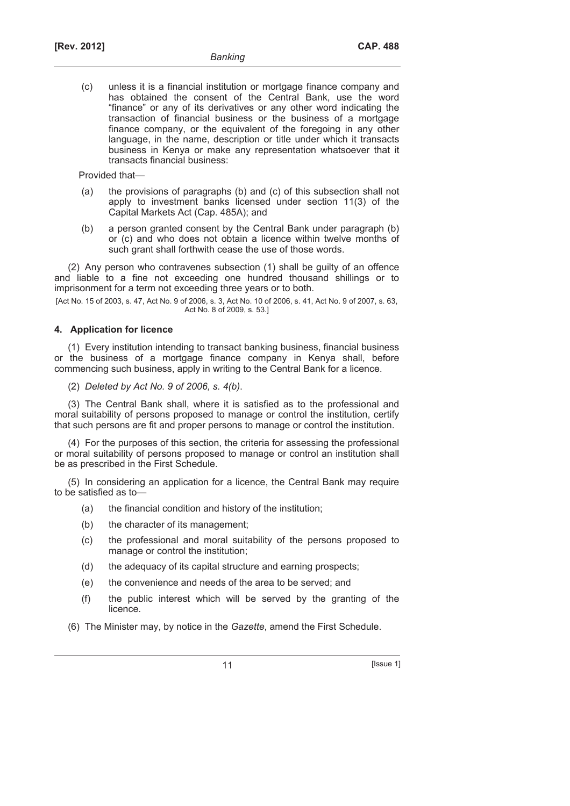(c) unless it is a financial institution or mortgage finance company and has obtained the consent of the Central Bank, use the word "finance" or any of its derivatives or any other word indicating the transaction of financial business or the business of a mortgage finance company, or the equivalent of the foregoing in any other language, in the name, description or title under which it transacts business in Kenya or make any representation whatsoever that it transacts financial business:

Provided that—

- (a) the provisions of paragraphs (b) and (c) of this subsection shall not apply to investment banks licensed under section 11(3) of the Capital Markets Act (Cap. 485A); and
- (b) a person granted consent by the Central Bank under paragraph (b) or (c) and who does not obtain a licence within twelve months of such grant shall forthwith cease the use of those words.

(2) Any person who contravenes subsection (1) shall be guilty of an offence and liable to a fine not exceeding one hundred thousand shillings or to imprisonment for a term not exceeding three years or to both.

[Act No. 15 of 2003, s. 47, Act No. 9 of 2006, s. 3, Act No. 10 of 2006, s. 41, Act No. 9 of 2007, s. 63, Act No. 8 of 2009, s. 53.]

### **4. Application for licence**

(1) Every institution intending to transact banking business, financial business or the business of a mortgage finance company in Kenya shall, before commencing such business, apply in writing to the Central Bank for a licence.

(2) *Deleted by Act No. 9 of 2006, s. 4(b)*.

(3) The Central Bank shall, where it is satisfied as to the professional and moral suitability of persons proposed to manage or control the institution, certify that such persons are fit and proper persons to manage or control the institution.

(4) For the purposes of this section, the criteria for assessing the professional or moral suitability of persons proposed to manage or control an institution shall be as prescribed in the First Schedule.

(5) In considering an application for a licence, the Central Bank may require to be satisfied as to-

- (a) the financial condition and history of the institution;
- (b) the character of its management;
- (c) the professional and moral suitability of the persons proposed to manage or control the institution;
- (d) the adequacy of its capital structure and earning prospects;
- (e) the convenience and needs of the area to be served; and
- (f) the public interest which will be served by the granting of the licence.
- (6) The Minister may, by notice in the *Gazette*, amend the First Schedule.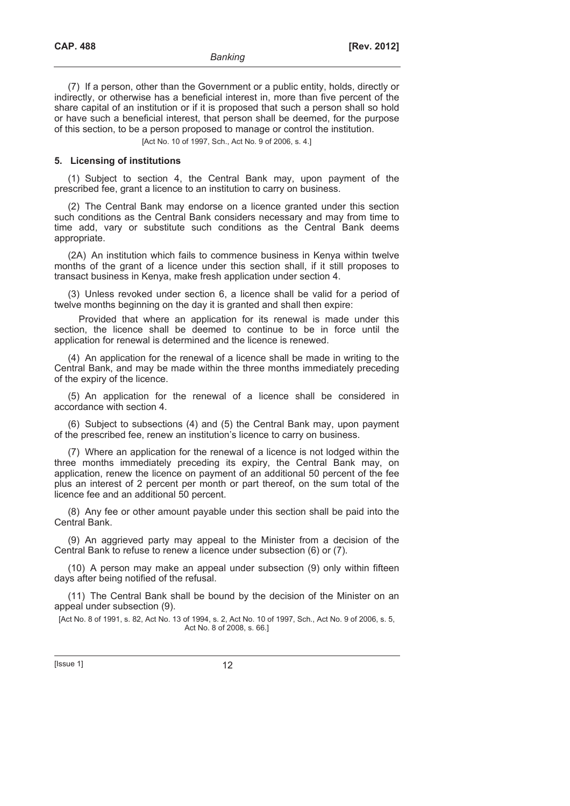(7) If a person, other than the Government or a public entity, holds, directly or indirectly, or otherwise has a beneficial interest in, more than five percent of the share capital of an institution or if it is proposed that such a person shall so hold or have such a beneficial interest, that person shall be deemed, for the purpose of this section, to be a person proposed to manage or control the institution.

[Act No. 10 of 1997, Sch., Act No. 9 of 2006, s. 4.]

#### **5. Licensing of institutions**

(1) Subject to section 4, the Central Bank may, upon payment of the prescribed fee, grant a licence to an institution to carry on business.

(2) The Central Bank may endorse on a licence granted under this section such conditions as the Central Bank considers necessary and may from time to time add, vary or substitute such conditions as the Central Bank deems appropriate.

(2A) An institution which fails to commence business in Kenya within twelve months of the grant of a licence under this section shall, if it still proposes to transact business in Kenya, make fresh application under section 4.

(3) Unless revoked under section 6, a licence shall be valid for a period of twelve months beginning on the day it is granted and shall then expire:

Provided that where an application for its renewal is made under this section, the licence shall be deemed to continue to be in force until the application for renewal is determined and the licence is renewed.

(4) An application for the renewal of a licence shall be made in writing to the Central Bank, and may be made within the three months immediately preceding of the expiry of the licence.

(5) An application for the renewal of a licence shall be considered in accordance with section 4.

(6) Subject to subsections (4) and (5) the Central Bank may, upon payment of the prescribed fee, renew an institution's licence to carry on business.

(7) Where an application for the renewal of a licence is not lodged within the three months immediately preceding its expiry, the Central Bank may, on application, renew the licence on payment of an additional 50 percent of the fee plus an interest of 2 percent per month or part thereof, on the sum total of the licence fee and an additional 50 percent.

(8) Any fee or other amount payable under this section shall be paid into the Central Bank.

(9) An aggrieved party may appeal to the Minister from a decision of the Central Bank to refuse to renew a licence under subsection (6) or (7).

(10) A person may make an appeal under subsection (9) only within fifteen days after being notified of the refusal.

(11) The Central Bank shall be bound by the decision of the Minister on an appeal under subsection (9).

[Act No. 8 of 1991, s. 82, Act No. 13 of 1994, s. 2, Act No. 10 of 1997, Sch., Act No. 9 of 2006, s. 5, Act No. 8 of 2008, s. 66.]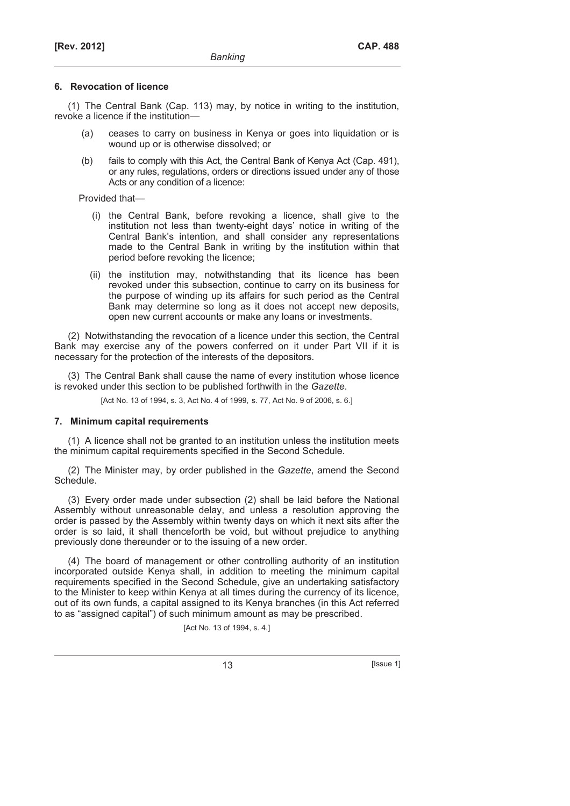#### **6. Revocation of licence**

(1) The Central Bank (Cap. 113) may, by notice in writing to the institution, revoke a licence if the institution—

- (a) ceases to carry on business in Kenya or goes into liquidation or is wound up or is otherwise dissolved; or
- (b) fails to comply with this Act, the Central Bank of Kenya Act (Cap. 491), or any rules, regulations, orders or directions issued under any of those Acts or any condition of a licence:

Provided that—

- (i) the Central Bank, before revoking a licence, shall give to the institution not less than twenty-eight days' notice in writing of the Central Bank's intention, and shall consider any representations made to the Central Bank in writing by the institution within that period before revoking the licence;
- (ii) the institution may, notwithstanding that its licence has been revoked under this subsection, continue to carry on its business for the purpose of winding up its affairs for such period as the Central Bank may determine so long as it does not accept new deposits, open new current accounts or make any loans or investments.

(2) Notwithstanding the revocation of a licence under this section, the Central Bank may exercise any of the powers conferred on it under Part VII if it is necessary for the protection of the interests of the depositors.

(3) The Central Bank shall cause the name of every institution whose licence is revoked under this section to be published forthwith in the *Gazette*.

[Act No. 13 of 1994, s. 3, Act No. 4 of 1999, s. 77, Act No. 9 of 2006, s. 6.]

#### **7. Minimum capital requirements**

(1) A licence shall not be granted to an institution unless the institution meets the minimum capital requirements specified in the Second Schedule.

(2) The Minister may, by order published in the *Gazette*, amend the Second Schedule.

(3) Every order made under subsection (2) shall be laid before the National Assembly without unreasonable delay, and unless a resolution approving the order is passed by the Assembly within twenty days on which it next sits after the order is so laid, it shall thenceforth be void, but without prejudice to anything previously done thereunder or to the issuing of a new order.

(4) The board of management or other controlling authority of an institution incorporated outside Kenya shall, in addition to meeting the minimum capital requirements specified in the Second Schedule, give an undertaking satisfactory to the Minister to keep within Kenya at all times during the currency of its licence, out of its own funds, a capital assigned to its Kenya branches (in this Act referred to as "assigned capital") of such minimum amount as may be prescribed.

[Act No. 13 of 1994, s. 4.]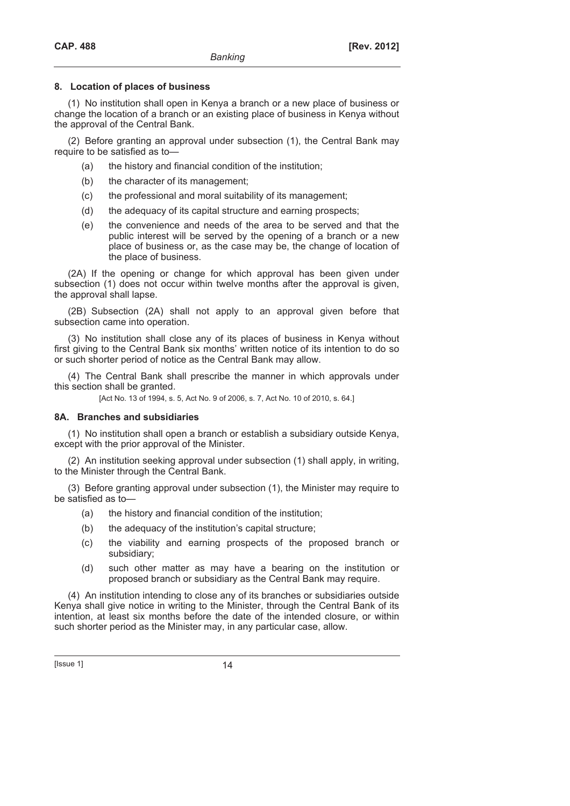### **8. Location of places of business**

(1) No institution shall open in Kenya a branch or a new place of business or change the location of a branch or an existing place of business in Kenya without the approval of the Central Bank.

(2) Before granting an approval under subsection (1), the Central Bank may require to be satisfied as to—

- (a) the history and financial condition of the institution;
- (b) the character of its management;
- (c) the professional and moral suitability of its management;
- (d) the adequacy of its capital structure and earning prospects;
- (e) the convenience and needs of the area to be served and that the public interest will be served by the opening of a branch or a new place of business or, as the case may be, the change of location of the place of business.

(2A) If the opening or change for which approval has been given under subsection (1) does not occur within twelve months after the approval is given, the approval shall lapse.

(2B) Subsection (2A) shall not apply to an approval given before that subsection came into operation.

(3) No institution shall close any of its places of business in Kenya without first giving to the Central Bank six months' written notice of its intention to do so or such shorter period of notice as the Central Bank may allow.

(4) The Central Bank shall prescribe the manner in which approvals under this section shall be granted.

[Act No. 13 of 1994, s. 5, Act No. 9 of 2006, s. 7, Act No. 10 of 2010, s. 64.]

### **8A. Branches and subsidiaries**

(1) No institution shall open a branch or establish a subsidiary outside Kenya, except with the prior approval of the Minister.

(2) An institution seeking approval under subsection (1) shall apply, in writing, to the Minister through the Central Bank.

(3) Before granting approval under subsection (1), the Minister may require to be satisfied as to—

- (a) the history and financial condition of the institution;
- (b) the adequacy of the institution's capital structure;
- (c) the viability and earning prospects of the proposed branch or subsidiary;
- (d) such other matter as may have a bearing on the institution or proposed branch or subsidiary as the Central Bank may require.

(4) An institution intending to close any of its branches or subsidiaries outside Kenya shall give notice in writing to the Minister, through the Central Bank of its intention, at least six months before the date of the intended closure, or within such shorter period as the Minister may, in any particular case, allow.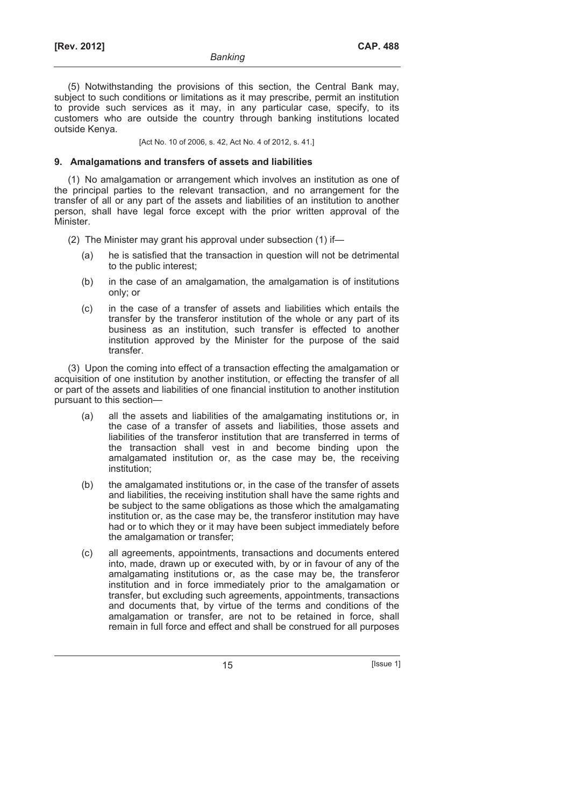(5) Notwithstanding the provisions of this section, the Central Bank may, subject to such conditions or limitations as it may prescribe, permit an institution to provide such services as it may, in any particular case, specify, to its customers who are outside the country through banking institutions located outside Kenya.

[Act No. 10 of 2006, s. 42, Act No. 4 of 2012, s. 41.]

#### **9. Amalgamations and transfers of assets and liabilities**

(1) No amalgamation or arrangement which involves an institution as one of the principal parties to the relevant transaction, and no arrangement for the transfer of all or any part of the assets and liabilities of an institution to another person, shall have legal force except with the prior written approval of the Minister.

- (2) The Minister may grant his approval under subsection (1) if—
	- (a) he is satisfied that the transaction in question will not be detrimental to the public interest;
	- (b) in the case of an amalgamation, the amalgamation is of institutions only; or
	- (c) in the case of a transfer of assets and liabilities which entails the transfer by the transferor institution of the whole or any part of its business as an institution, such transfer is effected to another institution approved by the Minister for the purpose of the said transfer.

(3) Upon the coming into effect of a transaction effecting the amalgamation or acquisition of one institution by another institution, or effecting the transfer of all or part of the assets and liabilities of one financial institution to another institution pursuant to this section—

- (a) all the assets and liabilities of the amalgamating institutions or, in the case of a transfer of assets and liabilities, those assets and liabilities of the transferor institution that are transferred in terms of the transaction shall vest in and become binding upon the amalgamated institution or, as the case may be, the receiving institution;
- (b) the amalgamated institutions or, in the case of the transfer of assets and liabilities, the receiving institution shall have the same rights and be subject to the same obligations as those which the amalgamating institution or, as the case may be, the transferor institution may have had or to which they or it may have been subject immediately before the amalgamation or transfer;
- (c) all agreements, appointments, transactions and documents entered into, made, drawn up or executed with, by or in favour of any of the amalgamating institutions or, as the case may be, the transferor institution and in force immediately prior to the amalgamation or transfer, but excluding such agreements, appointments, transactions and documents that, by virtue of the terms and conditions of the amalgamation or transfer, are not to be retained in force, shall remain in full force and effect and shall be construed for all purposes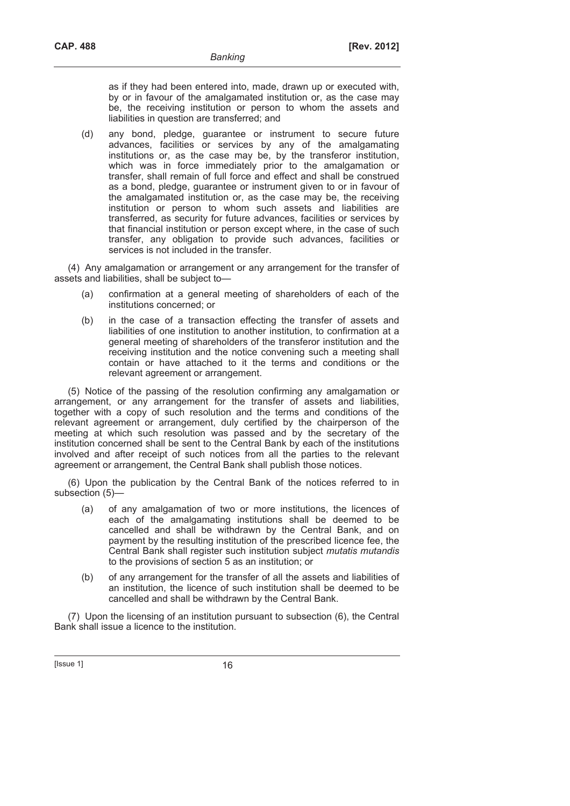as if they had been entered into, made, drawn up or executed with, by or in favour of the amalgamated institution or, as the case may be, the receiving institution or person to whom the assets and liabilities in question are transferred; and

 (d) any bond, pledge, guarantee or instrument to secure future advances, facilities or services by any of the amalgamating institutions or, as the case may be, by the transferor institution, which was in force immediately prior to the amalgamation or transfer, shall remain of full force and effect and shall be construed as a bond, pledge, guarantee or instrument given to or in favour of the amalgamated institution or, as the case may be, the receiving institution or person to whom such assets and liabilities are transferred, as security for future advances, facilities or services by that financial institution or person except where, in the case of such transfer, any obligation to provide such advances, facilities or services is not included in the transfer.

(4) Any amalgamation or arrangement or any arrangement for the transfer of assets and liabilities, shall be subject to—

- (a) confirmation at a general meeting of shareholders of each of the institutions concerned; or
- (b) in the case of a transaction effecting the transfer of assets and liabilities of one institution to another institution, to confirmation at a general meeting of shareholders of the transferor institution and the receiving institution and the notice convening such a meeting shall contain or have attached to it the terms and conditions or the relevant agreement or arrangement.

(5) Notice of the passing of the resolution confirming any amalgamation or arrangement, or any arrangement for the transfer of assets and liabilities, together with a copy of such resolution and the terms and conditions of the relevant agreement or arrangement, duly certified by the chairperson of the meeting at which such resolution was passed and by the secretary of the institution concerned shall be sent to the Central Bank by each of the institutions involved and after receipt of such notices from all the parties to the relevant agreement or arrangement, the Central Bank shall publish those notices.

(6) Upon the publication by the Central Bank of the notices referred to in subsection (5)—

- (a) of any amalgamation of two or more institutions, the licences of each of the amalgamating institutions shall be deemed to be cancelled and shall be withdrawn by the Central Bank, and on payment by the resulting institution of the prescribed licence fee, the Central Bank shall register such institution subject *mutatis mutandis*  to the provisions of section 5 as an institution; or
- (b) of any arrangement for the transfer of all the assets and liabilities of an institution, the licence of such institution shall be deemed to be cancelled and shall be withdrawn by the Central Bank.

(7) Upon the licensing of an institution pursuant to subsection (6), the Central Bank shall issue a licence to the institution.

 $[|$ Ssue 1 $]$  16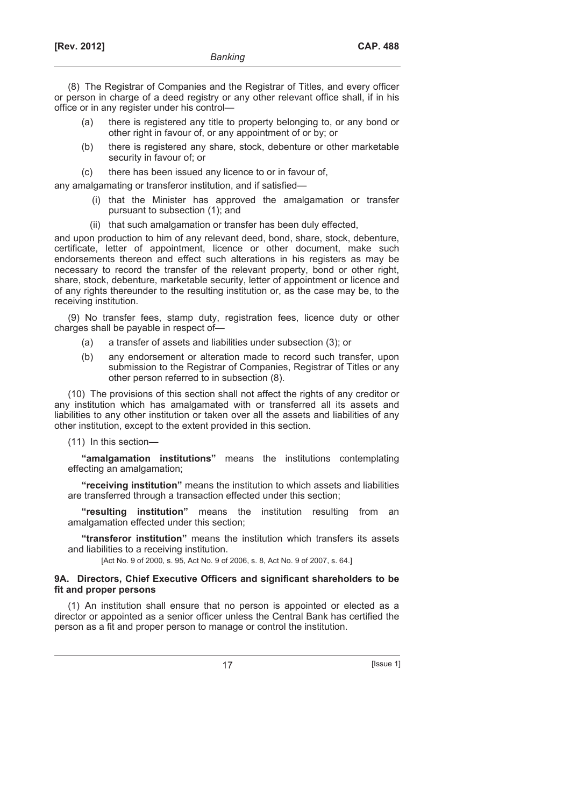(8) The Registrar of Companies and the Registrar of Titles, and every officer or person in charge of a deed registry or any other relevant office shall, if in his office or in any register under his control—

- (a) there is registered any title to property belonging to, or any bond or other right in favour of, or any appointment of or by; or
- (b) there is registered any share, stock, debenture or other marketable security in favour of; or
- (c) there has been issued any licence to or in favour of,

any amalgamating or transferor institution, and if satisfied—

- (i) that the Minister has approved the amalgamation or transfer pursuant to subsection (1); and
- (ii) that such amalgamation or transfer has been duly effected,

and upon production to him of any relevant deed, bond, share, stock, debenture, certificate, letter of appointment, licence or other document, make such endorsements thereon and effect such alterations in his registers as may be necessary to record the transfer of the relevant property, bond or other right, share, stock, debenture, marketable security, letter of appointment or licence and of any rights thereunder to the resulting institution or, as the case may be, to the receiving institution.

(9) No transfer fees, stamp duty, registration fees, licence duty or other charges shall be payable in respect of—

- (a) a transfer of assets and liabilities under subsection (3); or
- (b) any endorsement or alteration made to record such transfer, upon submission to the Registrar of Companies, Registrar of Titles or any other person referred to in subsection (8).

(10) The provisions of this section shall not affect the rights of any creditor or any institution which has amalgamated with or transferred all its assets and liabilities to any other institution or taken over all the assets and liabilities of any other institution, except to the extent provided in this section.

(11) In this section—

**"amalgamation institutions"** means the institutions contemplating effecting an amalgamation;

**"receiving institution"** means the institution to which assets and liabilities are transferred through a transaction effected under this section;

**"resulting institution"** means the institution resulting from an amalgamation effected under this section;

**"transferor institution"** means the institution which transfers its assets and liabilities to a receiving institution.

[Act No. 9 of 2000, s. 95, Act No. 9 of 2006, s. 8, Act No. 9 of 2007, s. 64.]

### **9A. Directors, Chief Executive Officers and significant shareholders to be fit and proper persons**

(1) An institution shall ensure that no person is appointed or elected as a director or appointed as a senior officer unless the Central Bank has certified the person as a fit and proper person to manage or control the institution.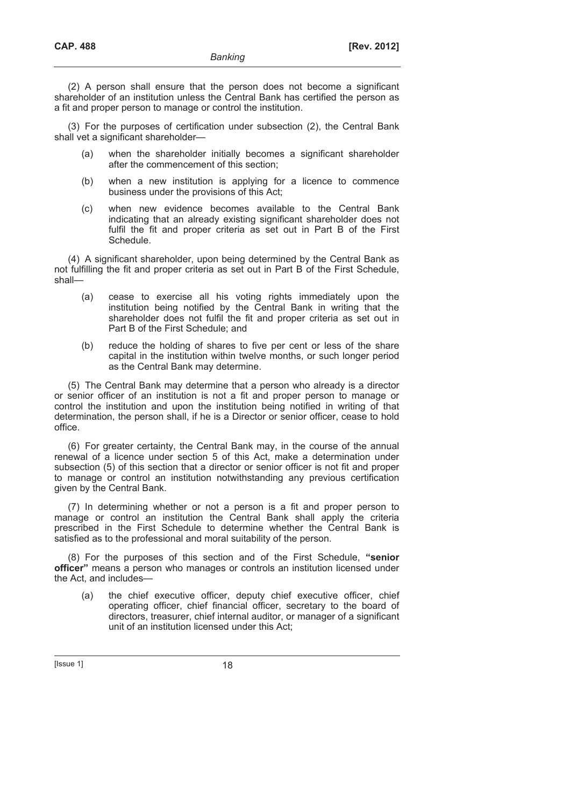(2) A person shall ensure that the person does not become a significant shareholder of an institution unless the Central Bank has certified the person as a fit and proper person to manage or control the institution.

(3) For the purposes of certification under subsection (2), the Central Bank shall vet a significant shareholder—

- (a) when the shareholder initially becomes a significant shareholder after the commencement of this section;
- (b) when a new institution is applying for a licence to commence business under the provisions of this Act;
- (c) when new evidence becomes available to the Central Bank indicating that an already existing significant shareholder does not fulfil the fit and proper criteria as set out in Part B of the First Schedule.

(4) A significant shareholder, upon being determined by the Central Bank as not fulfilling the fit and proper criteria as set out in Part B of the First Schedule, shall—

- (a) cease to exercise all his voting rights immediately upon the institution being notified by the Central Bank in writing that the shareholder does not fulfil the fit and proper criteria as set out in Part B of the First Schedule; and
- (b) reduce the holding of shares to five per cent or less of the share capital in the institution within twelve months, or such longer period as the Central Bank may determine.

(5) The Central Bank may determine that a person who already is a director or senior officer of an institution is not a fit and proper person to manage or control the institution and upon the institution being notified in writing of that determination, the person shall, if he is a Director or senior officer, cease to hold office.

(6) For greater certainty, the Central Bank may, in the course of the annual renewal of a licence under section 5 of this Act, make a determination under subsection (5) of this section that a director or senior officer is not fit and proper to manage or control an institution notwithstanding any previous certification given by the Central Bank.

(7) In determining whether or not a person is a fit and proper person to manage or control an institution the Central Bank shall apply the criteria prescribed in the First Schedule to determine whether the Central Bank is satisfied as to the professional and moral suitability of the person.

(8) For the purposes of this section and of the First Schedule, **"senior officer"** means a person who manages or controls an institution licensed under the Act, and includes—

 (a) the chief executive officer, deputy chief executive officer, chief operating officer, chief financial officer, secretary to the board of directors, treasurer, chief internal auditor, or manager of a significant unit of an institution licensed under this Act;

 $[|$ Ssue 1 $|$  18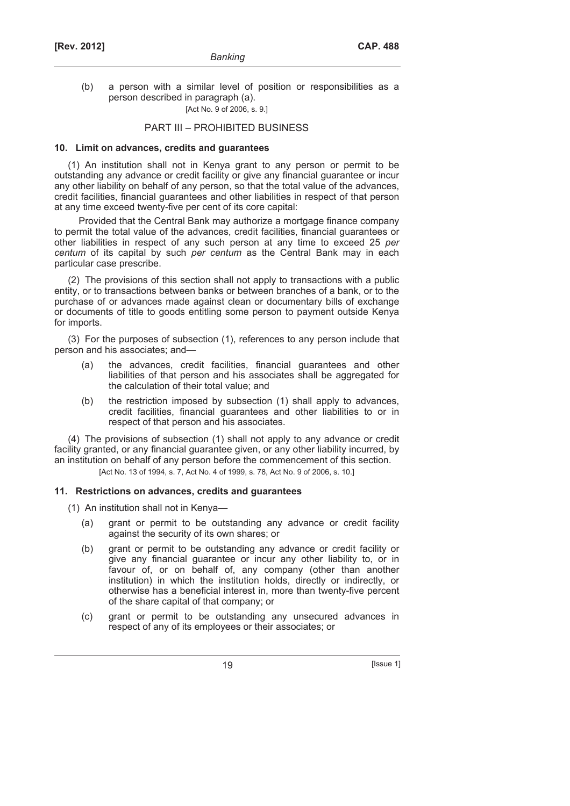(b) a person with a similar level of position or responsibilities as a person described in paragraph (a).

# [Act No. 9 of 2006, s. 9.]

# PART III – PROHIBITED BUSINESS

#### **10. Limit on advances, credits and guarantees**

(1) An institution shall not in Kenya grant to any person or permit to be outstanding any advance or credit facility or give any financial guarantee or incur any other liability on behalf of any person, so that the total value of the advances, credit facilities, financial guarantees and other liabilities in respect of that person at any time exceed twenty-five per cent of its core capital:

Provided that the Central Bank may authorize a mortgage finance company to permit the total value of the advances, credit facilities, financial guarantees or other liabilities in respect of any such person at any time to exceed 25 *per centum* of its capital by such *per centum* as the Central Bank may in each particular case prescribe.

(2) The provisions of this section shall not apply to transactions with a public entity, or to transactions between banks or between branches of a bank, or to the purchase of or advances made against clean or documentary bills of exchange or documents of title to goods entitling some person to payment outside Kenya for imports.

(3) For the purposes of subsection (1), references to any person include that person and his associates; and—

- (a) the advances, credit facilities, financial guarantees and other liabilities of that person and his associates shall be aggregated for the calculation of their total value; and
- (b) the restriction imposed by subsection (1) shall apply to advances, credit facilities, financial guarantees and other liabilities to or in respect of that person and his associates.

(4) The provisions of subsection (1) shall not apply to any advance or credit facility granted, or any financial guarantee given, or any other liability incurred, by an institution on behalf of any person before the commencement of this section.

[Act No. 13 of 1994, s. 7, Act No. 4 of 1999, s. 78, Act No. 9 of 2006, s. 10.]

#### **11. Restrictions on advances, credits and guarantees**

(1) An institution shall not in Kenya—

- (a) grant or permit to be outstanding any advance or credit facility against the security of its own shares; or
- (b) grant or permit to be outstanding any advance or credit facility or give any financial guarantee or incur any other liability to, or in favour of, or on behalf of, any company (other than another institution) in which the institution holds, directly or indirectly, or otherwise has a beneficial interest in, more than twenty-five percent of the share capital of that company; or
- (c) grant or permit to be outstanding any unsecured advances in respect of any of its employees or their associates; or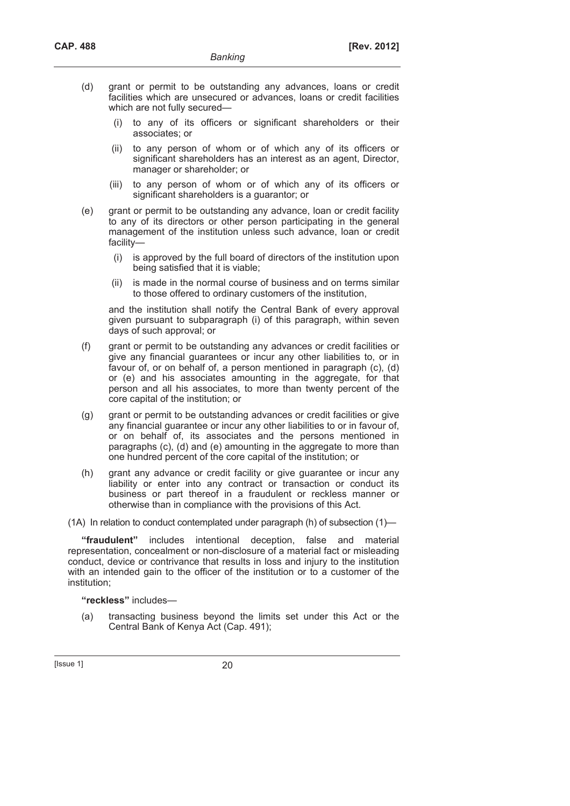- (d) grant or permit to be outstanding any advances, loans or credit facilities which are unsecured or advances, loans or credit facilities which are not fully secured—
	- (i) to any of its officers or significant shareholders or their associates; or
	- (ii) to any person of whom or of which any of its officers or significant shareholders has an interest as an agent, Director, manager or shareholder; or
	- (iii) to any person of whom or of which any of its officers or significant shareholders is a guarantor; or
- (e) grant or permit to be outstanding any advance, loan or credit facility to any of its directors or other person participating in the general management of the institution unless such advance, loan or credit facility—
	- (i) is approved by the full board of directors of the institution upon being satisfied that it is viable;
	- (ii) is made in the normal course of business and on terms similar to those offered to ordinary customers of the institution,

and the institution shall notify the Central Bank of every approval given pursuant to subparagraph (i) of this paragraph, within seven days of such approval; or

- (f) grant or permit to be outstanding any advances or credit facilities or give any financial guarantees or incur any other liabilities to, or in favour of, or on behalf of, a person mentioned in paragraph (c), (d) or (e) and his associates amounting in the aggregate, for that person and all his associates, to more than twenty percent of the core capital of the institution; or
- (g) grant or permit to be outstanding advances or credit facilities or give any financial guarantee or incur any other liabilities to or in favour of, or on behalf of, its associates and the persons mentioned in paragraphs (c), (d) and (e) amounting in the aggregate to more than one hundred percent of the core capital of the institution; or
- (h) grant any advance or credit facility or give guarantee or incur any liability or enter into any contract or transaction or conduct its business or part thereof in a fraudulent or reckless manner or otherwise than in compliance with the provisions of this Act.

(1A) In relation to conduct contemplated under paragraph (h) of subsection (1)—

**"fraudulent"** includes intentional deception, false and material representation, concealment or non-disclosure of a material fact or misleading conduct, device or contrivance that results in loss and injury to the institution with an intended gain to the officer of the institution or to a customer of the institution;

**"reckless"** includes—

 (a) transacting business beyond the limits set under this Act or the Central Bank of Kenya Act (Cap. 491);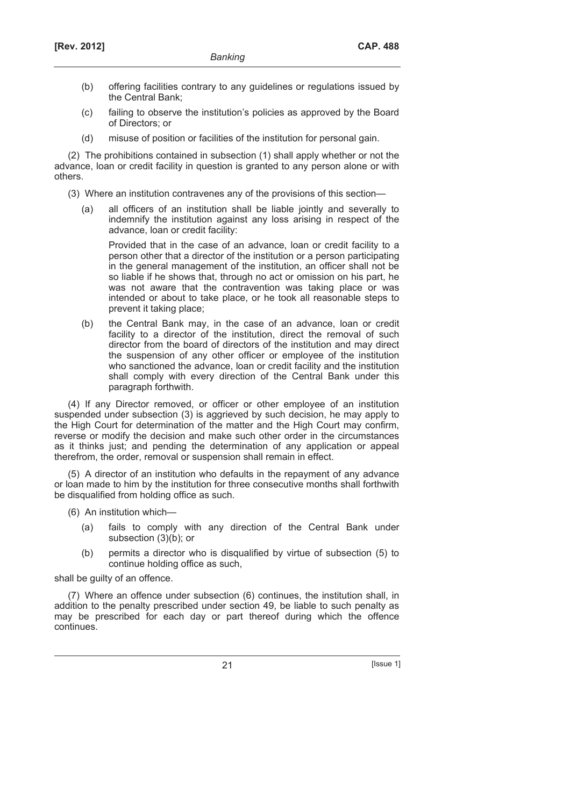- (b) offering facilities contrary to any guidelines or regulations issued by the Central Bank;
- (c) failing to observe the institution's policies as approved by the Board of Directors; or
- (d) misuse of position or facilities of the institution for personal gain.

(2) The prohibitions contained in subsection (1) shall apply whether or not the advance, loan or credit facility in question is granted to any person alone or with others.

(3) Where an institution contravenes any of the provisions of this section—

 (a) all officers of an institution shall be liable jointly and severally to indemnify the institution against any loss arising in respect of the advance, loan or credit facility:

 Provided that in the case of an advance, loan or credit facility to a person other that a director of the institution or a person participating in the general management of the institution, an officer shall not be so liable if he shows that, through no act or omission on his part, he was not aware that the contravention was taking place or was intended or about to take place, or he took all reasonable steps to prevent it taking place;

 (b) the Central Bank may, in the case of an advance, loan or credit facility to a director of the institution, direct the removal of such director from the board of directors of the institution and may direct the suspension of any other officer or employee of the institution who sanctioned the advance, loan or credit facility and the institution shall comply with every direction of the Central Bank under this paragraph forthwith.

(4) If any Director removed, or officer or other employee of an institution suspended under subsection (3) is aggrieved by such decision, he may apply to the High Court for determination of the matter and the High Court may confirm, reverse or modify the decision and make such other order in the circumstances as it thinks just; and pending the determination of any application or appeal therefrom, the order, removal or suspension shall remain in effect.

(5) A director of an institution who defaults in the repayment of any advance or loan made to him by the institution for three consecutive months shall forthwith be disqualified from holding office as such.

(6) An institution which—

- (a) fails to comply with any direction of the Central Bank under subsection (3)(b); or
- (b) permits a director who is disqualified by virtue of subsection (5) to continue holding office as such,

shall be guilty of an offence.

(7) Where an offence under subsection (6) continues, the institution shall, in addition to the penalty prescribed under section 49, be liable to such penalty as may be prescribed for each day or part thereof during which the offence continues.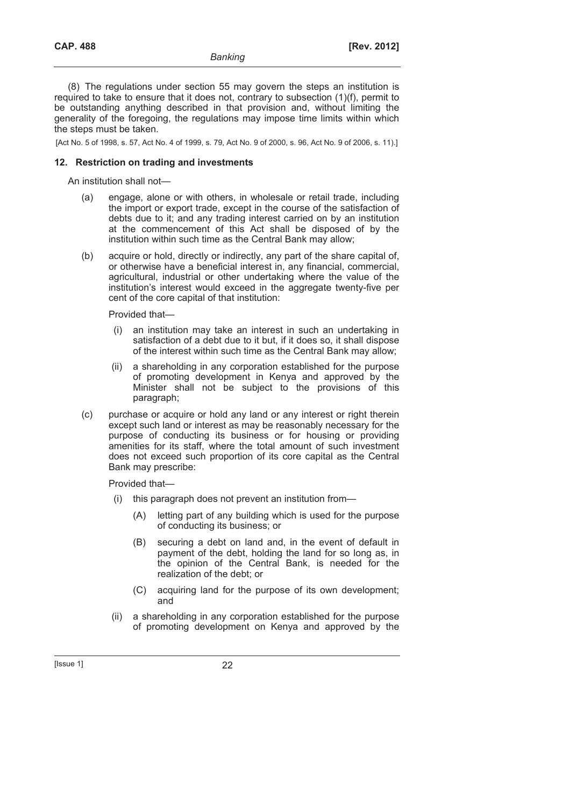(8) The regulations under section 55 may govern the steps an institution is required to take to ensure that it does not, contrary to subsection (1)(f), permit to be outstanding anything described in that provision and, without limiting the generality of the foregoing, the regulations may impose time limits within which the steps must be taken.

[Act No. 5 of 1998, s. 57, Act No. 4 of 1999, s. 79, Act No. 9 of 2000, s. 96, Act No. 9 of 2006, s. 11).]

### **12. Restriction on trading and investments**

An institution shall not—

- (a) engage, alone or with others, in wholesale or retail trade, including the import or export trade, except in the course of the satisfaction of debts due to it; and any trading interest carried on by an institution at the commencement of this Act shall be disposed of by the institution within such time as the Central Bank may allow;
- (b) acquire or hold, directly or indirectly, any part of the share capital of, or otherwise have a beneficial interest in, any financial, commercial, agricultural, industrial or other undertaking where the value of the institution's interest would exceed in the aggregate twenty-five per cent of the core capital of that institution:

Provided that—

- (i) an institution may take an interest in such an undertaking in satisfaction of a debt due to it but, if it does so, it shall dispose of the interest within such time as the Central Bank may allow;
- (ii) a shareholding in any corporation established for the purpose of promoting development in Kenya and approved by the Minister shall not be subject to the provisions of this paragraph;
- (c) purchase or acquire or hold any land or any interest or right therein except such land or interest as may be reasonably necessary for the purpose of conducting its business or for housing or providing amenities for its staff, where the total amount of such investment does not exceed such proportion of its core capital as the Central Bank may prescribe:

Provided that—

- (i) this paragraph does not prevent an institution from—
	- (A) letting part of any building which is used for the purpose of conducting its business; or
	- (B) securing a debt on land and, in the event of default in payment of the debt, holding the land for so long as, in the opinion of the Central Bank, is needed for the realization of the debt; or
	- (C) acquiring land for the purpose of its own development; and
- (ii) a shareholding in any corporation established for the purpose of promoting development on Kenya and approved by the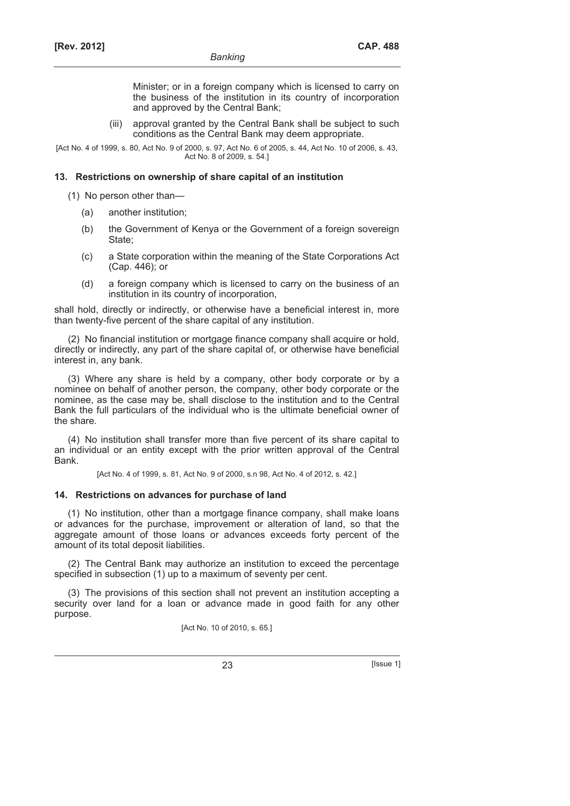Minister; or in a foreign company which is licensed to carry on the business of the institution in its country of incorporation and approved by the Central Bank;

 (iii) approval granted by the Central Bank shall be subject to such conditions as the Central Bank may deem appropriate.

[Act No. 4 of 1999, s. 80, Act No. 9 of 2000, s. 97, Act No. 6 of 2005, s. 44, Act No. 10 of 2006, s. 43, Act No. 8 of 2009, s. 54.]

### **13. Restrictions on ownership of share capital of an institution**

(1) No person other than—

- (a) another institution;
- (b) the Government of Kenya or the Government of a foreign sovereign State;
- (c) a State corporation within the meaning of the State Corporations Act (Cap. 446); or
- (d) a foreign company which is licensed to carry on the business of an institution in its country of incorporation,

shall hold, directly or indirectly, or otherwise have a beneficial interest in, more than twenty-five percent of the share capital of any institution.

(2) No financial institution or mortgage finance company shall acquire or hold, directly or indirectly, any part of the share capital of, or otherwise have beneficial interest in, any bank.

(3) Where any share is held by a company, other body corporate or by a nominee on behalf of another person, the company, other body corporate or the nominee, as the case may be, shall disclose to the institution and to the Central Bank the full particulars of the individual who is the ultimate beneficial owner of the share.

(4) No institution shall transfer more than five percent of its share capital to an individual or an entity except with the prior written approval of the Central Bank.

[Act No. 4 of 1999, s. 81, Act No. 9 of 2000, s.n 98, Act No. 4 of 2012, s. 42.]

#### **14. Restrictions on advances for purchase of land**

(1) No institution, other than a mortgage finance company, shall make loans or advances for the purchase, improvement or alteration of land, so that the aggregate amount of those loans or advances exceeds forty percent of the amount of its total deposit liabilities.

(2) The Central Bank may authorize an institution to exceed the percentage specified in subsection (1) up to a maximum of seventy per cent.

(3) The provisions of this section shall not prevent an institution accepting a security over land for a loan or advance made in good faith for any other purpose.

[Act No. 10 of 2010, s. 65.]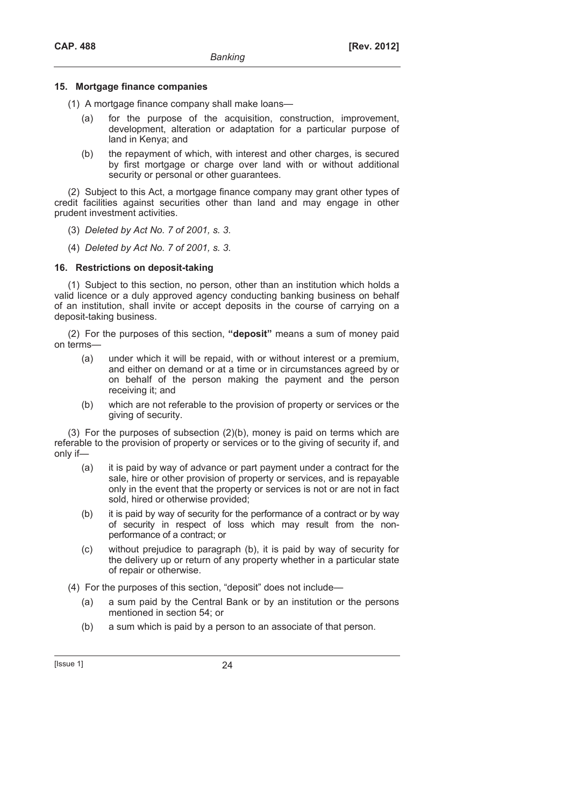### **15. Mortgage finance companies**

- (1) A mortgage finance company shall make loans—
	- (a) for the purpose of the acquisition, construction, improvement, development, alteration or adaptation for a particular purpose of land in Kenya; and
	- (b) the repayment of which, with interest and other charges, is secured by first mortgage or charge over land with or without additional security or personal or other quarantees.

(2) Subject to this Act, a mortgage finance company may grant other types of credit facilities against securities other than land and may engage in other prudent investment activities.

- (3) *Deleted by Act No. 7 of 2001, s. 3*.
- (4) *Deleted by Act No. 7 of 2001, s. 3*.

### **16. Restrictions on deposit-taking**

(1) Subject to this section, no person, other than an institution which holds a valid licence or a duly approved agency conducting banking business on behalf of an institution, shall invite or accept deposits in the course of carrying on a deposit-taking business.

(2) For the purposes of this section, **"deposit"** means a sum of money paid on terms—

- (a) under which it will be repaid, with or without interest or a premium, and either on demand or at a time or in circumstances agreed by or on behalf of the person making the payment and the person receiving it; and
- (b) which are not referable to the provision of property or services or the giving of security.

(3) For the purposes of subsection (2)(b), money is paid on terms which are referable to the provision of property or services or to the giving of security if, and only if—

- (a) it is paid by way of advance or part payment under a contract for the sale, hire or other provision of property or services, and is repayable only in the event that the property or services is not or are not in fact sold, hired or otherwise provided;
- (b) it is paid by way of security for the performance of a contract or by way of security in respect of loss which may result from the nonperformance of a contract; or
- (c) without prejudice to paragraph (b), it is paid by way of security for the delivery up or return of any property whether in a particular state of repair or otherwise.
- (4) For the purposes of this section, "deposit" does not include—
	- (a) a sum paid by the Central Bank or by an institution or the persons mentioned in section 54; or
	- (b) a sum which is paid by a person to an associate of that person.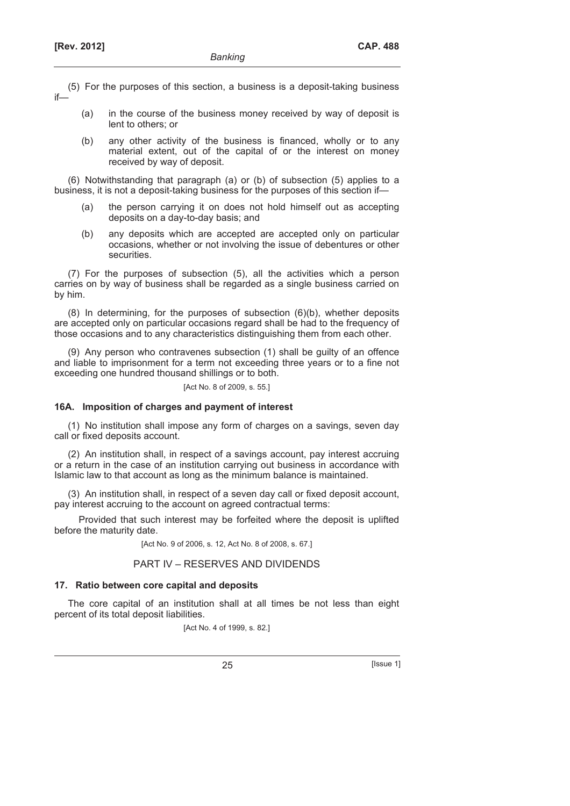- (5) For the purposes of this section, a business is a deposit-taking business if—
	- (a) in the course of the business money received by way of deposit is lent to others; or
	- (b) any other activity of the business is financed, wholly or to any material extent, out of the capital of or the interest on money received by way of deposit.

(6) Notwithstanding that paragraph (a) or (b) of subsection (5) applies to a business, it is not a deposit-taking business for the purposes of this section if—

- (a) the person carrying it on does not hold himself out as accepting deposits on a day-to-day basis; and
- (b) any deposits which are accepted are accepted only on particular occasions, whether or not involving the issue of debentures or other securities.

(7) For the purposes of subsection (5), all the activities which a person carries on by way of business shall be regarded as a single business carried on by him.

(8) In determining, for the purposes of subsection (6)(b), whether deposits are accepted only on particular occasions regard shall be had to the frequency of those occasions and to any characteristics distinguishing them from each other.

(9) Any person who contravenes subsection (1) shall be guilty of an offence and liable to imprisonment for a term not exceeding three years or to a fine not exceeding one hundred thousand shillings or to both.

[Act No. 8 of 2009, s. 55.]

#### **16A. Imposition of charges and payment of interest**

(1) No institution shall impose any form of charges on a savings, seven day call or fixed deposits account.

(2) An institution shall, in respect of a savings account, pay interest accruing or a return in the case of an institution carrying out business in accordance with Islamic law to that account as long as the minimum balance is maintained.

(3) An institution shall, in respect of a seven day call or fixed deposit account, pay interest accruing to the account on agreed contractual terms:

Provided that such interest may be forfeited where the deposit is uplifted before the maturity date.

[Act No. 9 of 2006, s. 12, Act No. 8 of 2008, s. 67.]

#### PART IV – RESERVES AND DIVIDENDS

#### **17. Ratio between core capital and deposits**

The core capital of an institution shall at all times be not less than eight percent of its total deposit liabilities.

[Act No. 4 of 1999, s. 82.]

25 [Issue 1]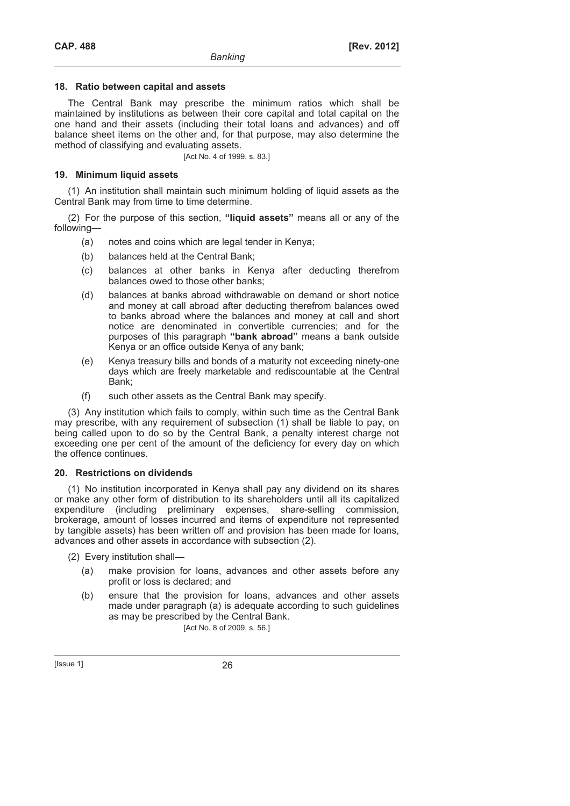### **18. Ratio between capital and assets**

The Central Bank may prescribe the minimum ratios which shall be maintained by institutions as between their core capital and total capital on the one hand and their assets (including their total loans and advances) and off balance sheet items on the other and, for that purpose, may also determine the method of classifying and evaluating assets.

[Act No. 4 of 1999, s. 83.]

# **19. Minimum liquid assets**

(1) An institution shall maintain such minimum holding of liquid assets as the Central Bank may from time to time determine.

(2) For the purpose of this section, **"liquid assets"** means all or any of the following—

- (a) notes and coins which are legal tender in Kenya;
- (b) balances held at the Central Bank;
- (c) balances at other banks in Kenya after deducting therefrom balances owed to those other banks;
- (d) balances at banks abroad withdrawable on demand or short notice and money at call abroad after deducting therefrom balances owed to banks abroad where the balances and money at call and short notice are denominated in convertible currencies; and for the purposes of this paragraph **"bank abroad"** means a bank outside Kenya or an office outside Kenya of any bank;
- (e) Kenya treasury bills and bonds of a maturity not exceeding ninety-one days which are freely marketable and rediscountable at the Central Bank;
- (f) such other assets as the Central Bank may specify.

(3) Any institution which fails to comply, within such time as the Central Bank may prescribe, with any requirement of subsection (1) shall be liable to pay, on being called upon to do so by the Central Bank, a penalty interest charge not exceeding one per cent of the amount of the deficiency for every day on which the offence continues.

### **20. Restrictions on dividends**

(1) No institution incorporated in Kenya shall pay any dividend on its shares or make any other form of distribution to its shareholders until all its capitalized expenditure (including preliminary expenses, share-selling commission, brokerage, amount of losses incurred and items of expenditure not represented by tangible assets) has been written off and provision has been made for loans, advances and other assets in accordance with subsection (2).

- (2) Every institution shall—
	- (a) make provision for loans, advances and other assets before any profit or loss is declared; and
	- (b) ensure that the provision for loans, advances and other assets made under paragraph (a) is adequate according to such guidelines as may be prescribed by the Central Bank.

[Act No. 8 of 2009, s. 56.]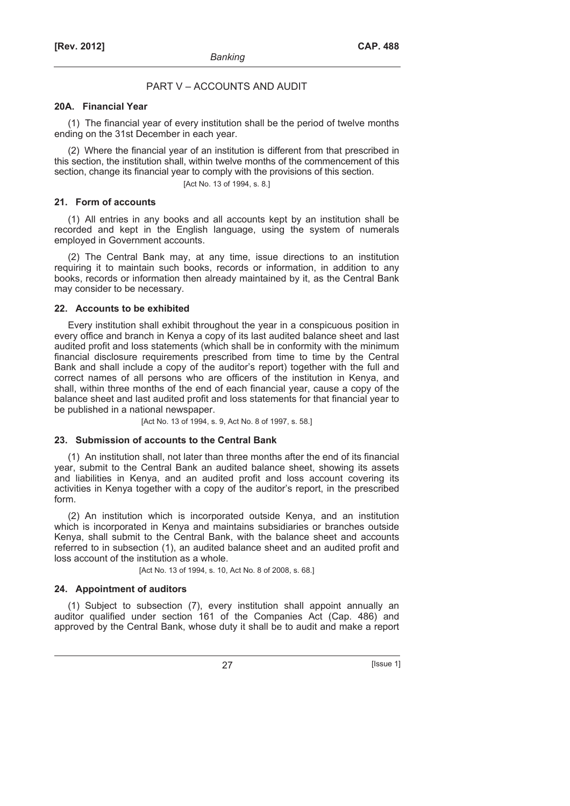# PART V – ACCOUNTS AND AUDIT

### **20A. Financial Year**

(1) The financial year of every institution shall be the period of twelve months ending on the 31st December in each year.

(2) Where the financial year of an institution is different from that prescribed in this section, the institution shall, within twelve months of the commencement of this section, change its financial year to comply with the provisions of this section.

[Act No. 13 of 1994, s. 8.]

#### **21. Form of accounts**

(1) All entries in any books and all accounts kept by an institution shall be recorded and kept in the English language, using the system of numerals employed in Government accounts.

(2) The Central Bank may, at any time, issue directions to an institution requiring it to maintain such books, records or information, in addition to any books, records or information then already maintained by it, as the Central Bank may consider to be necessary.

### **22. Accounts to be exhibited**

Every institution shall exhibit throughout the year in a conspicuous position in every office and branch in Kenya a copy of its last audited balance sheet and last audited profit and loss statements (which shall be in conformity with the minimum financial disclosure requirements prescribed from time to time by the Central Bank and shall include a copy of the auditor's report) together with the full and correct names of all persons who are officers of the institution in Kenya, and shall, within three months of the end of each financial year, cause a copy of the balance sheet and last audited profit and loss statements for that financial year to be published in a national newspaper.

[Act No. 13 of 1994, s. 9, Act No. 8 of 1997, s. 58.]

#### **23. Submission of accounts to the Central Bank**

(1) An institution shall, not later than three months after the end of its financial year, submit to the Central Bank an audited balance sheet, showing its assets and liabilities in Kenya, and an audited profit and loss account covering its activities in Kenya together with a copy of the auditor's report, in the prescribed form.

(2) An institution which is incorporated outside Kenya, and an institution which is incorporated in Kenya and maintains subsidiaries or branches outside Kenya, shall submit to the Central Bank, with the balance sheet and accounts referred to in subsection (1), an audited balance sheet and an audited profit and loss account of the institution as a whole.

[Act No. 13 of 1994, s. 10, Act No. 8 of 2008, s. 68.]

#### **24. Appointment of auditors**

(1) Subject to subsection (7), every institution shall appoint annually an auditor qualified under section 161 of the Companies Act (Cap. 486) and approved by the Central Bank, whose duty it shall be to audit and make a report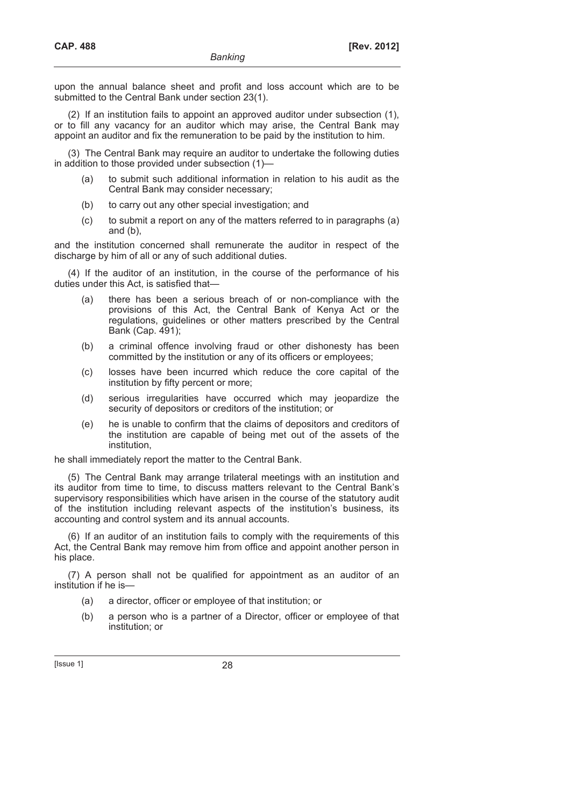upon the annual balance sheet and profit and loss account which are to be submitted to the Central Bank under section 23(1).

(2) If an institution fails to appoint an approved auditor under subsection (1), or to fill any vacancy for an auditor which may arise, the Central Bank may appoint an auditor and fix the remuneration to be paid by the institution to him.

(3) The Central Bank may require an auditor to undertake the following duties in addition to those provided under subsection (1)—

- (a) to submit such additional information in relation to his audit as the Central Bank may consider necessary;
- (b) to carry out any other special investigation; and
- (c) to submit a report on any of the matters referred to in paragraphs (a) and (b),

and the institution concerned shall remunerate the auditor in respect of the discharge by him of all or any of such additional duties.

(4) If the auditor of an institution, in the course of the performance of his duties under this Act, is satisfied that—

- (a) there has been a serious breach of or non-compliance with the provisions of this Act, the Central Bank of Kenya Act or the regulations, guidelines or other matters prescribed by the Central Bank (Cap. 491);
- (b) a criminal offence involving fraud or other dishonesty has been committed by the institution or any of its officers or employees;
- (c) losses have been incurred which reduce the core capital of the institution by fifty percent or more;
- (d) serious irregularities have occurred which may jeopardize the security of depositors or creditors of the institution; or
- (e) he is unable to confirm that the claims of depositors and creditors of the institution are capable of being met out of the assets of the institution,

he shall immediately report the matter to the Central Bank.

(5) The Central Bank may arrange trilateral meetings with an institution and its auditor from time to time, to discuss matters relevant to the Central Bank's supervisory responsibilities which have arisen in the course of the statutory audit of the institution including relevant aspects of the institution's business, its accounting and control system and its annual accounts.

(6) If an auditor of an institution fails to comply with the requirements of this Act, the Central Bank may remove him from office and appoint another person in his place.

(7) A person shall not be qualified for appointment as an auditor of an institution if he is—

- (a) a director, officer or employee of that institution; or
- (b) a person who is a partner of a Director, officer or employee of that institution; or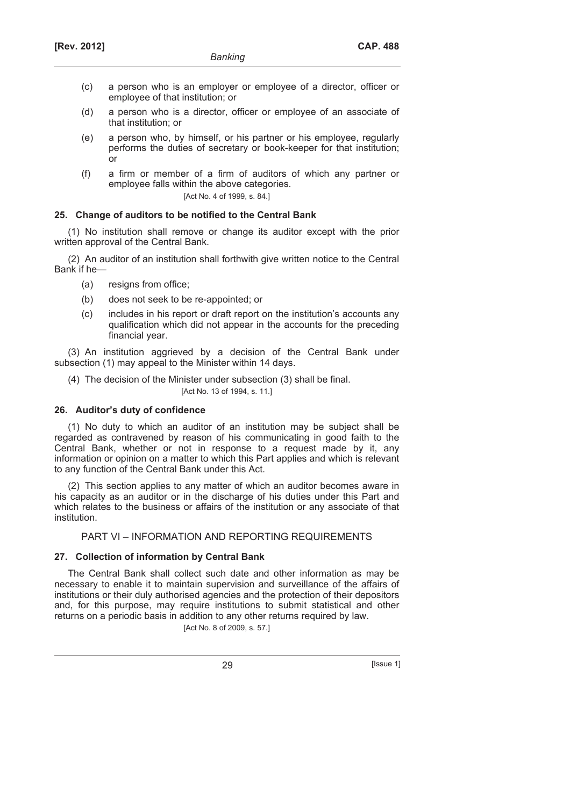- (c) a person who is an employer or employee of a director, officer or employee of that institution; or
- (d) a person who is a director, officer or employee of an associate of that institution; or
- (e) a person who, by himself, or his partner or his employee, regularly performs the duties of secretary or book-keeper for that institution; or
- (f) a firm or member of a firm of auditors of which any partner or employee falls within the above categories.

[Act No. 4 of 1999, s. 84.]

# **25. Change of auditors to be notified to the Central Bank**

(1) No institution shall remove or change its auditor except with the prior written approval of the Central Bank.

(2) An auditor of an institution shall forthwith give written notice to the Central Bank if he—

- (a) resigns from office;
- (b) does not seek to be re-appointed; or
- (c) includes in his report or draft report on the institution's accounts any qualification which did not appear in the accounts for the preceding financial year.

(3) An institution aggrieved by a decision of the Central Bank under subsection (1) may appeal to the Minister within 14 days.

(4) The decision of the Minister under subsection (3) shall be final.

### [Act No. 13 of 1994, s. 11.]

# **26. Auditor's duty of confidence**

(1) No duty to which an auditor of an institution may be subject shall be regarded as contravened by reason of his communicating in good faith to the Central Bank, whether or not in response to a request made by it, any information or opinion on a matter to which this Part applies and which is relevant to any function of the Central Bank under this Act.

(2) This section applies to any matter of which an auditor becomes aware in his capacity as an auditor or in the discharge of his duties under this Part and which relates to the business or affairs of the institution or any associate of that institution.

# PART VI – INFORMATION AND REPORTING REQUIREMENTS

# **27. Collection of information by Central Bank**

The Central Bank shall collect such date and other information as may be necessary to enable it to maintain supervision and surveillance of the affairs of institutions or their duly authorised agencies and the protection of their depositors and, for this purpose, may require institutions to submit statistical and other returns on a periodic basis in addition to any other returns required by law.

[Act No. 8 of 2009, s. 57.]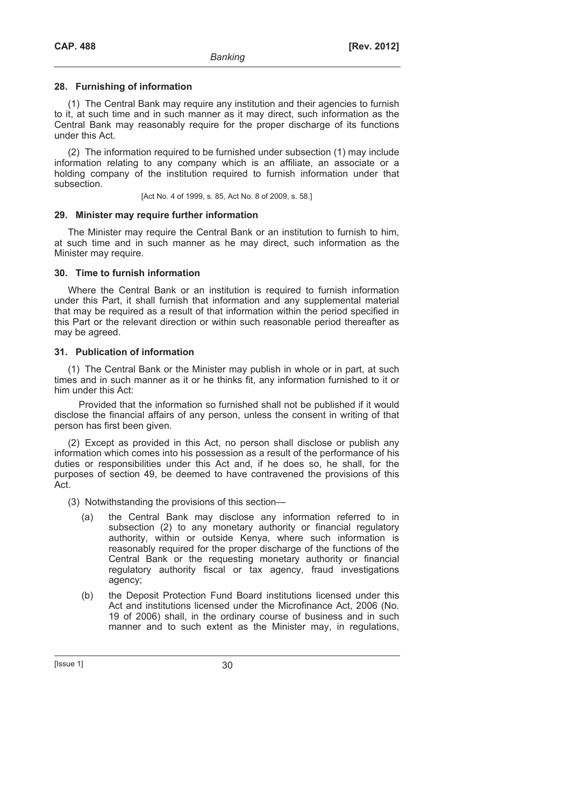# **28. Furnishing of information**

(1) The Central Bank may require any institution and their agencies to furnish to it, at such time and in such manner as it may direct, such information as the Central Bank may reasonably require for the proper discharge of its functions under this Act.

(2) The information required to be furnished under subsection (1) may include information relating to any company which is an affiliate, an associate or a holding company of the institution required to furnish information under that subsection.

[Act No. 4 of 1999, s. 85, Act No. 8 of 2009, s. 58.]

# **29. Minister may require further information**

The Minister may require the Central Bank or an institution to furnish to him, at such time and in such manner as he may direct, such information as the Minister may require.

# **30. Time to furnish information**

Where the Central Bank or an institution is required to furnish information under this Part, it shall furnish that information and any supplemental material that may be required as a result of that information within the period specified in this Part or the relevant direction or within such reasonable period thereafter as may be agreed.

# **31. Publication of information**

(1) The Central Bank or the Minister may publish in whole or in part, at such times and in such manner as it or he thinks fit, any information furnished to it or him under this Act:

Provided that the information so furnished shall not be published if it would disclose the financial affairs of any person, unless the consent in writing of that person has first been given.

(2) Except as provided in this Act, no person shall disclose or publish any information which comes into his possession as a result of the performance of his duties or responsibilities under this Act and, if he does so, he shall, for the purposes of section 49, be deemed to have contravened the provisions of this Act.

(3) Notwithstanding the provisions of this section—

- (a) the Central Bank may disclose any information referred to in subsection (2) to any monetary authority or financial regulatory authority, within or outside Kenya, where such information is reasonably required for the proper discharge of the functions of the Central Bank or the requesting monetary authority or financial regulatory authority fiscal or tax agency, fraud investigations agency;
- (b) the Deposit Protection Fund Board institutions licensed under this Act and institutions licensed under the Microfinance Act, 2006 (No. 19 of 2006) shall, in the ordinary course of business and in such manner and to such extent as the Minister may, in regulations,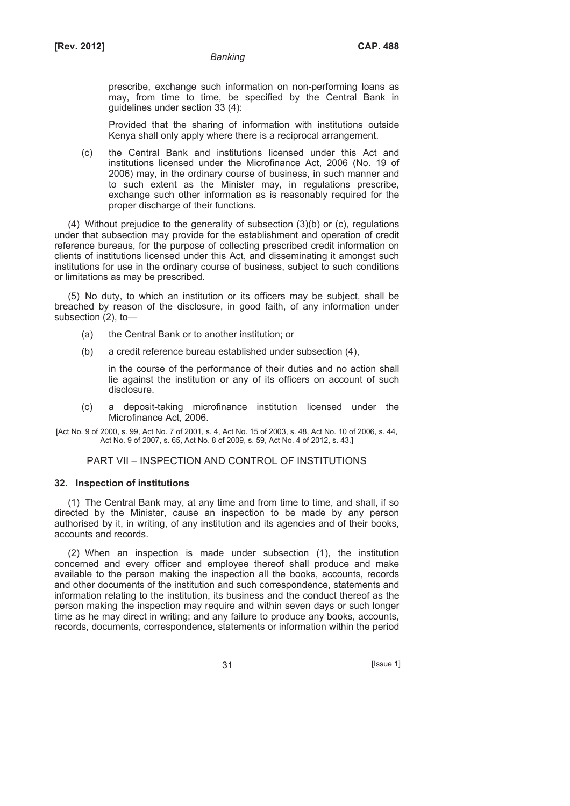prescribe, exchange such information on non-performing loans as may, from time to time, be specified by the Central Bank in guidelines under section 33 (4):

 Provided that the sharing of information with institutions outside Kenya shall only apply where there is a reciprocal arrangement.

 (c) the Central Bank and institutions licensed under this Act and institutions licensed under the Microfinance Act, 2006 (No. 19 of 2006) may, in the ordinary course of business, in such manner and to such extent as the Minister may, in regulations prescribe, exchange such other information as is reasonably required for the proper discharge of their functions.

(4) Without prejudice to the generality of subsection (3)(b) or (c), regulations under that subsection may provide for the establishment and operation of credit reference bureaus, for the purpose of collecting prescribed credit information on clients of institutions licensed under this Act, and disseminating it amongst such institutions for use in the ordinary course of business, subject to such conditions or limitations as may be prescribed.

(5) No duty, to which an institution or its officers may be subject, shall be breached by reason of the disclosure, in good faith, of any information under subsection (2), to—

- (a) the Central Bank or to another institution; or
- (b) a credit reference bureau established under subsection (4),

in the course of the performance of their duties and no action shall lie against the institution or any of its officers on account of such disclosure.

- (c) a deposit-taking microfinance institution licensed under the Microfinance Act, 2006.
- [Act No. 9 of 2000, s. 99, Act No. 7 of 2001, s. 4, Act No. 15 of 2003, s. 48, Act No. 10 of 2006, s. 44, Act No. 9 of 2007, s. 65, Act No. 8 of 2009, s. 59, Act No. 4 of 2012, s. 43.]

### PART VII – INSPECTION AND CONTROL OF INSTITUTIONS

### **32. Inspection of institutions**

(1) The Central Bank may, at any time and from time to time, and shall, if so directed by the Minister, cause an inspection to be made by any person authorised by it, in writing, of any institution and its agencies and of their books, accounts and records.

(2) When an inspection is made under subsection (1), the institution concerned and every officer and employee thereof shall produce and make available to the person making the inspection all the books, accounts, records and other documents of the institution and such correspondence, statements and information relating to the institution, its business and the conduct thereof as the person making the inspection may require and within seven days or such longer time as he may direct in writing; and any failure to produce any books, accounts, records, documents, correspondence, statements or information within the period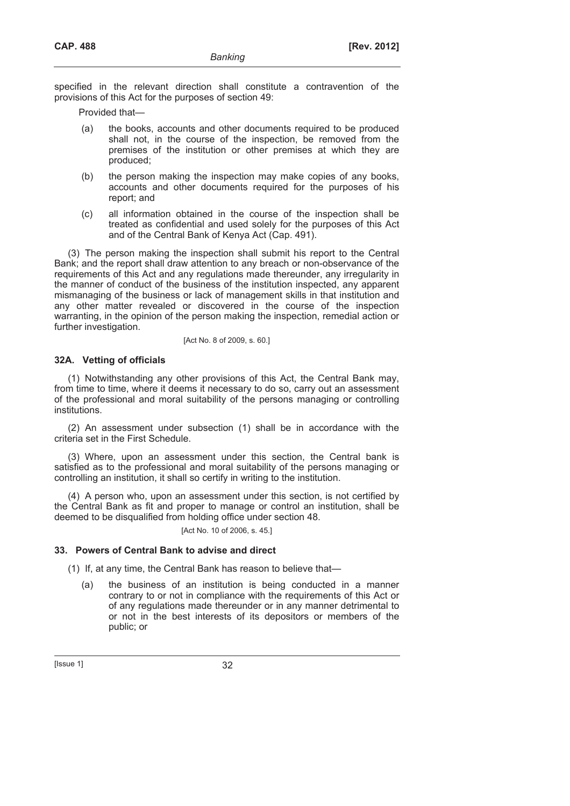specified in the relevant direction shall constitute a contravention of the provisions of this Act for the purposes of section 49:

Provided that—

- (a) the books, accounts and other documents required to be produced shall not, in the course of the inspection, be removed from the premises of the institution or other premises at which they are produced;
- (b) the person making the inspection may make copies of any books, accounts and other documents required for the purposes of his report; and
- (c) all information obtained in the course of the inspection shall be treated as confidential and used solely for the purposes of this Act and of the Central Bank of Kenya Act (Cap. 491).

(3) The person making the inspection shall submit his report to the Central Bank; and the report shall draw attention to any breach or non-observance of the requirements of this Act and any regulations made thereunder, any irregularity in the manner of conduct of the business of the institution inspected, any apparent mismanaging of the business or lack of management skills in that institution and any other matter revealed or discovered in the course of the inspection warranting, in the opinion of the person making the inspection, remedial action or further investigation.

#### [Act No. 8 of 2009, s. 60.]

### **32A. Vetting of officials**

(1) Notwithstanding any other provisions of this Act, the Central Bank may, from time to time, where it deems it necessary to do so, carry out an assessment of the professional and moral suitability of the persons managing or controlling institutions.

(2) An assessment under subsection (1) shall be in accordance with the criteria set in the First Schedule.

(3) Where, upon an assessment under this section, the Central bank is satisfied as to the professional and moral suitability of the persons managing or controlling an institution, it shall so certify in writing to the institution.

(4) A person who, upon an assessment under this section, is not certified by the Central Bank as fit and proper to manage or control an institution, shall be deemed to be disqualified from holding office under section 48.

[Act No. 10 of 2006, s. 45.]

### **33. Powers of Central Bank to advise and direct**

(1) If, at any time, the Central Bank has reason to believe that—

 (a) the business of an institution is being conducted in a manner contrary to or not in compliance with the requirements of this Act or of any regulations made thereunder or in any manner detrimental to or not in the best interests of its depositors or members of the public; or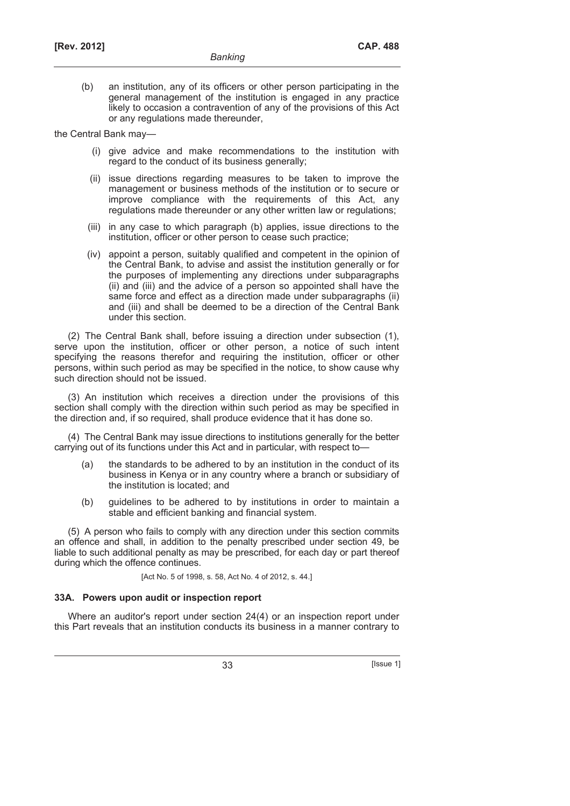(b) an institution, any of its officers or other person participating in the general management of the institution is engaged in any practice likely to occasion a contravention of any of the provisions of this Act or any regulations made thereunder,

the Central Bank may—

- (i) give advice and make recommendations to the institution with regard to the conduct of its business generally;
- (ii) issue directions regarding measures to be taken to improve the management or business methods of the institution or to secure or improve compliance with the requirements of this Act, any regulations made thereunder or any other written law or regulations;
- (iii) in any case to which paragraph (b) applies, issue directions to the institution, officer or other person to cease such practice;
- (iv) appoint a person, suitably qualified and competent in the opinion of the Central Bank, to advise and assist the institution generally or for the purposes of implementing any directions under subparagraphs (ii) and (iii) and the advice of a person so appointed shall have the same force and effect as a direction made under subparagraphs (ii) and (iii) and shall be deemed to be a direction of the Central Bank under this section.

(2) The Central Bank shall, before issuing a direction under subsection (1), serve upon the institution, officer or other person, a notice of such intent specifying the reasons therefor and requiring the institution, officer or other persons, within such period as may be specified in the notice, to show cause why such direction should not be issued.

(3) An institution which receives a direction under the provisions of this section shall comply with the direction within such period as may be specified in the direction and, if so required, shall produce evidence that it has done so.

(4) The Central Bank may issue directions to institutions generally for the better carrying out of its functions under this Act and in particular, with respect to—

- (a) the standards to be adhered to by an institution in the conduct of its business in Kenya or in any country where a branch or subsidiary of the institution is located; and
- (b) guidelines to be adhered to by institutions in order to maintain a stable and efficient banking and financial system.

(5) A person who fails to comply with any direction under this section commits an offence and shall, in addition to the penalty prescribed under section 49, be liable to such additional penalty as may be prescribed, for each day or part thereof during which the offence continues.

[Act No. 5 of 1998, s. 58, Act No. 4 of 2012, s. 44.]

### **33A. Powers upon audit or inspection report**

Where an auditor's report under section 24(4) or an inspection report under this Part reveals that an institution conducts its business in a manner contrary to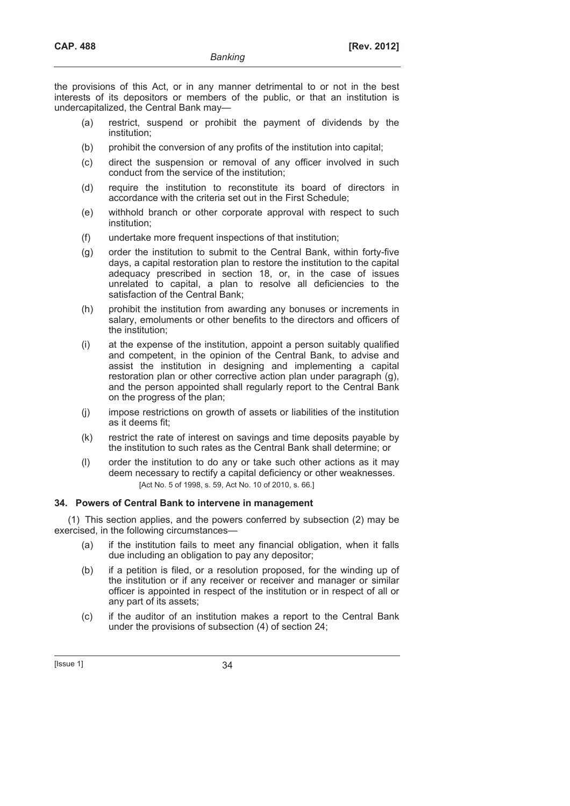the provisions of this Act, or in any manner detrimental to or not in the best interests of its depositors or members of the public, or that an institution is undercapitalized, the Central Bank may—

- (a) restrict, suspend or prohibit the payment of dividends by the institution;
- (b) prohibit the conversion of any profits of the institution into capital;
- (c) direct the suspension or removal of any officer involved in such conduct from the service of the institution;
- (d) require the institution to reconstitute its board of directors in accordance with the criteria set out in the First Schedule;
- (e) withhold branch or other corporate approval with respect to such institution;
- (f) undertake more frequent inspections of that institution;
- (g) order the institution to submit to the Central Bank, within forty-five days, a capital restoration plan to restore the institution to the capital adequacy prescribed in section 18, or, in the case of issues unrelated to capital, a plan to resolve all deficiencies to the satisfaction of the Central Bank;
- (h) prohibit the institution from awarding any bonuses or increments in salary, emoluments or other benefits to the directors and officers of the institution;
- (i) at the expense of the institution, appoint a person suitably qualified and competent, in the opinion of the Central Bank, to advise and assist the institution in designing and implementing a capital restoration plan or other corrective action plan under paragraph (g), and the person appointed shall regularly report to the Central Bank on the progress of the plan;
- (j) impose restrictions on growth of assets or liabilities of the institution as it deems fit;
- (k) restrict the rate of interest on savings and time deposits payable by the institution to such rates as the Central Bank shall determine; or
- (l) order the institution to do any or take such other actions as it may deem necessary to rectify a capital deficiency or other weaknesses. [Act No. 5 of 1998, s. 59, Act No. 10 of 2010, s. 66.]

# **34. Powers of Central Bank to intervene in management**

(1) This section applies, and the powers conferred by subsection (2) may be exercised, in the following circumstances—

- (a) if the institution fails to meet any financial obligation, when it falls due including an obligation to pay any depositor;
- (b) if a petition is filed, or a resolution proposed, for the winding up of the institution or if any receiver or receiver and manager or similar officer is appointed in respect of the institution or in respect of all or any part of its assets;
- (c) if the auditor of an institution makes a report to the Central Bank under the provisions of subsection (4) of section 24;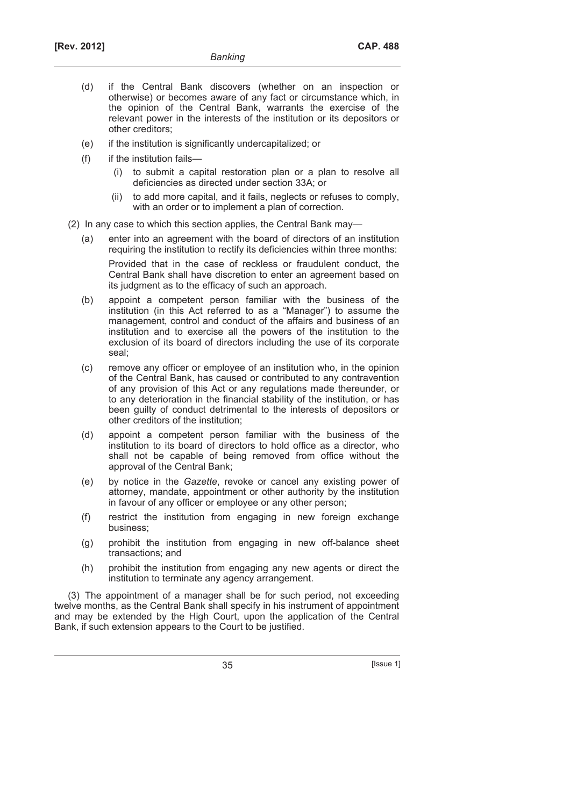- (d) if the Central Bank discovers (whether on an inspection or otherwise) or becomes aware of any fact or circumstance which, in the opinion of the Central Bank, warrants the exercise of the relevant power in the interests of the institution or its depositors or other creditors;
- (e) if the institution is significantly undercapitalized; or
- (f) if the institution fails—
	- (i) to submit a capital restoration plan or a plan to resolve all deficiencies as directed under section 33A; or
	- (ii) to add more capital, and it fails, neglects or refuses to comply, with an order or to implement a plan of correction.
- (2) In any case to which this section applies, the Central Bank may—
	- (a) enter into an agreement with the board of directors of an institution requiring the institution to rectify its deficiencies within three months:

 Provided that in the case of reckless or fraudulent conduct, the Central Bank shall have discretion to enter an agreement based on its judgment as to the efficacy of such an approach.

- (b) appoint a competent person familiar with the business of the institution (in this Act referred to as a "Manager") to assume the management, control and conduct of the affairs and business of an institution and to exercise all the powers of the institution to the exclusion of its board of directors including the use of its corporate seal;
- (c) remove any officer or employee of an institution who, in the opinion of the Central Bank, has caused or contributed to any contravention of any provision of this Act or any regulations made thereunder, or to any deterioration in the financial stability of the institution, or has been guilty of conduct detrimental to the interests of depositors or other creditors of the institution;
- (d) appoint a competent person familiar with the business of the institution to its board of directors to hold office as a director, who shall not be capable of being removed from office without the approval of the Central Bank;
- (e) by notice in the *Gazette*, revoke or cancel any existing power of attorney, mandate, appointment or other authority by the institution in favour of any officer or employee or any other person;
- (f) restrict the institution from engaging in new foreign exchange business;
- (g) prohibit the institution from engaging in new off-balance sheet transactions; and
- (h) prohibit the institution from engaging any new agents or direct the institution to terminate any agency arrangement.

(3) The appointment of a manager shall be for such period, not exceeding twelve months, as the Central Bank shall specify in his instrument of appointment and may be extended by the High Court, upon the application of the Central Bank, if such extension appears to the Court to be justified.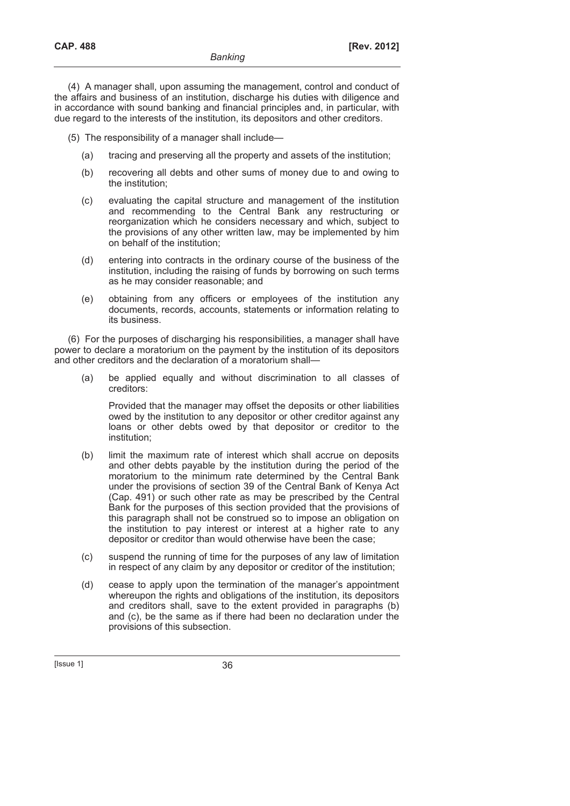(4) A manager shall, upon assuming the management, control and conduct of the affairs and business of an institution, discharge his duties with diligence and in accordance with sound banking and financial principles and, in particular, with due regard to the interests of the institution, its depositors and other creditors.

(5) The responsibility of a manager shall include—

- (a) tracing and preserving all the property and assets of the institution;
- (b) recovering all debts and other sums of money due to and owing to the institution;
- (c) evaluating the capital structure and management of the institution and recommending to the Central Bank any restructuring or reorganization which he considers necessary and which, subject to the provisions of any other written law, may be implemented by him on behalf of the institution;
- (d) entering into contracts in the ordinary course of the business of the institution, including the raising of funds by borrowing on such terms as he may consider reasonable; and
- (e) obtaining from any officers or employees of the institution any documents, records, accounts, statements or information relating to its business.

(6) For the purposes of discharging his responsibilities, a manager shall have power to declare a moratorium on the payment by the institution of its depositors and other creditors and the declaration of a moratorium shall—

 (a) be applied equally and without discrimination to all classes of creditors:

 Provided that the manager may offset the deposits or other liabilities owed by the institution to any depositor or other creditor against any loans or other debts owed by that depositor or creditor to the institution;

- (b) limit the maximum rate of interest which shall accrue on deposits and other debts payable by the institution during the period of the moratorium to the minimum rate determined by the Central Bank under the provisions of section 39 of the Central Bank of Kenya Act (Cap. 491) or such other rate as may be prescribed by the Central Bank for the purposes of this section provided that the provisions of this paragraph shall not be construed so to impose an obligation on the institution to pay interest or interest at a higher rate to any depositor or creditor than would otherwise have been the case;
- (c) suspend the running of time for the purposes of any law of limitation in respect of any claim by any depositor or creditor of the institution;
- (d) cease to apply upon the termination of the manager's appointment whereupon the rights and obligations of the institution, its depositors and creditors shall, save to the extent provided in paragraphs (b) and (c), be the same as if there had been no declaration under the provisions of this subsection.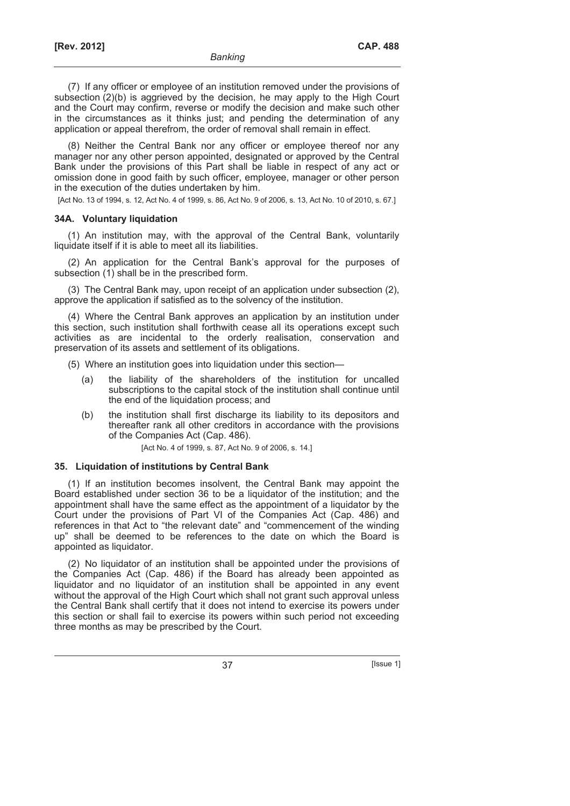(7) If any officer or employee of an institution removed under the provisions of subsection (2)(b) is aggrieved by the decision, he may apply to the High Court and the Court may confirm, reverse or modify the decision and make such other in the circumstances as it thinks just; and pending the determination of any application or appeal therefrom, the order of removal shall remain in effect.

(8) Neither the Central Bank nor any officer or employee thereof nor any manager nor any other person appointed, designated or approved by the Central Bank under the provisions of this Part shall be liable in respect of any act or omission done in good faith by such officer, employee, manager or other person in the execution of the duties undertaken by him.

[Act No. 13 of 1994, s. 12, Act No. 4 of 1999, s. 86, Act No. 9 of 2006, s. 13, Act No. 10 of 2010, s. 67.]

### **34A. Voluntary liquidation**

(1) An institution may, with the approval of the Central Bank, voluntarily liquidate itself if it is able to meet all its liabilities.

(2) An application for the Central Bank's approval for the purposes of subsection (1) shall be in the prescribed form.

(3) The Central Bank may, upon receipt of an application under subsection (2), approve the application if satisfied as to the solvency of the institution.

(4) Where the Central Bank approves an application by an institution under this section, such institution shall forthwith cease all its operations except such activities as are incidental to the orderly realisation, conservation and preservation of its assets and settlement of its obligations.

- (5) Where an institution goes into liquidation under this section—
	- (a) the liability of the shareholders of the institution for uncalled subscriptions to the capital stock of the institution shall continue until the end of the liquidation process; and
	- (b) the institution shall first discharge its liability to its depositors and thereafter rank all other creditors in accordance with the provisions of the Companies Act (Cap. 486).

[Act No. 4 of 1999, s. 87, Act No. 9 of 2006, s. 14.]

### **35. Liquidation of institutions by Central Bank**

(1) If an institution becomes insolvent, the Central Bank may appoint the Board established under section 36 to be a liquidator of the institution; and the appointment shall have the same effect as the appointment of a liquidator by the Court under the provisions of Part VI of the Companies Act (Cap. 486) and references in that Act to "the relevant date" and "commencement of the winding up" shall be deemed to be references to the date on which the Board is appointed as liquidator.

(2) No liquidator of an institution shall be appointed under the provisions of the Companies Act (Cap. 486) if the Board has already been appointed as liquidator and no liquidator of an institution shall be appointed in any event without the approval of the High Court which shall not grant such approval unless the Central Bank shall certify that it does not intend to exercise its powers under this section or shall fail to exercise its powers within such period not exceeding three months as may be prescribed by the Court.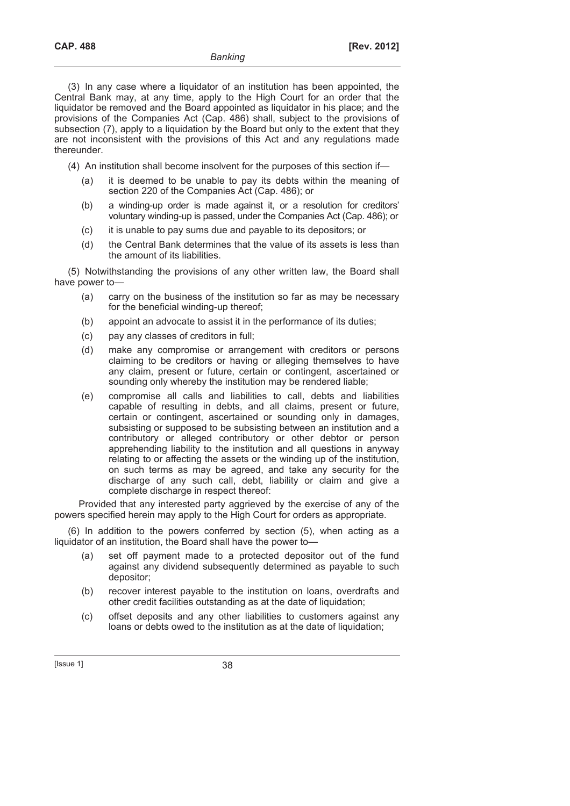(3) In any case where a liquidator of an institution has been appointed, the Central Bank may, at any time, apply to the High Court for an order that the liquidator be removed and the Board appointed as liquidator in his place; and the provisions of the Companies Act (Cap. 486) shall, subject to the provisions of subsection (7), apply to a liquidation by the Board but only to the extent that they are not inconsistent with the provisions of this Act and any regulations made thereunder.

(4) An institution shall become insolvent for the purposes of this section if—

- (a) it is deemed to be unable to pay its debts within the meaning of section 220 of the Companies Act (Cap. 486); or
- (b) a winding-up order is made against it, or a resolution for creditors' voluntary winding-up is passed, under the Companies Act (Cap. 486); or
- (c) it is unable to pay sums due and payable to its depositors; or
- (d) the Central Bank determines that the value of its assets is less than the amount of its liabilities.

(5) Notwithstanding the provisions of any other written law, the Board shall have power to—

- (a) carry on the business of the institution so far as may be necessary for the beneficial winding-up thereof;
- (b) appoint an advocate to assist it in the performance of its duties;
- (c) pay any classes of creditors in full;
- (d) make any compromise or arrangement with creditors or persons claiming to be creditors or having or alleging themselves to have any claim, present or future, certain or contingent, ascertained or sounding only whereby the institution may be rendered liable;
- (e) compromise all calls and liabilities to call, debts and liabilities capable of resulting in debts, and all claims, present or future, certain or contingent, ascertained or sounding only in damages, subsisting or supposed to be subsisting between an institution and a contributory or alleged contributory or other debtor or person apprehending liability to the institution and all questions in anyway relating to or affecting the assets or the winding up of the institution, on such terms as may be agreed, and take any security for the discharge of any such call, debt, liability or claim and give a complete discharge in respect thereof:

Provided that any interested party aggrieved by the exercise of any of the powers specified herein may apply to the High Court for orders as appropriate.

(6) In addition to the powers conferred by section (5), when acting as a liquidator of an institution, the Board shall have the power to—

- (a) set off payment made to a protected depositor out of the fund against any dividend subsequently determined as payable to such depositor;
- (b) recover interest payable to the institution on loans, overdrafts and other credit facilities outstanding as at the date of liquidation;
- (c) offset deposits and any other liabilities to customers against any loans or debts owed to the institution as at the date of liquidation;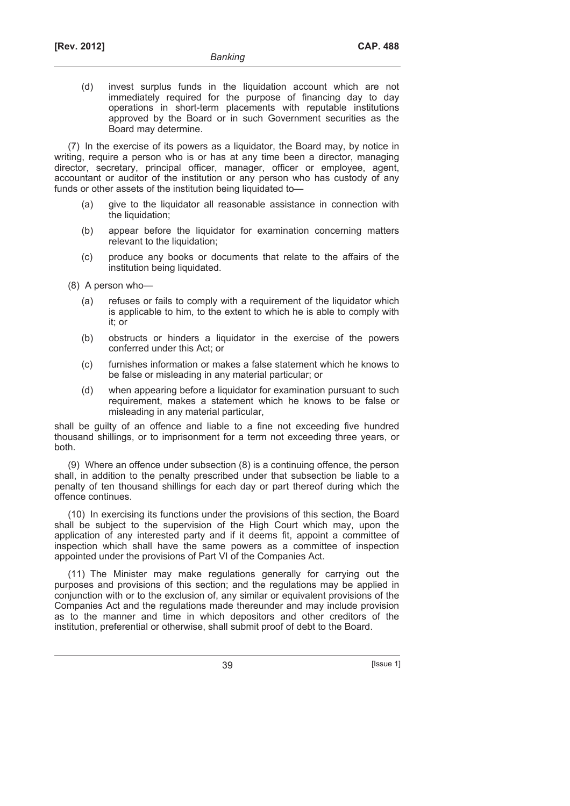(d) invest surplus funds in the liquidation account which are not immediately required for the purpose of financing day to day operations in short-term placements with reputable institutions approved by the Board or in such Government securities as the Board may determine.

(7) In the exercise of its powers as a liquidator, the Board may, by notice in writing, require a person who is or has at any time been a director, managing director, secretary, principal officer, manager, officer or employee, agent, accountant or auditor of the institution or any person who has custody of any funds or other assets of the institution being liquidated to—

- (a) give to the liquidator all reasonable assistance in connection with the liquidation;
- (b) appear before the liquidator for examination concerning matters relevant to the liquidation;
- (c) produce any books or documents that relate to the affairs of the institution being liquidated.
- (8) A person who—
	- (a) refuses or fails to comply with a requirement of the liquidator which is applicable to him, to the extent to which he is able to comply with it; or
	- (b) obstructs or hinders a liquidator in the exercise of the powers conferred under this Act; or
	- (c) furnishes information or makes a false statement which he knows to be false or misleading in any material particular; or
	- (d) when appearing before a liquidator for examination pursuant to such requirement, makes a statement which he knows to be false or misleading in any material particular,

shall be guilty of an offence and liable to a fine not exceeding five hundred thousand shillings, or to imprisonment for a term not exceeding three years, or both.

(9) Where an offence under subsection (8) is a continuing offence, the person shall, in addition to the penalty prescribed under that subsection be liable to a penalty of ten thousand shillings for each day or part thereof during which the offence continues.

(10) In exercising its functions under the provisions of this section, the Board shall be subject to the supervision of the High Court which may, upon the application of any interested party and if it deems fit, appoint a committee of inspection which shall have the same powers as a committee of inspection appointed under the provisions of Part VI of the Companies Act.

(11) The Minister may make regulations generally for carrying out the purposes and provisions of this section; and the regulations may be applied in conjunction with or to the exclusion of, any similar or equivalent provisions of the Companies Act and the regulations made thereunder and may include provision as to the manner and time in which depositors and other creditors of the institution, preferential or otherwise, shall submit proof of debt to the Board.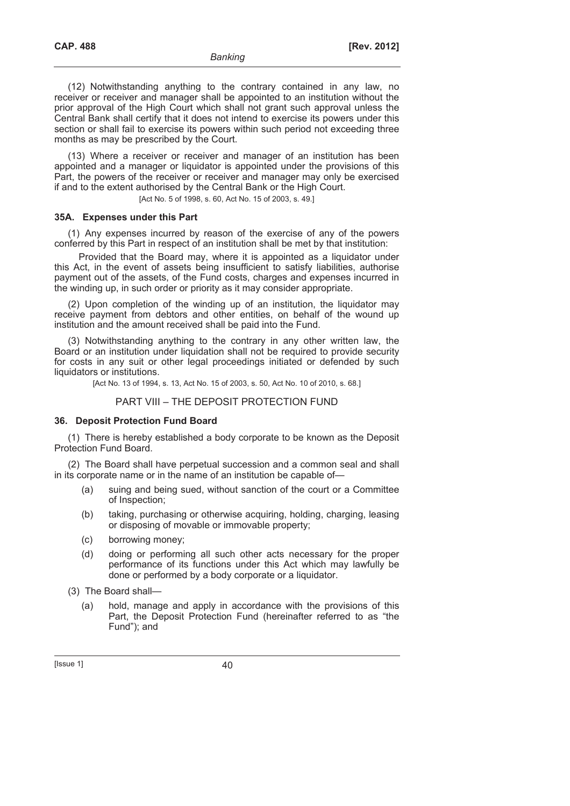(12) Notwithstanding anything to the contrary contained in any law, no receiver or receiver and manager shall be appointed to an institution without the prior approval of the High Court which shall not grant such approval unless the Central Bank shall certify that it does not intend to exercise its powers under this section or shall fail to exercise its powers within such period not exceeding three months as may be prescribed by the Court.

(13) Where a receiver or receiver and manager of an institution has been appointed and a manager or liquidator is appointed under the provisions of this Part, the powers of the receiver or receiver and manager may only be exercised if and to the extent authorised by the Central Bank or the High Court.

[Act No. 5 of 1998, s. 60, Act No. 15 of 2003, s. 49.]

## **35A. Expenses under this Part**

(1) Any expenses incurred by reason of the exercise of any of the powers conferred by this Part in respect of an institution shall be met by that institution:

Provided that the Board may, where it is appointed as a liquidator under this Act, in the event of assets being insufficient to satisfy liabilities, authorise payment out of the assets, of the Fund costs, charges and expenses incurred in the winding up, in such order or priority as it may consider appropriate.

(2) Upon completion of the winding up of an institution, the liquidator may receive payment from debtors and other entities, on behalf of the wound up institution and the amount received shall be paid into the Fund.

(3) Notwithstanding anything to the contrary in any other written law, the Board or an institution under liquidation shall not be required to provide security for costs in any suit or other legal proceedings initiated or defended by such liquidators or institutions.

[Act No. 13 of 1994, s. 13, Act No. 15 of 2003, s. 50, Act No. 10 of 2010, s. 68.]

## PART VIII – THE DEPOSIT PROTECTION FUND

## **36. Deposit Protection Fund Board**

(1) There is hereby established a body corporate to be known as the Deposit Protection Fund Board.

(2) The Board shall have perpetual succession and a common seal and shall in its corporate name or in the name of an institution be capable of—

- (a) suing and being sued, without sanction of the court or a Committee of Inspection;
- (b) taking, purchasing or otherwise acquiring, holding, charging, leasing or disposing of movable or immovable property;
- (c) borrowing money;
- (d) doing or performing all such other acts necessary for the proper performance of its functions under this Act which may lawfully be done or performed by a body corporate or a liquidator.

(3) The Board shall—

 (a) hold, manage and apply in accordance with the provisions of this Part, the Deposit Protection Fund (hereinafter referred to as "the Fund"); and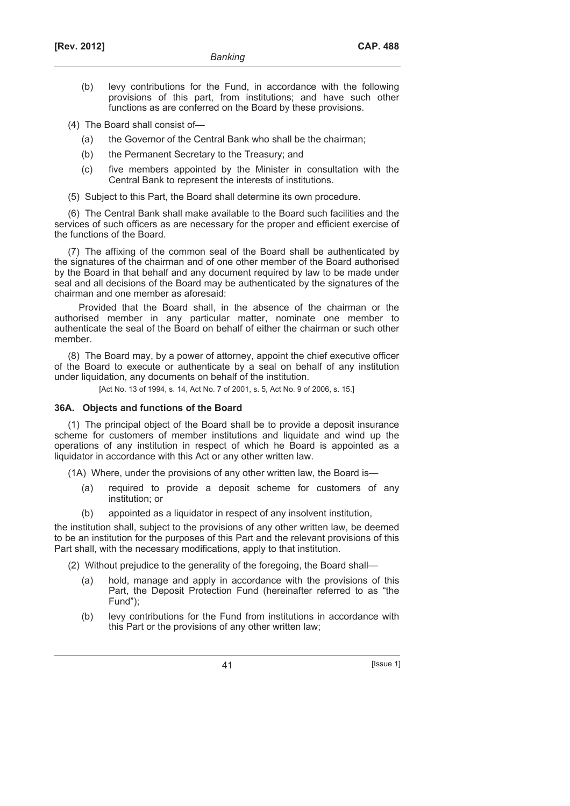- (b) levy contributions for the Fund, in accordance with the following provisions of this part, from institutions; and have such other functions as are conferred on the Board by these provisions.
- (4) The Board shall consist of—
	- (a) the Governor of the Central Bank who shall be the chairman;
	- (b) the Permanent Secretary to the Treasury; and
	- (c) five members appointed by the Minister in consultation with the Central Bank to represent the interests of institutions.
- (5) Subject to this Part, the Board shall determine its own procedure.

(6) The Central Bank shall make available to the Board such facilities and the services of such officers as are necessary for the proper and efficient exercise of the functions of the Board.

(7) The affixing of the common seal of the Board shall be authenticated by the signatures of the chairman and of one other member of the Board authorised by the Board in that behalf and any document required by law to be made under seal and all decisions of the Board may be authenticated by the signatures of the chairman and one member as aforesaid:

Provided that the Board shall, in the absence of the chairman or the authorised member in any particular matter, nominate one member to authenticate the seal of the Board on behalf of either the chairman or such other member.

(8) The Board may, by a power of attorney, appoint the chief executive officer of the Board to execute or authenticate by a seal on behalf of any institution under liquidation, any documents on behalf of the institution.

[Act No. 13 of 1994, s. 14, Act No. 7 of 2001, s. 5, Act No. 9 of 2006, s. 15.]

### **36A. Objects and functions of the Board**

(1) The principal object of the Board shall be to provide a deposit insurance scheme for customers of member institutions and liquidate and wind up the operations of any institution in respect of which he Board is appointed as a liquidator in accordance with this Act or any other written law.

(1A) Where, under the provisions of any other written law, the Board is—

- (a) required to provide a deposit scheme for customers of any institution; or
- (b) appointed as a liquidator in respect of any insolvent institution,

the institution shall, subject to the provisions of any other written law, be deemed to be an institution for the purposes of this Part and the relevant provisions of this Part shall, with the necessary modifications, apply to that institution.

(2) Without prejudice to the generality of the foregoing, the Board shall—

- (a) hold, manage and apply in accordance with the provisions of this Part, the Deposit Protection Fund (hereinafter referred to as "the Fund");
- (b) levy contributions for the Fund from institutions in accordance with this Part or the provisions of any other written law;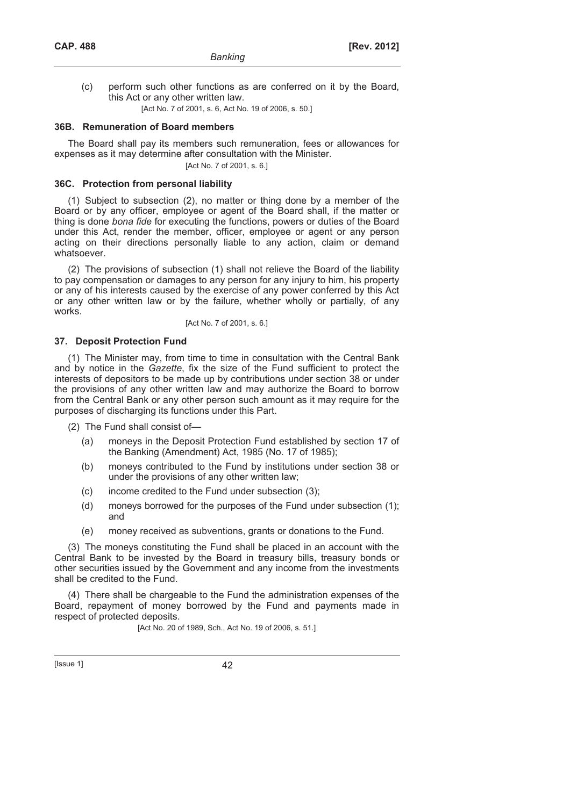(c) perform such other functions as are conferred on it by the Board, this Act or any other written law.

[Act No. 7 of 2001, s. 6, Act No. 19 of 2006, s. 50.]

## **36B. Remuneration of Board members**

The Board shall pay its members such remuneration, fees or allowances for expenses as it may determine after consultation with the Minister.

[Act No. 7 of 2001, s. 6.]

## **36C. Protection from personal liability**

(1) Subject to subsection (2), no matter or thing done by a member of the Board or by any officer, employee or agent of the Board shall, if the matter or thing is done *bona fide* for executing the functions, powers or duties of the Board under this Act, render the member, officer, employee or agent or any person acting on their directions personally liable to any action, claim or demand whatsoever.

(2) The provisions of subsection (1) shall not relieve the Board of the liability to pay compensation or damages to any person for any injury to him, his property or any of his interests caused by the exercise of any power conferred by this Act or any other written law or by the failure, whether wholly or partially, of any works.

[Act No. 7 of 2001, s. 6.]

## **37. Deposit Protection Fund**

(1) The Minister may, from time to time in consultation with the Central Bank and by notice in the *Gazette*, fix the size of the Fund sufficient to protect the interests of depositors to be made up by contributions under section 38 or under the provisions of any other written law and may authorize the Board to borrow from the Central Bank or any other person such amount as it may require for the purposes of discharging its functions under this Part.

(2) The Fund shall consist of—

- (a) moneys in the Deposit Protection Fund established by section 17 of the Banking (Amendment) Act, 1985 (No. 17 of 1985);
- (b) moneys contributed to the Fund by institutions under section 38 or under the provisions of any other written law;
- (c) income credited to the Fund under subsection (3);
- (d) moneys borrowed for the purposes of the Fund under subsection (1); and
- (e) money received as subventions, grants or donations to the Fund.

(3) The moneys constituting the Fund shall be placed in an account with the Central Bank to be invested by the Board in treasury bills, treasury bonds or other securities issued by the Government and any income from the investments shall be credited to the Fund.

(4) There shall be chargeable to the Fund the administration expenses of the Board, repayment of money borrowed by the Fund and payments made in respect of protected deposits.

[Act No. 20 of 1989, Sch., Act No. 19 of 2006, s. 51.]

[Issue 1] 42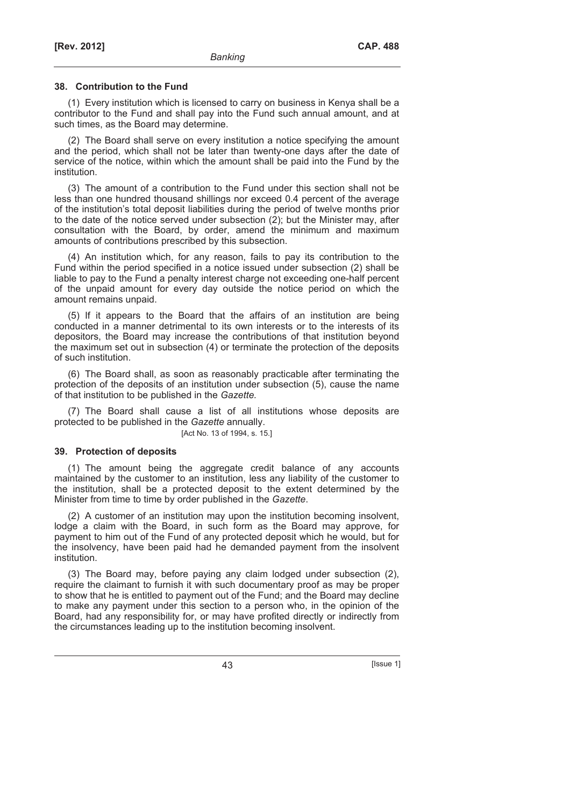## **38. Contribution to the Fund**

(1) Every institution which is licensed to carry on business in Kenya shall be a contributor to the Fund and shall pay into the Fund such annual amount, and at such times, as the Board may determine.

(2) The Board shall serve on every institution a notice specifying the amount and the period, which shall not be later than twenty-one days after the date of service of the notice, within which the amount shall be paid into the Fund by the institution.

(3) The amount of a contribution to the Fund under this section shall not be less than one hundred thousand shillings nor exceed 0.4 percent of the average of the institution's total deposit liabilities during the period of twelve months prior to the date of the notice served under subsection (2); but the Minister may, after consultation with the Board, by order, amend the minimum and maximum amounts of contributions prescribed by this subsection.

(4) An institution which, for any reason, fails to pay its contribution to the Fund within the period specified in a notice issued under subsection (2) shall be liable to pay to the Fund a penalty interest charge not exceeding one-half percent of the unpaid amount for every day outside the notice period on which the amount remains unpaid.

(5) If it appears to the Board that the affairs of an institution are being conducted in a manner detrimental to its own interests or to the interests of its depositors, the Board may increase the contributions of that institution beyond the maximum set out in subsection (4) or terminate the protection of the deposits of such institution.

(6) The Board shall, as soon as reasonably practicable after terminating the protection of the deposits of an institution under subsection (5), cause the name of that institution to be published in the *Gazette.* 

(7) The Board shall cause a list of all institutions whose deposits are protected to be published in the *Gazette* annually.

[Act No. 13 of 1994, s. 15.]

## **39. Protection of deposits**

(1) The amount being the aggregate credit balance of any accounts maintained by the customer to an institution, less any liability of the customer to the institution, shall be a protected deposit to the extent determined by the Minister from time to time by order published in the *Gazette*.

(2) A customer of an institution may upon the institution becoming insolvent, lodge a claim with the Board, in such form as the Board may approve, for payment to him out of the Fund of any protected deposit which he would, but for the insolvency, have been paid had he demanded payment from the insolvent institution.

(3) The Board may, before paying any claim lodged under subsection (2), require the claimant to furnish it with such documentary proof as may be proper to show that he is entitled to payment out of the Fund; and the Board may decline to make any payment under this section to a person who, in the opinion of the Board, had any responsibility for, or may have profited directly or indirectly from the circumstances leading up to the institution becoming insolvent.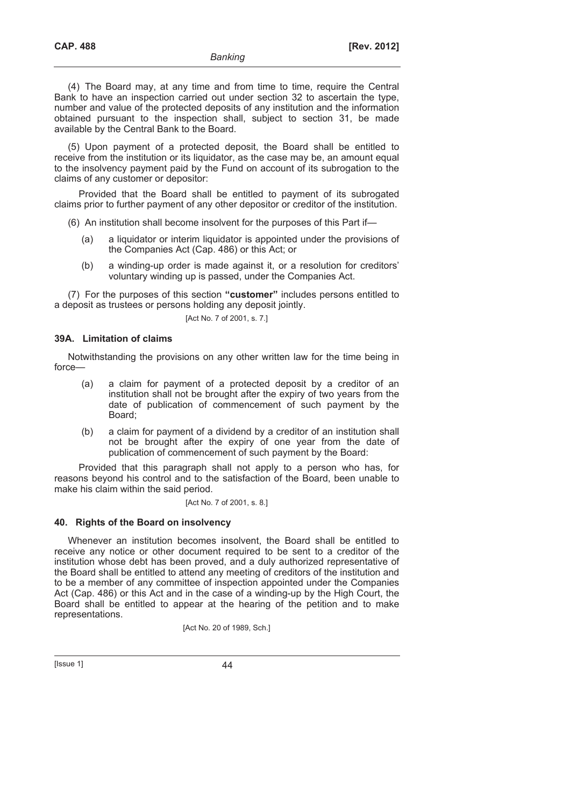(4) The Board may, at any time and from time to time, require the Central Bank to have an inspection carried out under section 32 to ascertain the type, number and value of the protected deposits of any institution and the information obtained pursuant to the inspection shall, subject to section 31, be made available by the Central Bank to the Board.

(5) Upon payment of a protected deposit, the Board shall be entitled to receive from the institution or its liquidator, as the case may be, an amount equal to the insolvency payment paid by the Fund on account of its subrogation to the claims of any customer or depositor:

Provided that the Board shall be entitled to payment of its subrogated claims prior to further payment of any other depositor or creditor of the institution.

- (6) An institution shall become insolvent for the purposes of this Part if—
	- (a) a liquidator or interim liquidator is appointed under the provisions of the Companies Act (Cap. 486) or this Act; or
	- (b) a winding-up order is made against it, or a resolution for creditors' voluntary winding up is passed, under the Companies Act.

(7) For the purposes of this section **"customer"** includes persons entitled to a deposit as trustees or persons holding any deposit jointly.

## [Act No. 7 of 2001, s. 7.]

## **39A. Limitation of claims**

Notwithstanding the provisions on any other written law for the time being in force—

- (a) a claim for payment of a protected deposit by a creditor of an institution shall not be brought after the expiry of two years from the date of publication of commencement of such payment by the Board;
- (b) a claim for payment of a dividend by a creditor of an institution shall not be brought after the expiry of one year from the date of publication of commencement of such payment by the Board:

Provided that this paragraph shall not apply to a person who has, for reasons beyond his control and to the satisfaction of the Board, been unable to make his claim within the said period.

### [Act No. 7 of 2001, s. 8.]

## **40. Rights of the Board on insolvency**

Whenever an institution becomes insolvent, the Board shall be entitled to receive any notice or other document required to be sent to a creditor of the institution whose debt has been proved, and a duly authorized representative of the Board shall be entitled to attend any meeting of creditors of the institution and to be a member of any committee of inspection appointed under the Companies Act (Cap. 486) or this Act and in the case of a winding-up by the High Court, the Board shall be entitled to appear at the hearing of the petition and to make representations.

[Act No. 20 of 1989, Sch.]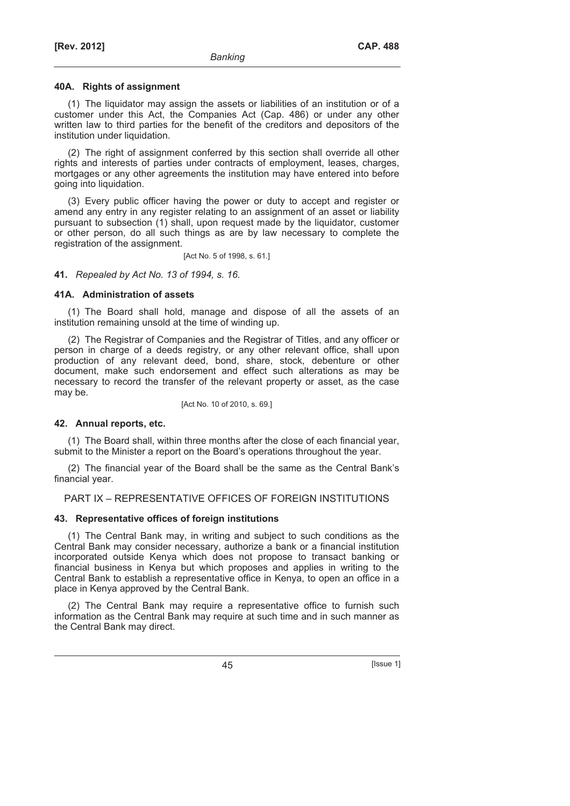#### **40A. Rights of assignment**

(1) The liquidator may assign the assets or liabilities of an institution or of a customer under this Act, the Companies Act (Cap. 486) or under any other written law to third parties for the benefit of the creditors and depositors of the institution under liquidation.

(2) The right of assignment conferred by this section shall override all other rights and interests of parties under contracts of employment, leases, charges, mortgages or any other agreements the institution may have entered into before going into liquidation.

(3) Every public officer having the power or duty to accept and register or amend any entry in any register relating to an assignment of an asset or liability pursuant to subsection (1) shall, upon request made by the liquidator, customer or other person, do all such things as are by law necessary to complete the registration of the assignment.

[Act No. 5 of 1998, s. 61.]

**41.** *Repealed by Act No. 13 of 1994, s. 16.*

## **41A. Administration of assets**

(1) The Board shall hold, manage and dispose of all the assets of an institution remaining unsold at the time of winding up.

(2) The Registrar of Companies and the Registrar of Titles, and any officer or person in charge of a deeds registry, or any other relevant office, shall upon production of any relevant deed, bond, share, stock, debenture or other document, make such endorsement and effect such alterations as may be necessary to record the transfer of the relevant property or asset, as the case may be.

[Act No. 10 of 2010, s. 69.]

## **42. Annual reports, etc.**

(1) The Board shall, within three months after the close of each financial year, submit to the Minister a report on the Board's operations throughout the year.

(2) The financial year of the Board shall be the same as the Central Bank's financial year.

PART IX – REPRESENTATIVE OFFICES OF FOREIGN INSTITUTIONS

## **43. Representative offices of foreign institutions**

(1) The Central Bank may, in writing and subject to such conditions as the Central Bank may consider necessary, authorize a bank or a financial institution incorporated outside Kenya which does not propose to transact banking or financial business in Kenya but which proposes and applies in writing to the Central Bank to establish a representative office in Kenya, to open an office in a place in Kenya approved by the Central Bank.

(2) The Central Bank may require a representative office to furnish such information as the Central Bank may require at such time and in such manner as the Central Bank may direct.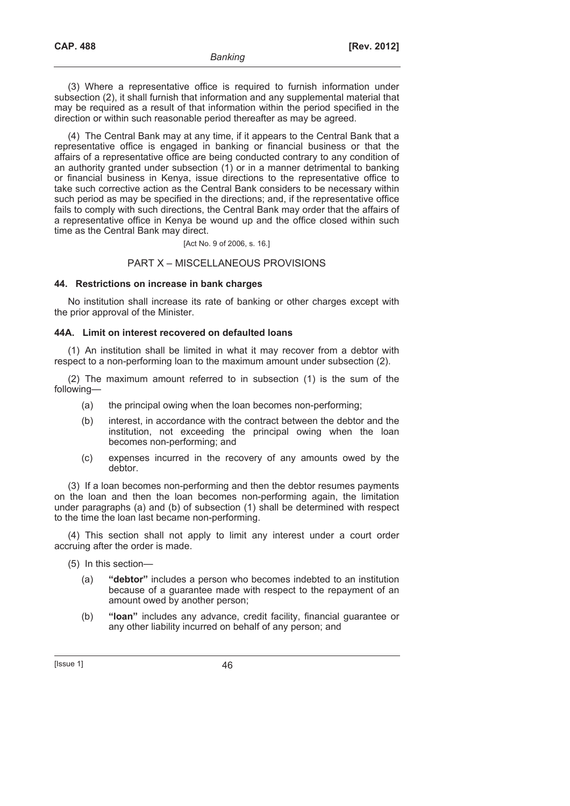(3) Where a representative office is required to furnish information under subsection (2), it shall furnish that information and any supplemental material that may be required as a result of that information within the period specified in the direction or within such reasonable period thereafter as may be agreed.

(4) The Central Bank may at any time, if it appears to the Central Bank that a representative office is engaged in banking or financial business or that the affairs of a representative office are being conducted contrary to any condition of an authority granted under subsection (1) or in a manner detrimental to banking or financial business in Kenya, issue directions to the representative office to take such corrective action as the Central Bank considers to be necessary within such period as may be specified in the directions; and, if the representative office fails to comply with such directions, the Central Bank may order that the affairs of a representative office in Kenya be wound up and the office closed within such time as the Central Bank may direct.

[Act No. 9 of 2006, s. 16.]

## PART X – MISCELLANEOUS PROVISIONS

## **44. Restrictions on increase in bank charges**

No institution shall increase its rate of banking or other charges except with the prior approval of the Minister.

## **44A. Limit on interest recovered on defaulted loans**

(1) An institution shall be limited in what it may recover from a debtor with respect to a non-performing loan to the maximum amount under subsection (2).

(2) The maximum amount referred to in subsection (1) is the sum of the following—

- (a) the principal owing when the loan becomes non-performing;
- (b) interest, in accordance with the contract between the debtor and the institution, not exceeding the principal owing when the loan becomes non-performing; and
- (c) expenses incurred in the recovery of any amounts owed by the debtor.

(3) If a loan becomes non-performing and then the debtor resumes payments on the loan and then the loan becomes non-performing again, the limitation under paragraphs (a) and (b) of subsection (1) shall be determined with respect to the time the loan last became non-performing.

(4) This section shall not apply to limit any interest under a court order accruing after the order is made.

- (5) In this section—
	- (a) **"debtor"** includes a person who becomes indebted to an institution because of a guarantee made with respect to the repayment of an amount owed by another person;
	- (b) **"loan"** includes any advance, credit facility, financial guarantee or any other liability incurred on behalf of any person; and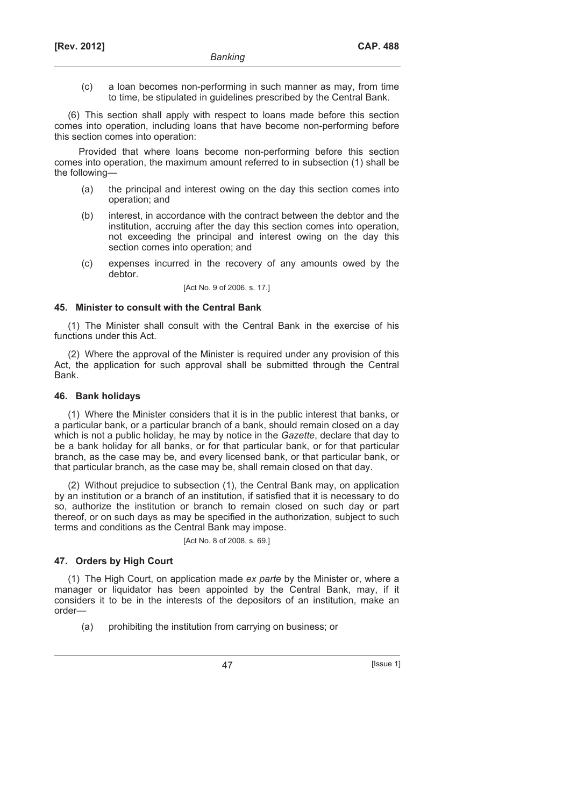(c) a loan becomes non-performing in such manner as may, from time to time, be stipulated in guidelines prescribed by the Central Bank.

(6) This section shall apply with respect to loans made before this section comes into operation, including loans that have become non-performing before this section comes into operation:

Provided that where loans become non-performing before this section comes into operation, the maximum amount referred to in subsection (1) shall be the following—

- (a) the principal and interest owing on the day this section comes into operation; and
- (b) interest, in accordance with the contract between the debtor and the institution, accruing after the day this section comes into operation, not exceeding the principal and interest owing on the day this section comes into operation; and
- (c) expenses incurred in the recovery of any amounts owed by the debtor.

[Act No. 9 of 2006, s. 17.]

## **45. Minister to consult with the Central Bank**

(1) The Minister shall consult with the Central Bank in the exercise of his functions under this Act.

(2) Where the approval of the Minister is required under any provision of this Act, the application for such approval shall be submitted through the Central Bank.

## **46. Bank holidays**

(1) Where the Minister considers that it is in the public interest that banks, or a particular bank, or a particular branch of a bank, should remain closed on a day which is not a public holiday, he may by notice in the *Gazette*, declare that day to be a bank holiday for all banks, or for that particular bank, or for that particular branch, as the case may be, and every licensed bank, or that particular bank, or that particular branch, as the case may be, shall remain closed on that day.

(2) Without prejudice to subsection (1), the Central Bank may, on application by an institution or a branch of an institution, if satisfied that it is necessary to do so, authorize the institution or branch to remain closed on such day or part thereof, or on such days as may be specified in the authorization, subject to such terms and conditions as the Central Bank may impose.

[Act No. 8 of 2008, s. 69.]

## **47. Orders by High Court**

(1) The High Court, on application made *ex parte* by the Minister or, where a manager or liquidator has been appointed by the Central Bank, may, if it considers it to be in the interests of the depositors of an institution, make an order—

(a) prohibiting the institution from carrying on business; or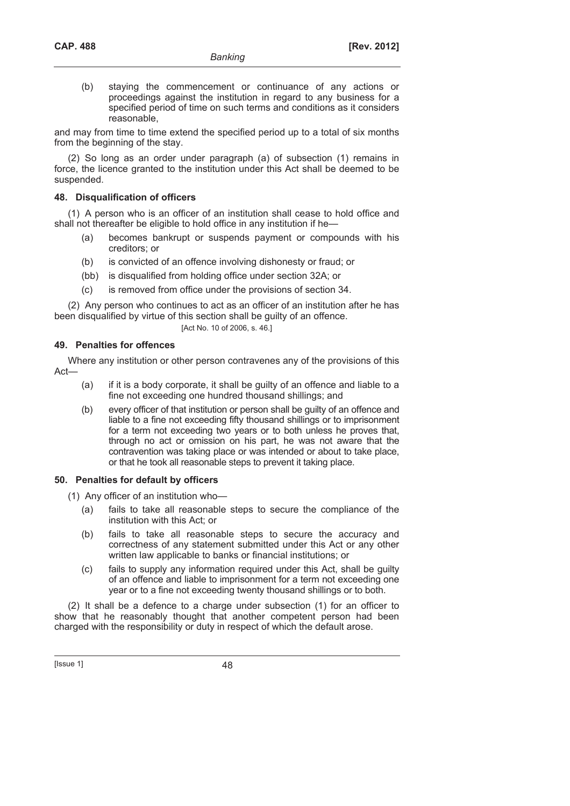(b) staying the commencement or continuance of any actions or proceedings against the institution in regard to any business for a specified period of time on such terms and conditions as it considers reasonable,

and may from time to time extend the specified period up to a total of six months from the beginning of the stay.

(2) So long as an order under paragraph (a) of subsection (1) remains in force, the licence granted to the institution under this Act shall be deemed to be suspended.

## **48. Disqualification of officers**

(1) A person who is an officer of an institution shall cease to hold office and shall not thereafter be eligible to hold office in any institution if he—

- (a) becomes bankrupt or suspends payment or compounds with his creditors; or
- (b) is convicted of an offence involving dishonesty or fraud; or
- (bb) is disqualified from holding office under section 32A; or
- (c) is removed from office under the provisions of section 34.

(2) Any person who continues to act as an officer of an institution after he has been disqualified by virtue of this section shall be guilty of an offence.

[Act No. 10 of 2006, s. 46.]

## **49. Penalties for offences**

Where any institution or other person contravenes any of the provisions of this Act—

- (a) if it is a body corporate, it shall be guilty of an offence and liable to a fine not exceeding one hundred thousand shillings; and
- (b) every officer of that institution or person shall be guilty of an offence and liable to a fine not exceeding fifty thousand shillings or to imprisonment for a term not exceeding two years or to both unless he proves that, through no act or omission on his part, he was not aware that the contravention was taking place or was intended or about to take place, or that he took all reasonable steps to prevent it taking place.

## **50. Penalties for default by officers**

(1) Any officer of an institution who—

- (a) fails to take all reasonable steps to secure the compliance of the institution with this Act; or
- (b) fails to take all reasonable steps to secure the accuracy and correctness of any statement submitted under this Act or any other written law applicable to banks or financial institutions; or
- (c) fails to supply any information required under this Act, shall be guilty of an offence and liable to imprisonment for a term not exceeding one year or to a fine not exceeding twenty thousand shillings or to both.

(2) It shall be a defence to a charge under subsection (1) for an officer to show that he reasonably thought that another competent person had been charged with the responsibility or duty in respect of which the default arose.

[Issue 1] 48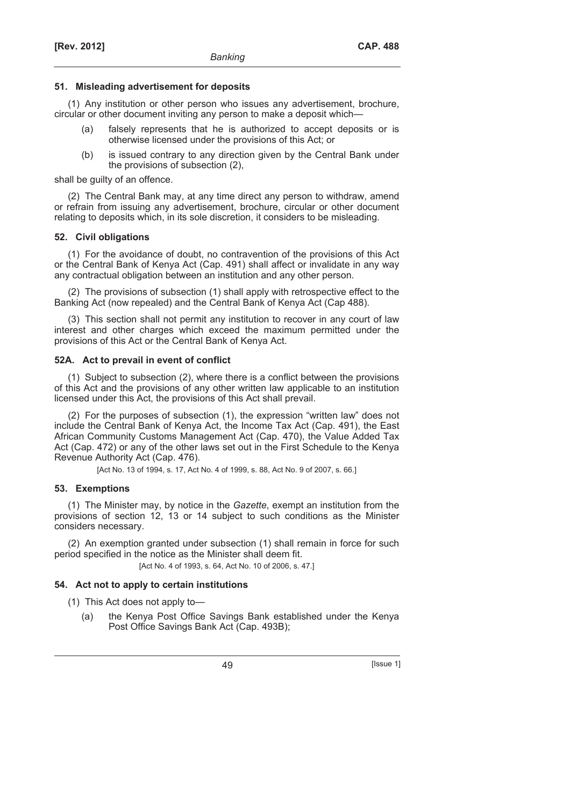## **51. Misleading advertisement for deposits**

(1) Any institution or other person who issues any advertisement, brochure, circular or other document inviting any person to make a deposit which—

- (a) falsely represents that he is authorized to accept deposits or is otherwise licensed under the provisions of this Act; or
- (b) is issued contrary to any direction given by the Central Bank under the provisions of subsection (2),

shall be guilty of an offence.

(2) The Central Bank may, at any time direct any person to withdraw, amend or refrain from issuing any advertisement, brochure, circular or other document relating to deposits which, in its sole discretion, it considers to be misleading.

## **52. Civil obligations**

(1) For the avoidance of doubt, no contravention of the provisions of this Act or the Central Bank of Kenya Act (Cap. 491) shall affect or invalidate in any way any contractual obligation between an institution and any other person.

(2) The provisions of subsection (1) shall apply with retrospective effect to the Banking Act (now repealed) and the Central Bank of Kenya Act (Cap 488).

(3) This section shall not permit any institution to recover in any court of law interest and other charges which exceed the maximum permitted under the provisions of this Act or the Central Bank of Kenya Act.

## **52A. Act to prevail in event of conflict**

(1) Subject to subsection (2), where there is a conflict between the provisions of this Act and the provisions of any other written law applicable to an institution licensed under this Act, the provisions of this Act shall prevail.

(2) For the purposes of subsection (1), the expression "written law" does not include the Central Bank of Kenya Act, the Income Tax Act (Cap. 491), the East African Community Customs Management Act (Cap. 470), the Value Added Tax Act (Cap. 472) or any of the other laws set out in the First Schedule to the Kenya Revenue Authority Act (Cap. 476).

[Act No. 13 of 1994, s. 17, Act No. 4 of 1999, s. 88, Act No. 9 of 2007, s. 66.]

## **53. Exemptions**

(1) The Minister may, by notice in the *Gazette*, exempt an institution from the provisions of section 12, 13 or 14 subject to such conditions as the Minister considers necessary.

(2) An exemption granted under subsection (1) shall remain in force for such period specified in the notice as the Minister shall deem fit.

[Act No. 4 of 1993, s. 64, Act No. 10 of 2006, s. 47.]

## **54. Act not to apply to certain institutions**

(1) This Act does not apply to—

 (a) the Kenya Post Office Savings Bank established under the Kenya Post Office Savings Bank Act (Cap. 493B);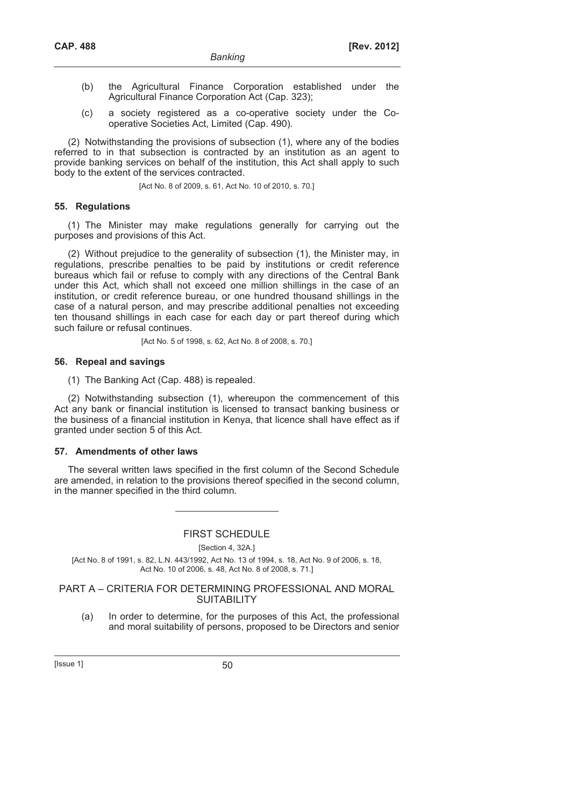- (b) the Agricultural Finance Corporation established under the Agricultural Finance Corporation Act (Cap. 323);
- (c) a society registered as a co-operative society under the Cooperative Societies Act, Limited (Cap. 490).

(2) Notwithstanding the provisions of subsection (1), where any of the bodies referred to in that subsection is contracted by an institution as an agent to provide banking services on behalf of the institution, this Act shall apply to such body to the extent of the services contracted.

[Act No. 8 of 2009, s. 61, Act No. 10 of 2010, s. 70.]

## **55. Regulations**

(1) The Minister may make regulations generally for carrying out the purposes and provisions of this Act.

(2) Without prejudice to the generality of subsection (1), the Minister may, in regulations, prescribe penalties to be paid by institutions or credit reference bureaus which fail or refuse to comply with any directions of the Central Bank under this Act, which shall not exceed one million shillings in the case of an institution, or credit reference bureau, or one hundred thousand shillings in the case of a natural person, and may prescribe additional penalties not exceeding ten thousand shillings in each case for each day or part thereof during which such failure or refusal continues.

[Act No. 5 of 1998, s. 62, Act No. 8 of 2008, s. 70.]

## **56. Repeal and savings**

(1) The Banking Act (Cap. 488) is repealed.

(2) Notwithstanding subsection (1), whereupon the commencement of this Act any bank or financial institution is licensed to transact banking business or the business of a financial institution in Kenya, that licence shall have effect as if granted under section 5 of this Act.

## **57. Amendments of other laws**

The several written laws specified in the first column of the Second Schedule are amended, in relation to the provisions thereof specified in the second column, in the manner specified in the third column.

## FIRST SCHEDULE

[Section 4, 32A.]

[Act No. 8 of 1991, s. 82, L.N. 443/1992, Act No. 13 of 1994, s. 18, Act No. 9 of 2006, s. 18, Act No. 10 of 2006, s. 48, Act No. 8 of 2008, s. 71.]

## PART A – CRITERIA FOR DETERMINING PROFESSIONAL AND MORAL **SUITABILITY**

 (a) In order to determine, for the purposes of this Act, the professional and moral suitability of persons, proposed to be Directors and senior

 $[|$ ssue 1 $]$  50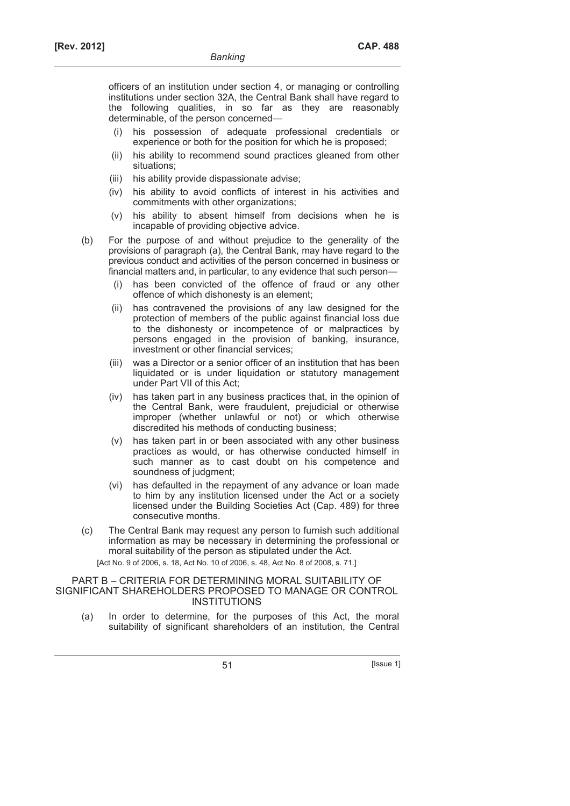officers of an institution under section 4, or managing or controlling institutions under section 32A, the Central Bank shall have regard to the following qualities, in so far as they are reasonably determinable, of the person concerned—

- (i) his possession of adequate professional credentials or experience or both for the position for which he is proposed;
- (ii) his ability to recommend sound practices gleaned from other situations;
- (iii) his ability provide dispassionate advise;
- (iv) his ability to avoid conflicts of interest in his activities and commitments with other organizations;
- (v) his ability to absent himself from decisions when he is incapable of providing objective advice.
- (b) For the purpose of and without prejudice to the generality of the provisions of paragraph (a), the Central Bank, may have regard to the previous conduct and activities of the person concerned in business or financial matters and, in particular, to any evidence that such person
	- has been convicted of the offence of fraud or any other offence of which dishonesty is an element;
	- (ii) has contravened the provisions of any law designed for the protection of members of the public against financial loss due to the dishonesty or incompetence of or malpractices by persons engaged in the provision of banking, insurance, investment or other financial services;
	- (iii) was a Director or a senior officer of an institution that has been liquidated or is under liquidation or statutory management under Part VII of this Act;
	- (iv) has taken part in any business practices that, in the opinion of the Central Bank, were fraudulent, prejudicial or otherwise improper (whether unlawful or not) or which otherwise discredited his methods of conducting business;
	- (v) has taken part in or been associated with any other business practices as would, or has otherwise conducted himself in such manner as to cast doubt on his competence and soundness of judgment;
	- (vi) has defaulted in the repayment of any advance or loan made to him by any institution licensed under the Act or a society licensed under the Building Societies Act (Cap. 489) for three consecutive months.
- (c) The Central Bank may request any person to furnish such additional information as may be necessary in determining the professional or moral suitability of the person as stipulated under the Act. [Act No. 9 of 2006, s. 18, Act No. 10 of 2006, s. 48, Act No. 8 of 2008, s. 71.]

PART B – CRITERIA FOR DETERMINING MORAL SUITABILITY OF SIGNIFICANT SHAREHOLDERS PROPOSED TO MANAGE OR CONTROL INSTITUTIONS

 (a) In order to determine, for the purposes of this Act, the moral suitability of significant shareholders of an institution, the Central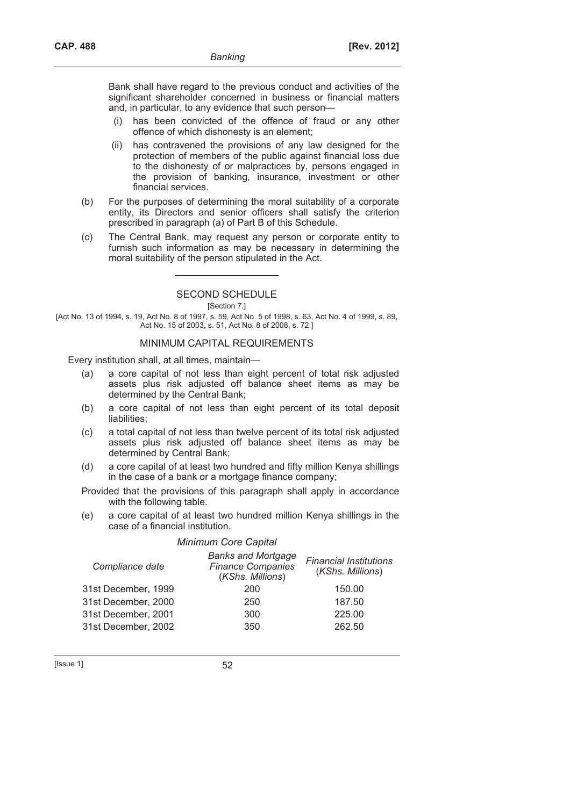Bank shall have regard to the previous conduct and activities of the significant shareholder concerned in business or financial matters and, in particular, to any evidence that such person—

- (i) has been convicted of the offence of fraud or any other offence of which dishonesty is an element;
- (ii) has contravened the provisions of any law designed for the protection of members of the public against financial loss due to the dishonesty of or malpractices by, persons engaged in the provision of banking, insurance, investment or other financial services.
- (b) For the purposes of determining the moral suitability of a corporate entity, its Directors and senior officers shall satisfy the criterion prescribed in paragraph (a) of Part B of this Schedule.
- (c) The Central Bank, may request any person or corporate entity to furnish such information as may be necessary in determining the moral suitability of the person stipulated in the Act.

## SECOND SCHEDULE

[Section 7.]

[Act No. 13 of 1994, s. 19, Act No. 8 of 1997, s. 59, Act No. 5 of 1998, s. 63, Act No. 4 of 1999, s. 89, Act No. 15 of 2003, s. 51, Act No. 8 of 2008, s. 72.]

## MINIMUM CAPITAL REQUIREMENTS

Every institution shall, at all times, maintain—

- (a) a core capital of not less than eight percent of total risk adjusted assets plus risk adjusted off balance sheet items as may be determined by the Central Bank;
- (b) a core capital of not less than eight percent of its total deposit liabilities:
- (c) a total capital of not less than twelve percent of its total risk adjusted assets plus risk adjusted off balance sheet items as may be determined by Central Bank;
- (d) a core capital of at least two hundred and fifty million Kenya shillings in the case of a bank or a mortgage finance company;

 Provided that the provisions of this paragraph shall apply in accordance with the following table.

 (e) a core capital of at least two hundred million Kenya shillings in the case of a financial institution.

## *Minimum Core Capital*

| Compliance date     | <b>Banks and Mortgage</b><br><b>Finance Companies</b><br>(KShs. Millions) | <b>Financial Institutions</b><br>(KShs. Millions) |
|---------------------|---------------------------------------------------------------------------|---------------------------------------------------|
| 31st December, 1999 | 200                                                                       | 150.00                                            |
| 31st December, 2000 | 250                                                                       | 187.50                                            |
| 31st December, 2001 | 300                                                                       | 225.00                                            |
| 31st December, 2002 | 350                                                                       | 262.50                                            |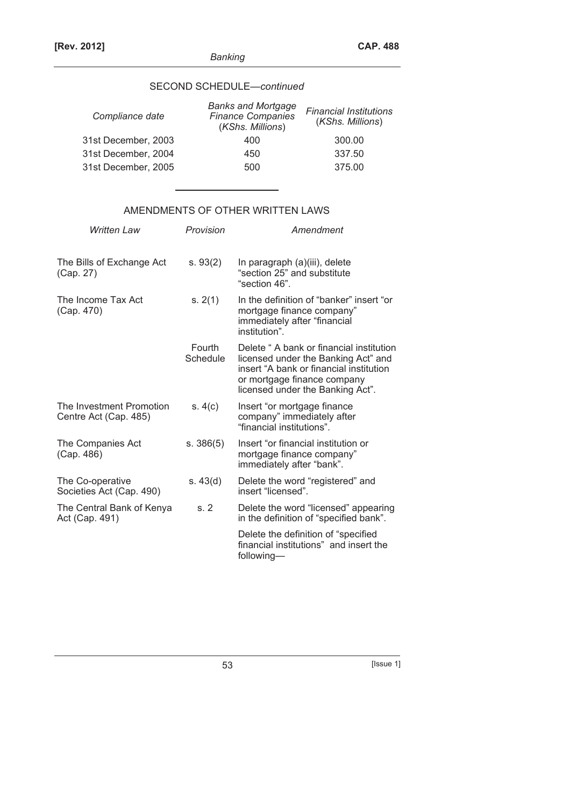# SECOND SCHEDULE—*continued*

| Compliance date     | <b>Banks and Mortgage</b><br><b>Finance Companies</b><br>(KShs. Millions) | <b>Financial Institutions</b><br>(KShs. Millions) |
|---------------------|---------------------------------------------------------------------------|---------------------------------------------------|
| 31st December, 2003 | 400                                                                       | 300.00                                            |
| 31st December, 2004 | 450                                                                       | 337.50                                            |
| 31st December, 2005 | 500                                                                       | 375.00                                            |
|                     |                                                                           |                                                   |

# AMENDMENTS OF OTHER WRITTEN LAWS

| <b>Written Law</b>                                | Provision          | Amendment                                                                                                                                                                                    |
|---------------------------------------------------|--------------------|----------------------------------------------------------------------------------------------------------------------------------------------------------------------------------------------|
| The Bills of Exchange Act<br>(Cap. 27)            | s. 93(2)           | In paragraph (a)(iii), delete<br>"section 25" and substitute<br>"section 46".                                                                                                                |
| The Income Tax Act<br>(Cap. 470)                  | s. 2(1)            | In the definition of "banker" insert "or<br>mortgage finance company"<br>immediately after "financial<br>institution".                                                                       |
|                                                   | Fourth<br>Schedule | Delete "A bank or financial institution<br>licensed under the Banking Act" and<br>insert "A bank or financial institution<br>or mortgage finance company<br>licensed under the Banking Act". |
| The Investment Promotion<br>Centre Act (Cap. 485) | s. 4(c)            | Insert "or mortgage finance<br>company" immediately after<br>"financial institutions".                                                                                                       |
| The Companies Act<br>(Cap. 486)                   | s. 386(5)          | Insert "or financial institution or<br>mortgage finance company"<br>immediately after "bank".                                                                                                |
| The Co-operative<br>Societies Act (Cap. 490)      | s. $43(d)$         | Delete the word "registered" and<br>insert "licensed".                                                                                                                                       |
| The Central Bank of Kenya<br>Act (Cap. 491)       | s.2                | Delete the word "licensed" appearing<br>in the definition of "specified bank".                                                                                                               |
|                                                   |                    | Delete the definition of "specified<br>financial institutions" and insert the<br>following—                                                                                                  |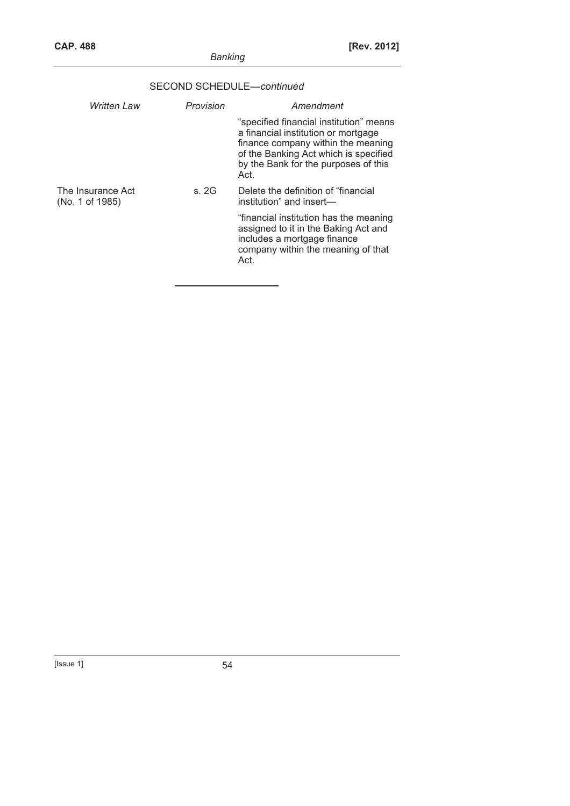|                                      | SECOND SCHEDULE-continued |                                                                                                                                                                                                               |  |
|--------------------------------------|---------------------------|---------------------------------------------------------------------------------------------------------------------------------------------------------------------------------------------------------------|--|
| Written Law                          | Provision                 | Amendment                                                                                                                                                                                                     |  |
|                                      |                           | "specified financial institution" means<br>a financial institution or mortgage<br>finance company within the meaning<br>of the Banking Act which is specified<br>by the Bank for the purposes of this<br>Act. |  |
| The Insurance Act<br>(No. 1 of 1985) | s. 2G                     | Delete the definition of "financial"<br>institution" and insert-                                                                                                                                              |  |
|                                      |                           | "financial institution has the meaning<br>assigned to it in the Baking Act and<br>includes a mortgage finance<br>company within the meaning of that<br>Act.                                                   |  |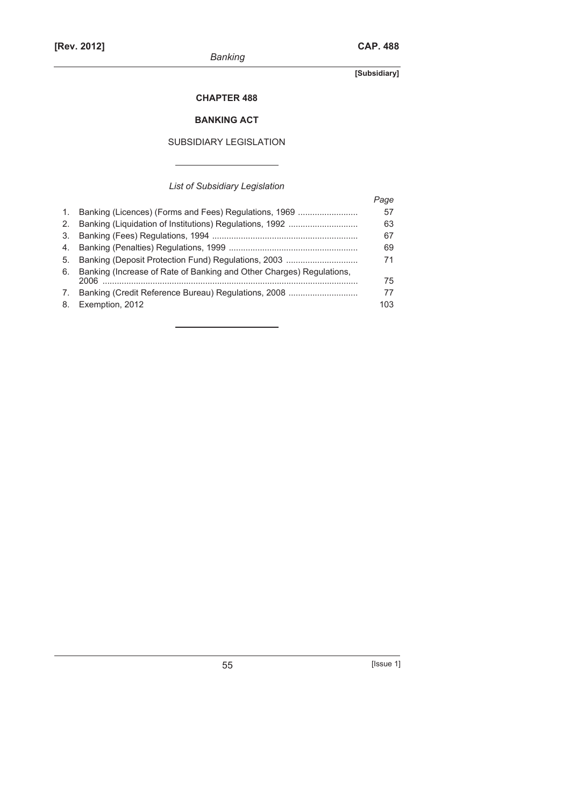**[Subsidiary]** 

## **CHAPTER 488**

# **BANKING ACT**

# SUBSIDIARY LEGISLATION

*List of Subsidiary Legislation* 

|                |                                                                      | Paqe |
|----------------|----------------------------------------------------------------------|------|
| $\mathbf{1}$ . | Banking (Licences) (Forms and Fees) Regulations, 1969                | 57   |
| 2.             |                                                                      | 63   |
| 3.             |                                                                      | 67   |
| 4.             |                                                                      | 69   |
| 5.             | Banking (Deposit Protection Fund) Regulations, 2003                  | 71   |
| 6.             | Banking (Increase of Rate of Banking and Other Charges) Regulations. |      |
|                | 2006                                                                 | 75   |
| 7.             | Banking (Credit Reference Bureau) Regulations, 2008                  | 77   |
| 8.             | Exemption, 2012                                                      | 103  |

55 [Issue 1]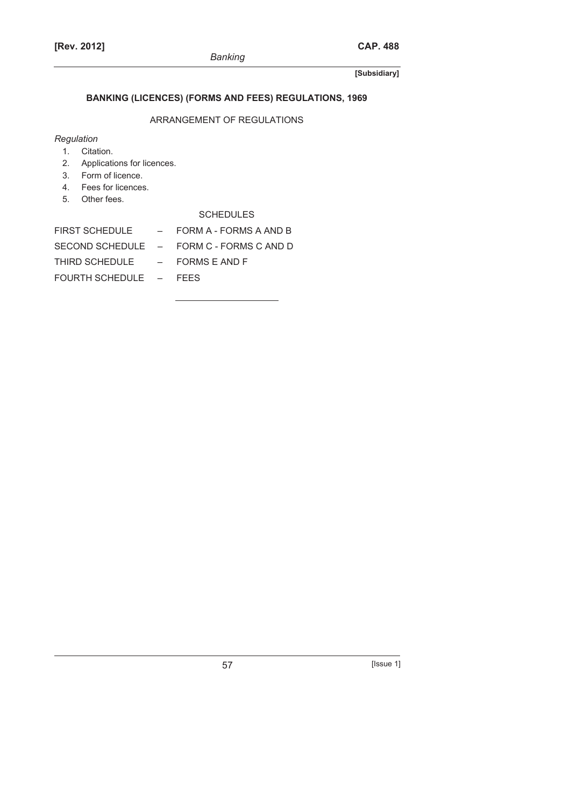# **BANKING (LICENCES) (FORMS AND FEES) REGULATIONS, 1969**

## ARRANGEMENT OF REGULATIONS

# *Regulation*

- 1. Citation.
- 2. Applications for licences.
- 3. Form of licence.
- 4. Fees for licences.
- 5. Other fees.

# SCHEDULES

| FIRST SCHEDULE                 | $-$ FORM A - FORMS A AND B               |
|--------------------------------|------------------------------------------|
|                                | SECOND SCHEDULE - FORM C - FORMS C AND D |
| THIRD SCHEDULE - FORMS E AND F |                                          |
| FOURTH SCHEDULE - FEES         |                                          |
|                                |                                          |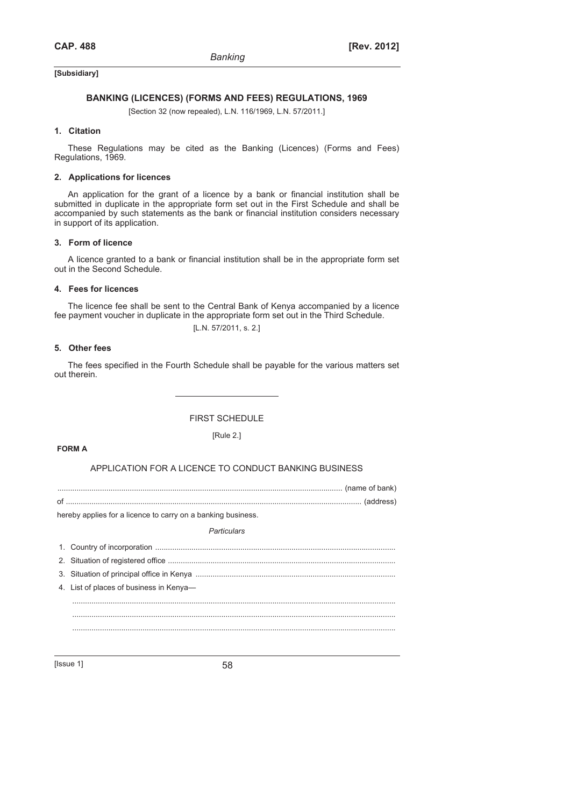**[Subsidiary]**

## **BANKING (LICENCES) (FORMS AND FEES) REGULATIONS, 1969**

[Section 32 (now repealed), L.N. 116/1969, L.N. 57/2011.]

#### **1. Citation**

These Regulations may be cited as the Banking (Licences) (Forms and Fees) Regulations, 1969.

#### **2. Applications for licences**

An application for the grant of a licence by a bank or financial institution shall be submitted in duplicate in the appropriate form set out in the First Schedule and shall be accompanied by such statements as the bank or financial institution considers necessary in support of its application.

## **3. Form of licence**

A licence granted to a bank or financial institution shall be in the appropriate form set out in the Second Schedule.

## **4. Fees for licences**

The licence fee shall be sent to the Central Bank of Kenya accompanied by a licence fee payment voucher in duplicate in the appropriate form set out in the Third Schedule.

[L.N. 57/2011, s. 2.]

### **5. Other fees**

The fees specified in the Fourth Schedule shall be payable for the various matters set out therein.

## FIRST SCHEDULE

## [Rule 2.]

#### **FORM A**

## APPLICATION FOR A LICENCE TO CONDUCT BANKING BUSINESS

...................................................................................................................................... (name of bank)

of ........................................................................................................................................... (address)

hereby applies for a licence to carry on a banking business.

#### *Particulars*

| 4. List of places of business in Kenya- |
|-----------------------------------------|
|                                         |
|                                         |
|                                         |
|                                         |

 $[|$ ssue 1 $]$  58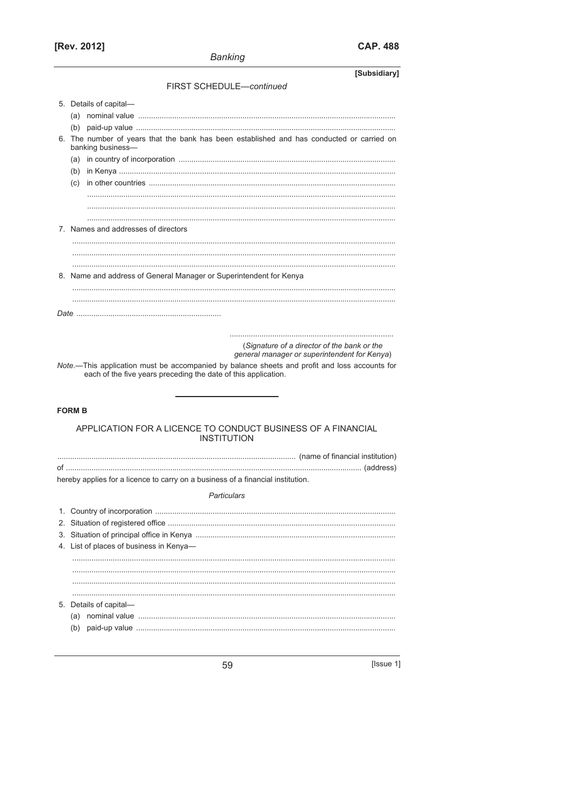# [Rev. 2012]

| o<br>١١ | <b>88</b> |
|---------|-----------|
|---------|-----------|

| [Subsidiary]                                                                                                   |
|----------------------------------------------------------------------------------------------------------------|
| FIRST SCHEDULE-continued                                                                                       |
| 5. Details of capital-                                                                                         |
|                                                                                                                |
|                                                                                                                |
| 6. The number of years that the bank has been established and has conducted or carried on<br>banking business- |
|                                                                                                                |
|                                                                                                                |
|                                                                                                                |
|                                                                                                                |
|                                                                                                                |
|                                                                                                                |
| 7. Names and addresses of directors                                                                            |
|                                                                                                                |
|                                                                                                                |
|                                                                                                                |
| 8. Name and address of General Manager or Superintendent for Kenya                                             |
|                                                                                                                |
|                                                                                                                |
|                                                                                                                |
|                                                                                                                |
|                                                                                                                |
| (Signature of a director of the bank or the                                                                    |
| general manager or superintendent for Kenya)                                                                   |
| Note.-This application must be accompanied by balance sheets and profit and loss accounts for                  |
| each of the five years preceding the date of this application.                                                 |
|                                                                                                                |
|                                                                                                                |
| <b>FORM B</b>                                                                                                  |
|                                                                                                                |
| APPLICATION FOR A LICENCE TO CONDUCT BUSINESS OF A FINANCIAL                                                   |
| <b>INSTITUTION</b>                                                                                             |
|                                                                                                                |
|                                                                                                                |
| hereby applies for a licence to carry on a business of a financial institution.                                |
| Particulars                                                                                                    |
|                                                                                                                |
|                                                                                                                |
|                                                                                                                |
|                                                                                                                |
| 4. List of places of business in Kenya-                                                                        |
|                                                                                                                |
|                                                                                                                |
|                                                                                                                |
|                                                                                                                |
| 5. Details of capital-                                                                                         |
|                                                                                                                |
| (b)                                                                                                            |
|                                                                                                                |

 $\begin{array}{c}\n\hline\n\hline\n\hline\n\hline\n\hline\n\hline\n\hline\n\hline\n\hline\n\end{array}$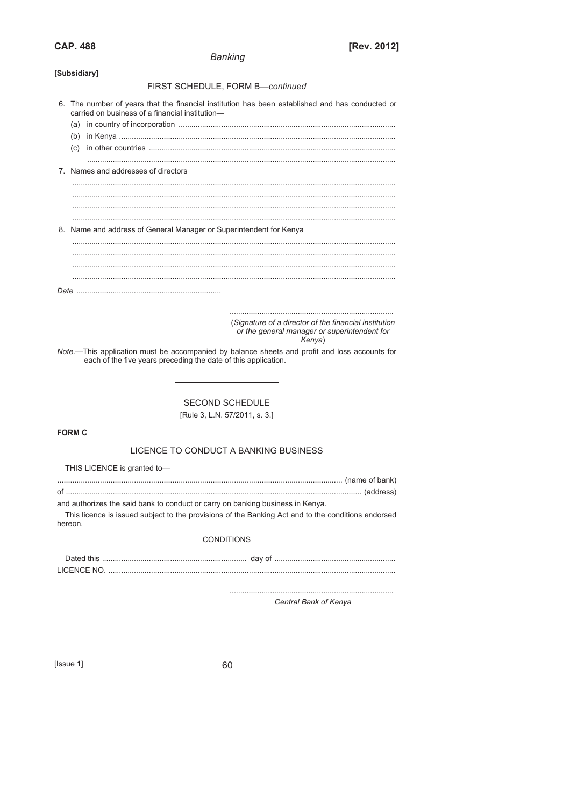|               | Danking                                                                                                                                            |
|---------------|----------------------------------------------------------------------------------------------------------------------------------------------------|
| [Subsidiary]  |                                                                                                                                                    |
|               | FIRST SCHEDULE, FORM B-continued                                                                                                                   |
|               | 6. The number of years that the financial institution has been established and has conducted or<br>carried on business of a financial institution- |
|               |                                                                                                                                                    |
|               |                                                                                                                                                    |
|               |                                                                                                                                                    |
|               | 7. Names and addresses of directors                                                                                                                |
|               |                                                                                                                                                    |
|               |                                                                                                                                                    |
|               |                                                                                                                                                    |
|               | 8. Name and address of General Manager or Superintendent for Kenya                                                                                 |
|               |                                                                                                                                                    |
|               |                                                                                                                                                    |
|               |                                                                                                                                                    |
|               |                                                                                                                                                    |
|               |                                                                                                                                                    |
|               | (Signature of a director of the financial institution<br>or the general manager or superintendent for<br>Kenya)                                    |
|               | Note.-This application must be accompanied by balance sheets and profit and loss accounts for                                                      |
|               | each of the five years preceding the date of this application.                                                                                     |
|               |                                                                                                                                                    |
|               |                                                                                                                                                    |
|               | <b>SECOND SCHEDULE</b>                                                                                                                             |
|               | [Rule 3, L.N. 57/2011, s. 3.]                                                                                                                      |
| <b>FORM C</b> |                                                                                                                                                    |
|               | LICENCE TO CONDUCT A BANKING BUSINESS                                                                                                              |
|               |                                                                                                                                                    |
|               | THIS LICENCE is granted to-                                                                                                                        |
|               |                                                                                                                                                    |
|               | and authorizes the said bank to conduct or carry on banking business in Kenya.                                                                     |
| hereon.       | This licence is issued subject to the provisions of the Banking Act and to the conditions endorsed                                                 |
|               | <b>CONDITIONS</b>                                                                                                                                  |
|               |                                                                                                                                                    |
|               |                                                                                                                                                    |
|               |                                                                                                                                                    |
|               | Central Bank of Kenya                                                                                                                              |
|               |                                                                                                                                                    |
|               |                                                                                                                                                    |
|               |                                                                                                                                                    |

[Issue 1]

60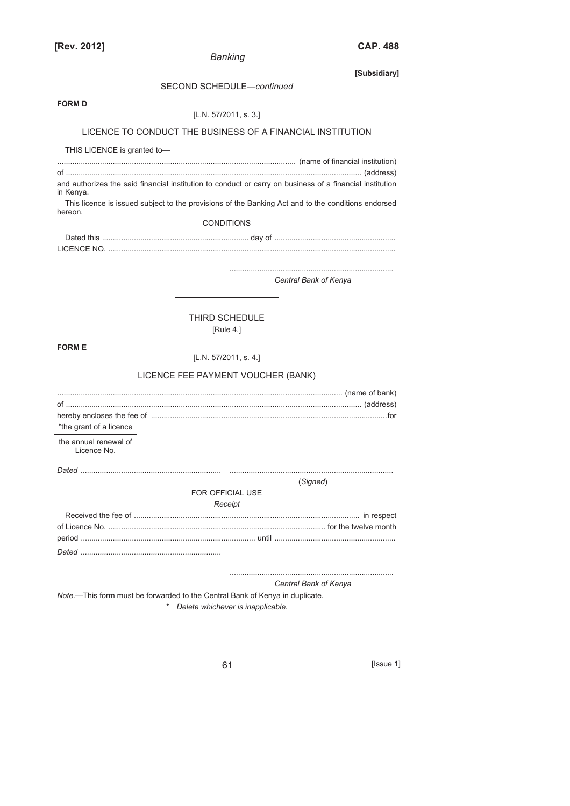| [Rev. 2012]                          |                                                                                                          | CAP. 488     |
|--------------------------------------|----------------------------------------------------------------------------------------------------------|--------------|
|                                      | <b>Banking</b>                                                                                           |              |
|                                      |                                                                                                          | [Subsidiary] |
|                                      | SECOND SCHEDULE-continued                                                                                |              |
| <b>FORM D</b>                        |                                                                                                          |              |
|                                      | [L.N. $57/2011$ , s. 3.]                                                                                 |              |
|                                      | LICENCE TO CONDUCT THE BUSINESS OF A FINANCIAL INSTITUTION                                               |              |
| THIS LICENCE is granted to-          |                                                                                                          |              |
|                                      |                                                                                                          |              |
|                                      | and authorizes the said financial institution to conduct or carry on business of a financial institution |              |
| in Kenya.                            |                                                                                                          |              |
| hereon.                              | This licence is issued subject to the provisions of the Banking Act and to the conditions endorsed       |              |
|                                      | <b>CONDITIONS</b>                                                                                        |              |
|                                      |                                                                                                          |              |
|                                      |                                                                                                          |              |
|                                      |                                                                                                          |              |
|                                      | Central Bank of Kenya                                                                                    |              |
|                                      |                                                                                                          |              |
|                                      | THIRD SCHEDULE                                                                                           |              |
|                                      | [Rule 4.]                                                                                                |              |
| <b>FORM E</b>                        |                                                                                                          |              |
|                                      | [L.N. $57/2011$ , s. 4.]                                                                                 |              |
|                                      | LICENCE FEE PAYMENT VOUCHER (BANK)                                                                       |              |
|                                      |                                                                                                          |              |
|                                      |                                                                                                          |              |
|                                      |                                                                                                          |              |
| *the grant of a licence              |                                                                                                          |              |
| the annual renewal of<br>Licence No. |                                                                                                          |              |
| Dated                                |                                                                                                          |              |
|                                      | (Signed)                                                                                                 |              |
|                                      | FOR OFFICIAL USE                                                                                         |              |
|                                      | Receipt                                                                                                  |              |
|                                      |                                                                                                          |              |
|                                      |                                                                                                          |              |
|                                      |                                                                                                          |              |

............................................................................. *Central Bank of Kenya* 

*Note*.—This form must be forwarded to the Central Bank of Kenya in duplicate.

*\* Delete whichever is inapplicable.* 

61 [Issue 1]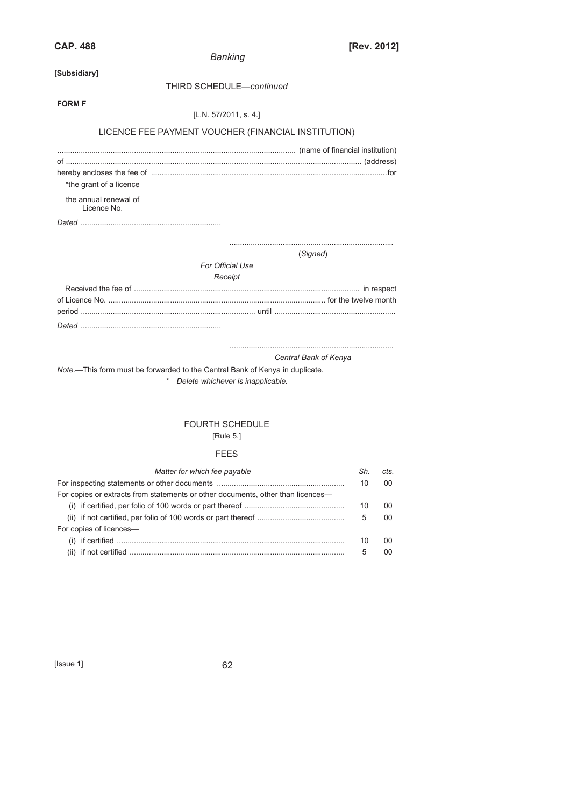| JAP | 488<br>40. |
|-----|------------|
|-----|------------|

| <b>CAP. 488</b>                                                                                                   | [Rev. 2012] |      |
|-------------------------------------------------------------------------------------------------------------------|-------------|------|
| <b>Banking</b>                                                                                                    |             |      |
| [Subsidiary]                                                                                                      |             |      |
| <b>THIRD SCHEDULE-continued</b>                                                                                   |             |      |
| <b>FORM F</b>                                                                                                     |             |      |
| [L.N. $57/2011$ , s. 4.]                                                                                          |             |      |
| LICENCE FEE PAYMENT VOUCHER (FINANCIAL INSTITUTION)                                                               |             |      |
|                                                                                                                   |             |      |
|                                                                                                                   |             |      |
|                                                                                                                   |             |      |
| *the grant of a licence                                                                                           |             |      |
| the annual renewal of<br>Licence No.                                                                              |             |      |
|                                                                                                                   |             |      |
| (Signed)                                                                                                          |             |      |
| For Official Use                                                                                                  |             |      |
| Receipt                                                                                                           |             |      |
|                                                                                                                   |             |      |
|                                                                                                                   |             |      |
|                                                                                                                   |             |      |
|                                                                                                                   |             |      |
|                                                                                                                   |             |      |
| Central Bank of Kenya                                                                                             |             |      |
| Note.-This form must be forwarded to the Central Bank of Kenya in duplicate.<br>Delete whichever is inapplicable. |             |      |
|                                                                                                                   |             |      |
|                                                                                                                   |             |      |
| <b>FOURTH SCHEDULE</b>                                                                                            |             |      |
| [Rule 5.]                                                                                                         |             |      |
| FEES                                                                                                              |             |      |
| Matter for which fee payable                                                                                      | Sh.         | cts. |
|                                                                                                                   | 10          | 00   |
| For copies or extracts from statements or other documents, other than licences-                                   |             |      |
|                                                                                                                   | 10          | 00   |
| For copies of licences-                                                                                           | 5           | 00   |
|                                                                                                                   | 10          | 00   |
|                                                                                                                   | 5           | 00   |
|                                                                                                                   |             |      |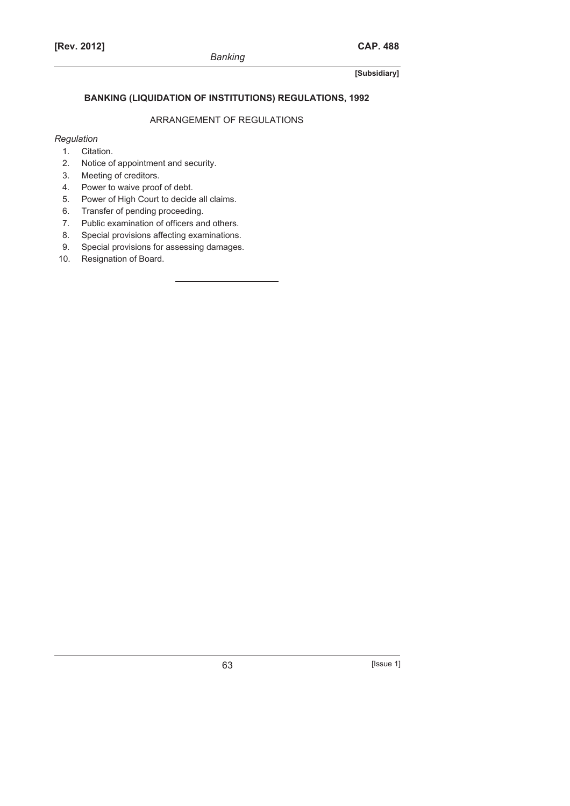## **BANKING (LIQUIDATION OF INSTITUTIONS) REGULATIONS, 1992**

# ARRANGEMENT OF REGULATIONS

## *Regulation*

- 1. Citation.
- 2. Notice of appointment and security.
- 3. Meeting of creditors.
- 4. Power to waive proof of debt.
- 5. Power of High Court to decide all claims.
- 6. Transfer of pending proceeding.
- 7. Public examination of officers and others.
- 8. Special provisions affecting examinations.
- 9. Special provisions for assessing damages.
- 10. Resignation of Board.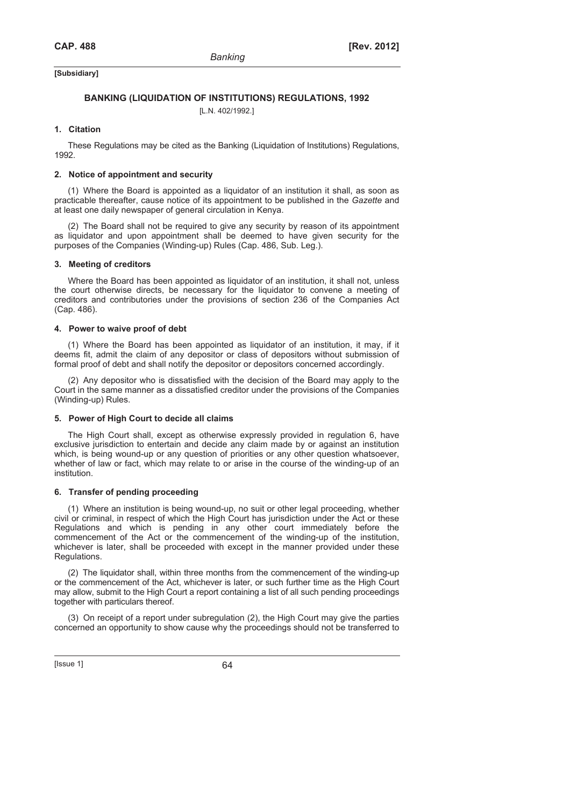## **BANKING (LIQUIDATION OF INSTITUTIONS) REGULATIONS, 1992**

[L.N. 402/1992.]

### **1. Citation**

These Regulations may be cited as the Banking (Liquidation of Institutions) Regulations, 1992.

### **2. Notice of appointment and security**

(1) Where the Board is appointed as a liquidator of an institution it shall, as soon as practicable thereafter, cause notice of its appointment to be published in the *Gazette* and at least one daily newspaper of general circulation in Kenya.

(2) The Board shall not be required to give any security by reason of its appointment as liquidator and upon appointment shall be deemed to have given security for the purposes of the Companies (Winding-up) Rules (Cap. 486, Sub. Leg.).

#### **3. Meeting of creditors**

Where the Board has been appointed as liquidator of an institution, it shall not, unless the court otherwise directs, be necessary for the liquidator to convene a meeting of creditors and contributories under the provisions of section 236 of the Companies Act (Cap. 486).

#### **4. Power to waive proof of debt**

(1) Where the Board has been appointed as liquidator of an institution, it may, if it deems fit, admit the claim of any depositor or class of depositors without submission of formal proof of debt and shall notify the depositor or depositors concerned accordingly.

(2) Any depositor who is dissatisfied with the decision of the Board may apply to the Court in the same manner as a dissatisfied creditor under the provisions of the Companies (Winding-up) Rules.

## **5. Power of High Court to decide all claims**

The High Court shall, except as otherwise expressly provided in regulation 6, have exclusive jurisdiction to entertain and decide any claim made by or against an institution which, is being wound-up or any question of priorities or any other question whatsoever, whether of law or fact, which may relate to or arise in the course of the winding-up of an institution.

### **6. Transfer of pending proceeding**

(1) Where an institution is being wound-up, no suit or other legal proceeding, whether civil or criminal, in respect of which the High Court has jurisdiction under the Act or these Regulations and which is pending in any other court immediately before the commencement of the Act or the commencement of the winding-up of the institution, whichever is later, shall be proceeded with except in the manner provided under these Regulations.

(2) The liquidator shall, within three months from the commencement of the winding-up or the commencement of the Act, whichever is later, or such further time as the High Court may allow, submit to the High Court a report containing a list of all such pending proceedings together with particulars thereof.

(3) On receipt of a report under subregulation (2), the High Court may give the parties concerned an opportunity to show cause why the proceedings should not be transferred to

 $[|$ Ssue 1 $]$  64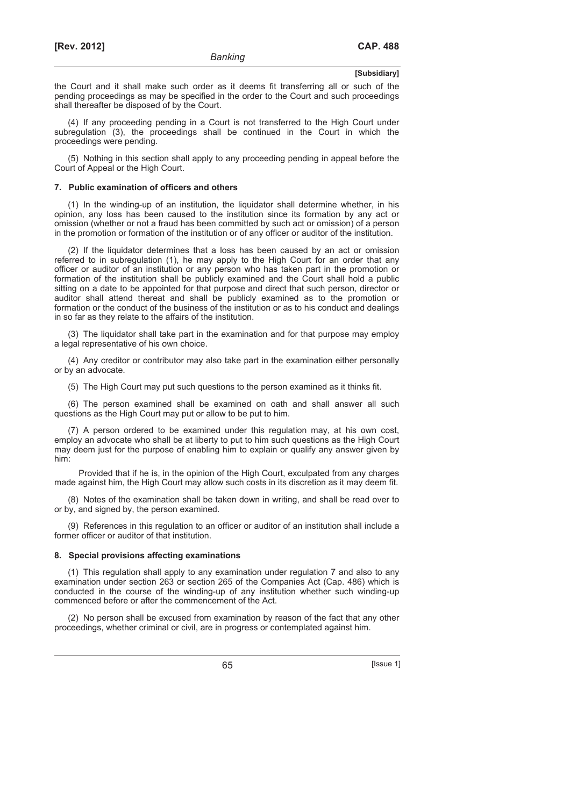the Court and it shall make such order as it deems fit transferring all or such of the pending proceedings as may be specified in the order to the Court and such proceedings shall thereafter be disposed of by the Court.

(4) If any proceeding pending in a Court is not transferred to the High Court under subregulation (3), the proceedings shall be continued in the Court in which the proceedings were pending.

(5) Nothing in this section shall apply to any proceeding pending in appeal before the Court of Appeal or the High Court.

#### **7. Public examination of officers and others**

(1) In the winding-up of an institution, the liquidator shall determine whether, in his opinion, any loss has been caused to the institution since its formation by any act or omission (whether or not a fraud has been committed by such act or omission) of a person in the promotion or formation of the institution or of any officer or auditor of the institution.

(2) If the liquidator determines that a loss has been caused by an act or omission referred to in subregulation (1), he may apply to the High Court for an order that any officer or auditor of an institution or any person who has taken part in the promotion or formation of the institution shall be publicly examined and the Court shall hold a public sitting on a date to be appointed for that purpose and direct that such person, director or auditor shall attend thereat and shall be publicly examined as to the promotion or formation or the conduct of the business of the institution or as to his conduct and dealings in so far as they relate to the affairs of the institution.

(3) The liquidator shall take part in the examination and for that purpose may employ a legal representative of his own choice.

(4) Any creditor or contributor may also take part in the examination either personally or by an advocate.

(5) The High Court may put such questions to the person examined as it thinks fit.

(6) The person examined shall be examined on oath and shall answer all such questions as the High Court may put or allow to be put to him.

(7) A person ordered to be examined under this regulation may, at his own cost, employ an advocate who shall be at liberty to put to him such questions as the High Court may deem just for the purpose of enabling him to explain or qualify any answer given by him:

Provided that if he is, in the opinion of the High Court, exculpated from any charges made against him, the High Court may allow such costs in its discretion as it may deem fit.

(8) Notes of the examination shall be taken down in writing, and shall be read over to or by, and signed by, the person examined.

(9) References in this regulation to an officer or auditor of an institution shall include a former officer or auditor of that institution.

#### **8. Special provisions affecting examinations**

(1) This regulation shall apply to any examination under regulation 7 and also to any examination under section 263 or section 265 of the Companies Act (Cap. 486) which is conducted in the course of the winding-up of any institution whether such winding-up commenced before or after the commencement of the Act.

(2) No person shall be excused from examination by reason of the fact that any other proceedings, whether criminal or civil, are in progress or contemplated against him.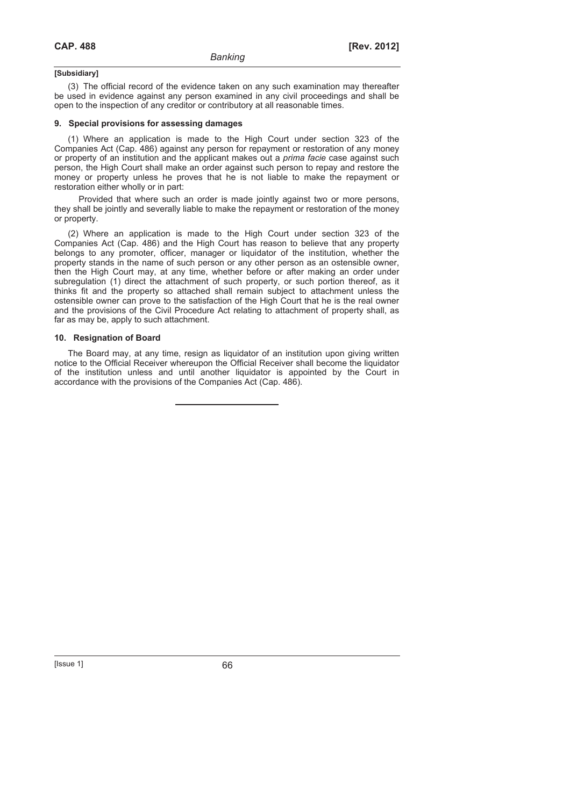(3) The official record of the evidence taken on any such examination may thereafter be used in evidence against any person examined in any civil proceedings and shall be open to the inspection of any creditor or contributory at all reasonable times.

#### **9. Special provisions for assessing damages**

(1) Where an application is made to the High Court under section 323 of the Companies Act (Cap. 486) against any person for repayment or restoration of any money or property of an institution and the applicant makes out a *prima facie* case against such person, the High Court shall make an order against such person to repay and restore the money or property unless he proves that he is not liable to make the repayment or restoration either wholly or in part:

Provided that where such an order is made jointly against two or more persons, they shall be jointly and severally liable to make the repayment or restoration of the money or property.

(2) Where an application is made to the High Court under section 323 of the Companies Act (Cap. 486) and the High Court has reason to believe that any property belongs to any promoter, officer, manager or liquidator of the institution, whether the property stands in the name of such person or any other person as an ostensible owner, then the High Court may, at any time, whether before or after making an order under subregulation (1) direct the attachment of such property, or such portion thereof, as it thinks fit and the property so attached shall remain subject to attachment unless the ostensible owner can prove to the satisfaction of the High Court that he is the real owner and the provisions of the Civil Procedure Act relating to attachment of property shall, as far as may be, apply to such attachment.

#### **10. Resignation of Board**

The Board may, at any time, resign as liquidator of an institution upon giving written notice to the Official Receiver whereupon the Official Receiver shall become the liquidator of the institution unless and until another liquidator is appointed by the Court in accordance with the provisions of the Companies Act (Cap. 486).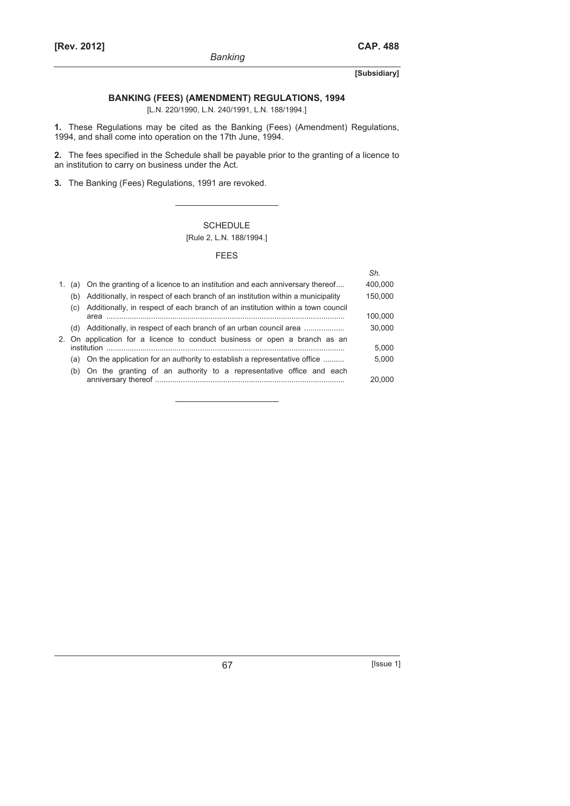## **BANKING (FEES) (AMENDMENT) REGULATIONS, 1994**

[L.N. 220/1990, L.N. 240/1991, L.N. 188/1994.]

**1.** These Regulations may be cited as the Banking (Fees) (Amendment) Regulations, 1994, and shall come into operation on the 17th June, 1994.

**2.** The fees specified in the Schedule shall be payable prior to the granting of a licence to an institution to carry on business under the Act.

**3.** The Banking (Fees) Regulations, 1991 are revoked.

## SCHEDULE [Rule 2, L.N. 188/1994.]

#### FEES

|    |     |                                                                                 | Sh.     |
|----|-----|---------------------------------------------------------------------------------|---------|
| 1. | (a) | On the granting of a licence to an institution and each anniversary thereof     | 400,000 |
|    | (b) | Additionally, in respect of each branch of an institution within a municipality | 150,000 |
|    | (C) | Additionally, in respect of each branch of an institution within a town council |         |
|    |     | area                                                                            | 100,000 |
|    | (d) | Additionally, in respect of each branch of an urban council area                | 30,000  |
|    |     | 2. On application for a licence to conduct business or open a branch as an      |         |
|    |     | institution                                                                     | 5.000   |
|    | (a) | On the application for an authority to establish a representative office        | 5.000   |
|    | (b) | On the granting of an authority to a representative office and each             |         |
|    |     |                                                                                 | 20.000  |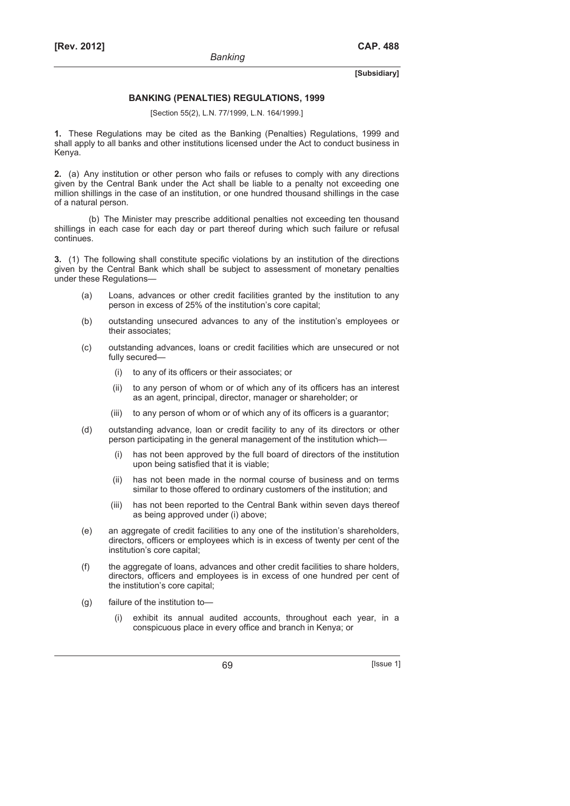### **BANKING (PENALTIES) REGULATIONS, 1999**

[Section 55(2), L.N. 77/1999, L.N. 164/1999.]

**1.** These Regulations may be cited as the Banking (Penalties) Regulations, 1999 and shall apply to all banks and other institutions licensed under the Act to conduct business in Kenya.

**2.** (a) Any institution or other person who fails or refuses to comply with any directions given by the Central Bank under the Act shall be liable to a penalty not exceeding one million shillings in the case of an institution, or one hundred thousand shillings in the case of a natural person.

(b) The Minister may prescribe additional penalties not exceeding ten thousand shillings in each case for each day or part thereof during which such failure or refusal continues.

**3.** (1) The following shall constitute specific violations by an institution of the directions given by the Central Bank which shall be subject to assessment of monetary penalties under these Regulations—

- (a) Loans, advances or other credit facilities granted by the institution to any person in excess of 25% of the institution's core capital;
- (b) outstanding unsecured advances to any of the institution's employees or their associates;
- (c) outstanding advances, loans or credit facilities which are unsecured or not fully secured—
	- (i) to any of its officers or their associates; or
	- (ii) to any person of whom or of which any of its officers has an interest as an agent, principal, director, manager or shareholder; or
	- (iii) to any person of whom or of which any of its officers is a guarantor;
- (d) outstanding advance, loan or credit facility to any of its directors or other person participating in the general management of the institution which—
	- (i) has not been approved by the full board of directors of the institution upon being satisfied that it is viable;
	- (ii) has not been made in the normal course of business and on terms similar to those offered to ordinary customers of the institution; and
	- (iii) has not been reported to the Central Bank within seven days thereof as being approved under (i) above;
- (e) an aggregate of credit facilities to any one of the institution's shareholders, directors, officers or employees which is in excess of twenty per cent of the institution's core capital;
- (f) the aggregate of loans, advances and other credit facilities to share holders, directors, officers and employees is in excess of one hundred per cent of the institution's core capital;
- (g) failure of the institution to
	- exhibit its annual audited accounts, throughout each year, in a conspicuous place in every office and branch in Kenya; or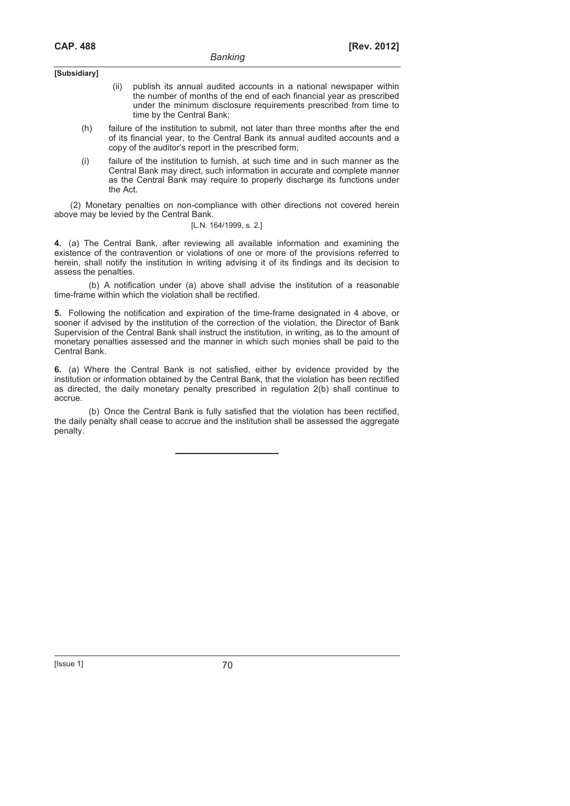- (ii) publish its annual audited accounts in a national newspaper within the number of months of the end of each financial year as prescribed under the minimum disclosure requirements prescribed from time to time by the Central Bank;
- (h) failure of the institution to submit, not later than three months after the end of its financial year, to the Central Bank its annual audited accounts and a copy of the auditor's report in the prescribed form;
- (i) failure of the institution to furnish, at such time and in such manner as the Central Bank may direct, such information in accurate and complete manner as the Central Bank may require to properly discharge its functions under the Act.

 (2) Monetary penalties on non-compliance with other directions not covered herein above may be levied by the Central Bank.

## [L.N. 164/1999, s. 2.]

**4.** (a) The Central Bank, after reviewing all available information and examining the existence of the contravention or violations of one or more of the provisions referred to herein, shall notify the institution in writing advising it of its findings and its decision to assess the penalties.

(b) A notification under (a) above shall advise the institution of a reasonable time-frame within which the violation shall be rectified.

**5.** Following the notification and expiration of the time-frame designated in 4 above, or sooner if advised by the institution of the correction of the violation, the Director of Bank Supervision of the Central Bank shall instruct the institution, in writing, as to the amount of monetary penalties assessed and the manner in which such monies shall be paid to the Central Bank.

**6.** (a) Where the Central Bank is not satisfied, either by evidence provided by the institution or information obtained by the Central Bank, that the violation has been rectified as directed, the daily monetary penalty prescribed in regulation 2(b) shall continue to accrue.

(b) Once the Central Bank is fully satisfied that the violation has been rectified, the daily penalty shall cease to accrue and the institution shall be assessed the aggregate penalty.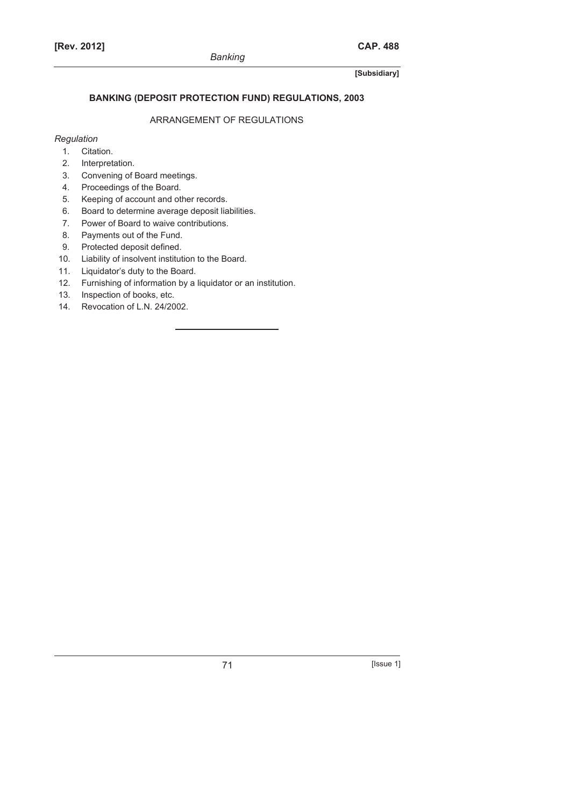## **BANKING (DEPOSIT PROTECTION FUND) REGULATIONS, 2003**

# ARRANGEMENT OF REGULATIONS

## *Regulation*

- 1. Citation.
- 2. Interpretation.
- 3. Convening of Board meetings.
- 4. Proceedings of the Board.
- 5. Keeping of account and other records.
- 6. Board to determine average deposit liabilities.
- 7. Power of Board to waive contributions.
- 8. Payments out of the Fund.
- 9. Protected deposit defined.
- 10. Liability of insolvent institution to the Board.
- 11. Liquidator's duty to the Board.
- 12. Furnishing of information by a liquidator or an institution.
- 13. Inspection of books, etc.
- 14. Revocation of L.N. 24/2002.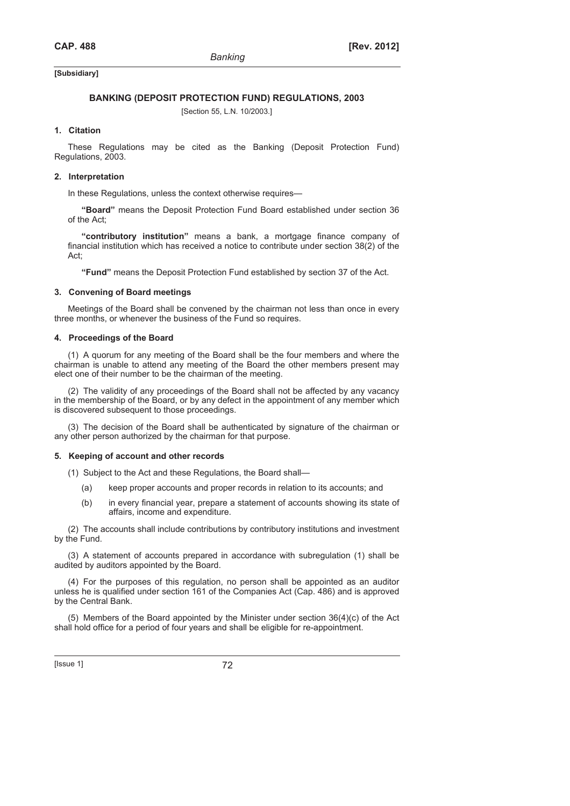#### **BANKING (DEPOSIT PROTECTION FUND) REGULATIONS, 2003**

[Section 55, L.N. 10/2003.]

#### **1. Citation**

These Regulations may be cited as the Banking (Deposit Protection Fund) Regulations, 2003.

#### **2. Interpretation**

In these Regulations, unless the context otherwise requires—

**"Board"** means the Deposit Protection Fund Board established under section 36 of the Act;

**"contributory institution"** means a bank, a mortgage finance company of financial institution which has received a notice to contribute under section 38(2) of the Act;

**"Fund"** means the Deposit Protection Fund established by section 37 of the Act.

#### **3. Convening of Board meetings**

Meetings of the Board shall be convened by the chairman not less than once in every three months, or whenever the business of the Fund so requires.

#### **4. Proceedings of the Board**

(1) A quorum for any meeting of the Board shall be the four members and where the chairman is unable to attend any meeting of the Board the other members present may elect one of their number to be the chairman of the meeting.

(2) The validity of any proceedings of the Board shall not be affected by any vacancy in the membership of the Board, or by any defect in the appointment of any member which is discovered subsequent to those proceedings.

(3) The decision of the Board shall be authenticated by signature of the chairman or any other person authorized by the chairman for that purpose.

#### **5. Keeping of account and other records**

(1) Subject to the Act and these Regulations, the Board shall—

- (a) keep proper accounts and proper records in relation to its accounts; and
- (b) in every financial year, prepare a statement of accounts showing its state of affairs, income and expenditure.

(2) The accounts shall include contributions by contributory institutions and investment by the Fund.

(3) A statement of accounts prepared in accordance with subregulation (1) shall be audited by auditors appointed by the Board.

(4) For the purposes of this regulation, no person shall be appointed as an auditor unless he is qualified under section 161 of the Companies Act (Cap. 486) and is approved by the Central Bank.

(5) Members of the Board appointed by the Minister under section 36(4)(c) of the Act shall hold office for a period of four years and shall be eligible for re-appointment.

[Issue 1] 72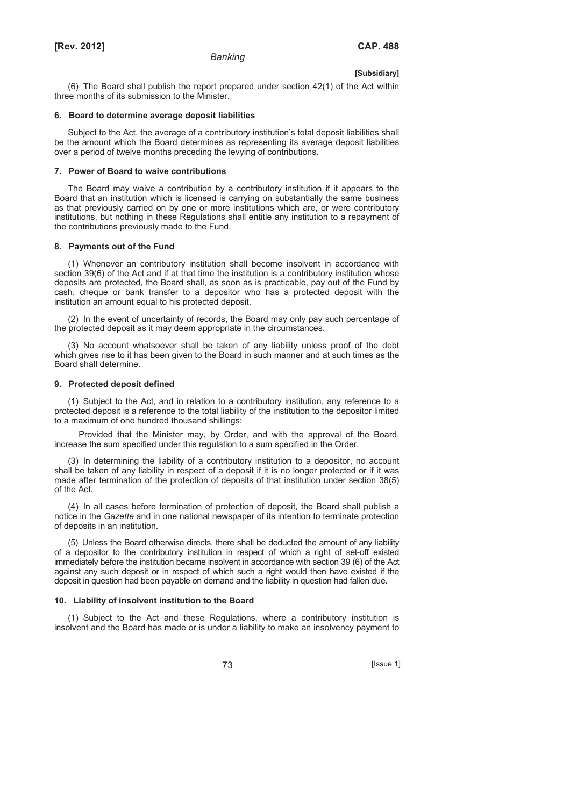(6) The Board shall publish the report prepared under section 42(1) of the Act within three months of its submission to the Minister.

#### **6. Board to determine average deposit liabilities**

Subject to the Act, the average of a contributory institution's total deposit liabilities shall be the amount which the Board determines as representing its average deposit liabilities over a period of twelve months preceding the levying of contributions.

#### **7. Power of Board to waive contributions**

The Board may waive a contribution by a contributory institution if it appears to the Board that an institution which is licensed is carrying on substantially the same business as that previously carried on by one or more institutions which are, or were contributory institutions, but nothing in these Regulations shall entitle any institution to a repayment of the contributions previously made to the Fund.

#### **8. Payments out of the Fund**

(1) Whenever an contributory institution shall become insolvent in accordance with section 39(6) of the Act and if at that time the institution is a contributory institution whose deposits are protected, the Board shall, as soon as is practicable, pay out of the Fund by cash, cheque or bank transfer to a depositor who has a protected deposit with the institution an amount equal to his protected deposit.

(2) In the event of uncertainty of records, the Board may only pay such percentage of the protected deposit as it may deem appropriate in the circumstances.

(3) No account whatsoever shall be taken of any liability unless proof of the debt which gives rise to it has been given to the Board in such manner and at such times as the Board shall determine.

#### **9. Protected deposit defined**

(1) Subject to the Act, and in relation to a contributory institution, any reference to a protected deposit is a reference to the total liability of the institution to the depositor limited to a maximum of one hundred thousand shillings:

Provided that the Minister may, by Order, and with the approval of the Board, increase the sum specified under this regulation to a sum specified in the Order.

(3) In determining the liability of a contributory institution to a depositor, no account shall be taken of any liability in respect of a deposit if it is no longer protected or if it was made after termination of the protection of deposits of that institution under section 38(5) of the Act.

(4) In all cases before termination of protection of deposit, the Board shall publish a notice in the *Gazette* and in one national newspaper of its intention to terminate protection of deposits in an institution.

(5) Unless the Board otherwise directs, there shall be deducted the amount of any liability of a depositor to the contributory institution in respect of which a right of set-off existed immediately before the institution became insolvent in accordance with section 39 (6) of the Act against any such deposit or in respect of which such a right would then have existed if the deposit in question had been payable on demand and the liability in question had fallen due.

## **10. Liability of insolvent institution to the Board**

(1) Subject to the Act and these Regulations, where a contributory institution is insolvent and the Board has made or is under a liability to make an insolvency payment to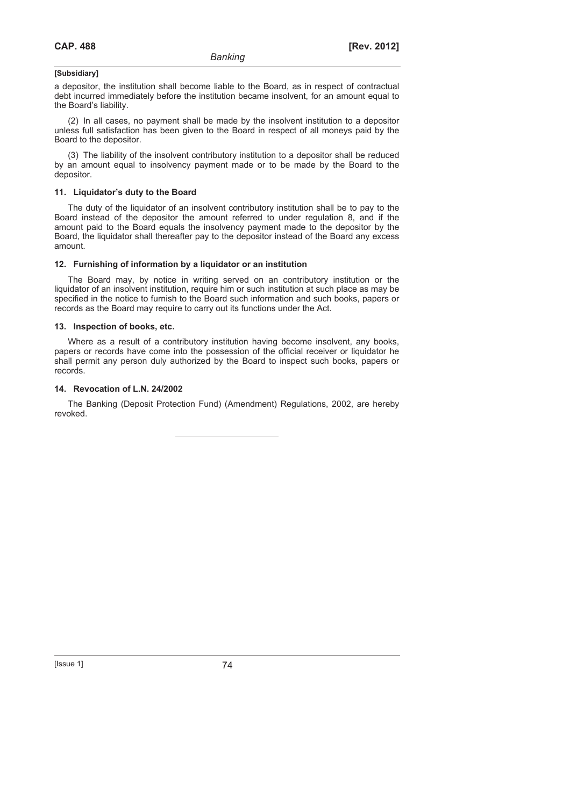a depositor, the institution shall become liable to the Board, as in respect of contractual debt incurred immediately before the institution became insolvent, for an amount equal to the Board's liability.

(2) In all cases, no payment shall be made by the insolvent institution to a depositor unless full satisfaction has been given to the Board in respect of all moneys paid by the Board to the depositor.

(3) The liability of the insolvent contributory institution to a depositor shall be reduced by an amount equal to insolvency payment made or to be made by the Board to the depositor.

#### **11. Liquidator's duty to the Board**

The duty of the liquidator of an insolvent contributory institution shall be to pay to the Board instead of the depositor the amount referred to under regulation 8, and if the amount paid to the Board equals the insolvency payment made to the depositor by the Board, the liquidator shall thereafter pay to the depositor instead of the Board any excess amount.

#### **12. Furnishing of information by a liquidator or an institution**

The Board may, by notice in writing served on an contributory institution or the liquidator of an insolvent institution, require him or such institution at such place as may be specified in the notice to furnish to the Board such information and such books, papers or records as the Board may require to carry out its functions under the Act.

#### **13. Inspection of books, etc.**

Where as a result of a contributory institution having become insolvent, any books, papers or records have come into the possession of the official receiver or liquidator he shall permit any person duly authorized by the Board to inspect such books, papers or records.

#### **14. Revocation of L.N. 24/2002**

The Banking (Deposit Protection Fund) (Amendment) Regulations, 2002, are hereby revoked.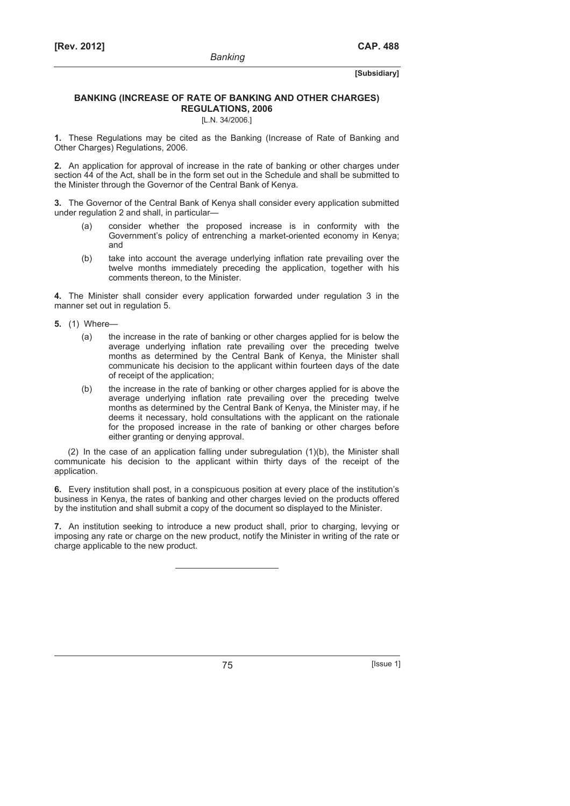## **BANKING (INCREASE OF RATE OF BANKING AND OTHER CHARGES) REGULATIONS, 2006**

[L.N. 34/2006.]

**1.** These Regulations may be cited as the Banking (Increase of Rate of Banking and Other Charges) Regulations, 2006.

**2.** An application for approval of increase in the rate of banking or other charges under section 44 of the Act, shall be in the form set out in the Schedule and shall be submitted to the Minister through the Governor of the Central Bank of Kenya.

**3.** The Governor of the Central Bank of Kenya shall consider every application submitted under regulation 2 and shall, in particular—

- (a) consider whether the proposed increase is in conformity with the Government's policy of entrenching a market-oriented economy in Kenya; and
- (b) take into account the average underlying inflation rate prevailing over the twelve months immediately preceding the application, together with his comments thereon, to the Minister.

**4.** The Minister shall consider every application forwarded under regulation 3 in the manner set out in regulation 5.

- **5.** (1) Where—
	- (a) the increase in the rate of banking or other charges applied for is below the average underlying inflation rate prevailing over the preceding twelve months as determined by the Central Bank of Kenya, the Minister shall communicate his decision to the applicant within fourteen days of the date of receipt of the application;
	- (b) the increase in the rate of banking or other charges applied for is above the average underlying inflation rate prevailing over the preceding twelve months as determined by the Central Bank of Kenya, the Minister may, if he deems it necessary, hold consultations with the applicant on the rationale for the proposed increase in the rate of banking or other charges before either granting or denying approval.

(2) In the case of an application falling under subregulation (1)(b), the Minister shall communicate his decision to the applicant within thirty days of the receipt of the application.

**6.** Every institution shall post, in a conspicuous position at every place of the institution's business in Kenya, the rates of banking and other charges levied on the products offered by the institution and shall submit a copy of the document so displayed to the Minister.

**7.** An institution seeking to introduce a new product shall, prior to charging, levying or imposing any rate or charge on the new product, notify the Minister in writing of the rate or charge applicable to the new product.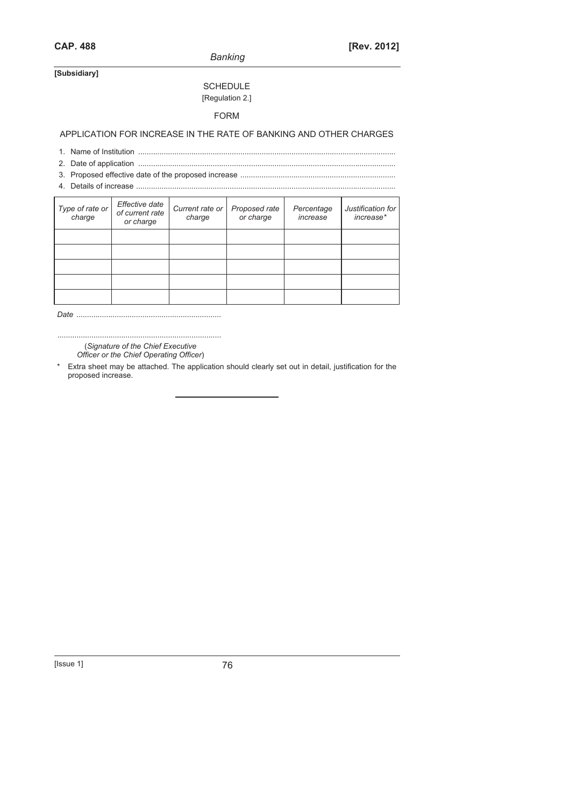*Banking* 

## **[Subsidiary]**

# **SCHEDULE** [Regulation 2.]

## FORM

APPLICATION FOR INCREASE IN THE RATE OF BANKING AND OTHER CHARGES

- 1. Name of Institution .........................................................................................................................
- 2. Date of application .........................................................................................................................
- 3. Proposed effective date of the proposed increase .........................................................................
- 4. Details of increase ..........................................................................................................................

| Type of rate or | Effective date<br>of current rate<br>or charge | Current rate or<br>charge | Proposed rate<br>or charge | Percentage<br>increase | Justification for<br>increase* |
|-----------------|------------------------------------------------|---------------------------|----------------------------|------------------------|--------------------------------|
|                 |                                                |                           |                            |                        |                                |
|                 |                                                |                           |                            |                        |                                |
|                 |                                                |                           |                            |                        |                                |
|                 |                                                |                           |                            |                        |                                |
|                 |                                                |                           |                            |                        |                                |

*Date ....................................................................* 

............................................................................. (*Signature of the Chief Executive* 

*Officer or the Chief Operating Officer*)

\* Extra sheet may be attached. The application should clearly set out in detail, justification for the proposed increase.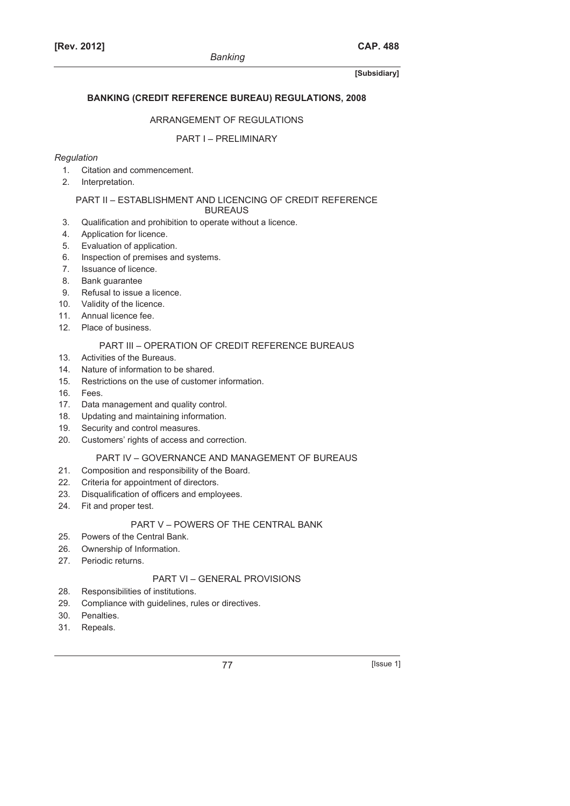## **BANKING (CREDIT REFERENCE BUREAU) REGULATIONS, 2008**

## ARRANGEMENT OF REGULATIONS

## PART I – PRELIMINARY

## *Regulation*

- 1. Citation and commencement.
- 2. Interpretation.

## PART II – ESTABLISHMENT AND LICENCING OF CREDIT REFERENCE

## BUREAUS

- 3. Qualification and prohibition to operate without a licence.
- 4. Application for licence.
- 5. Evaluation of application.
- 6. Inspection of premises and systems.
- 7. Issuance of licence.
- 8. Bank guarantee
- 9. Refusal to issue a licence.
- 10. Validity of the licence.
- 11. Annual licence fee.
- 12. Place of business.

## PART III – OPERATION OF CREDIT REFERENCE BUREAUS

- 13. Activities of the Bureaus.
- 14. Nature of information to be shared.
- 15. Restrictions on the use of customer information.
- 16. Fees.
- 17. Data management and quality control.
- 18. Updating and maintaining information.
- 19. Security and control measures.
- 20. Customers' rights of access and correction.

## PART IV – GOVERNANCE AND MANAGEMENT OF BUREAUS

- 21. Composition and responsibility of the Board.
- 22. Criteria for appointment of directors.
- 23. Disqualification of officers and employees.
- 24. Fit and proper test.

## PART V – POWERS OF THE CENTRAL BANK

- 25. Powers of the Central Bank.
- 26. Ownership of Information.
- 27. Periodic returns.

## PART VI – GENERAL PROVISIONS

- 28. Responsibilities of institutions.
- 29. Compliance with guidelines, rules or directives.
- 30. Penalties.
- 31. Repeals.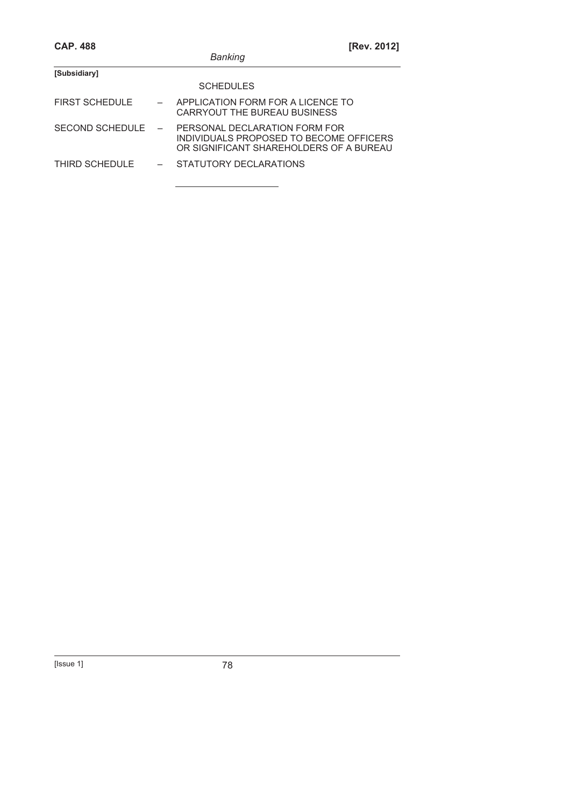| <b>CAP. 488</b>        |  |                                                                                                                     | [Rev. 2012] |
|------------------------|--|---------------------------------------------------------------------------------------------------------------------|-------------|
|                        |  | Banking                                                                                                             |             |
| [Subsidiary]           |  |                                                                                                                     |             |
|                        |  | <b>SCHEDULES</b>                                                                                                    |             |
| <b>FIRST SCHEDULE</b>  |  | APPLICATION FORM FOR A LICENCE TO<br>CARRYOUT THE BUREAU BUSINESS                                                   |             |
| <b>SECOND SCHEDULE</b> |  | PERSONAL DECLARATION FORM FOR<br>INDIVIDUALS PROPOSED TO BECOME OFFICERS<br>OR SIGNIFICANT SHAREHOLDERS OF A BUREAU |             |
| THIRD SCHEDULE         |  | STATUTORY DECLARATIONS                                                                                              |             |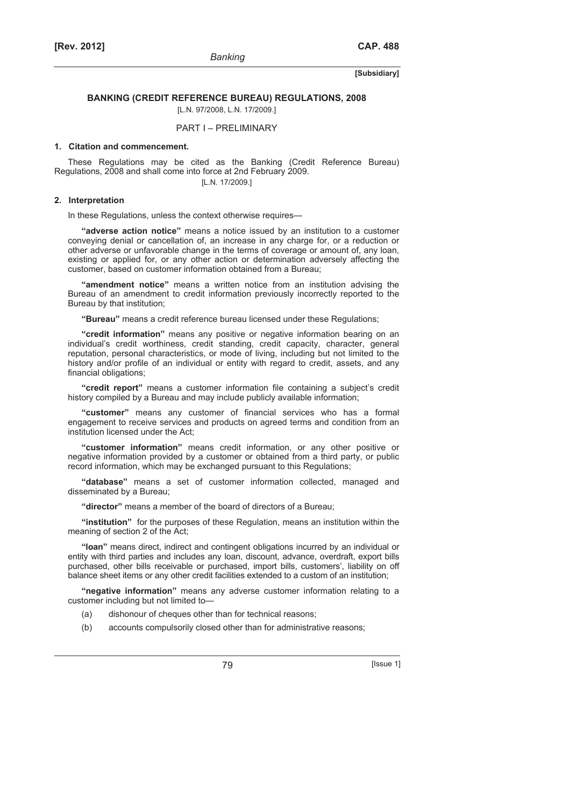#### **BANKING (CREDIT REFERENCE BUREAU) REGULATIONS, 2008**

[L.N. 97/2008, L.N. 17/2009.]

## PART I – PRELIMINARY

#### **1. Citation and commencement.**

These Regulations may be cited as the Banking (Credit Reference Bureau) Regulations, 2008 and shall come into force at 2nd February 2009.

[L.N. 17/2009.]

#### **2. Interpretation**

In these Regulations, unless the context otherwise requires—

**"adverse action notice"** means a notice issued by an institution to a customer conveying denial or cancellation of, an increase in any charge for, or a reduction or other adverse or unfavorable change in the terms of coverage or amount of, any loan, existing or applied for, or any other action or determination adversely affecting the customer, based on customer information obtained from a Bureau;

**"amendment notice"** means a written notice from an institution advising the Bureau of an amendment to credit information previously incorrectly reported to the Bureau by that institution;

**"Bureau"** means a credit reference bureau licensed under these Regulations;

**"credit information"** means any positive or negative information bearing on an individual's credit worthiness, credit standing, credit capacity, character, general reputation, personal characteristics, or mode of living, including but not limited to the history and/or profile of an individual or entity with regard to credit, assets, and any financial obligations;

**"credit report"** means a customer information file containing a subject's credit history compiled by a Bureau and may include publicly available information;

**"customer"** means any customer of financial services who has a formal engagement to receive services and products on agreed terms and condition from an institution licensed under the Act;

**"customer information"** means credit information, or any other positive or negative information provided by a customer or obtained from a third party, or public record information, which may be exchanged pursuant to this Regulations;

**"database"** means a set of customer information collected, managed and disseminated by a Bureau;

**"director"** means a member of the board of directors of a Bureau;

**"institution"** for the purposes of these Regulation, means an institution within the meaning of section 2 of the Act;

**"loan"** means direct, indirect and contingent obligations incurred by an individual or entity with third parties and includes any loan, discount, advance, overdraft, export bills purchased, other bills receivable or purchased, import bills, customers', liability on off balance sheet items or any other credit facilities extended to a custom of an institution;

**"negative information"** means any adverse customer information relating to a customer including but not limited to—

- (a) dishonour of cheques other than for technical reasons;
- (b) accounts compulsorily closed other than for administrative reasons;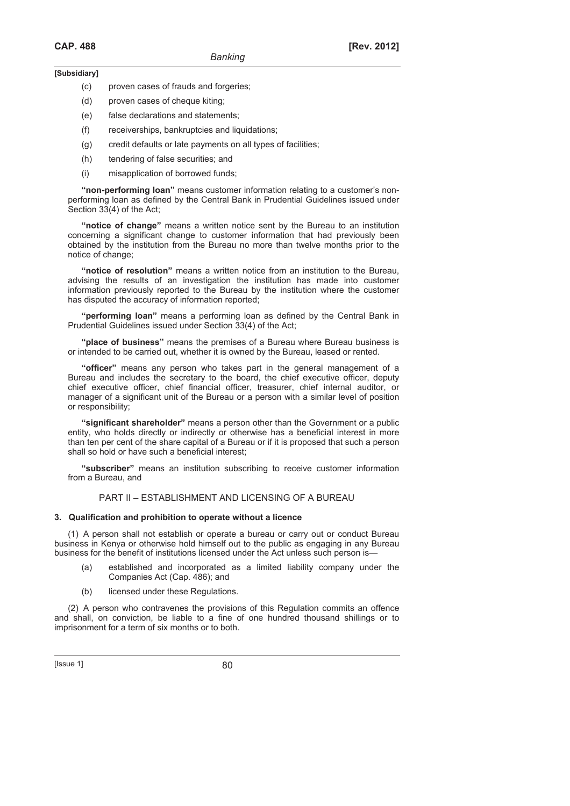- (c) proven cases of frauds and forgeries;
- (d) proven cases of cheque kiting;
- (e) false declarations and statements;
- (f) receiverships, bankruptcies and liquidations;
- (g) credit defaults or late payments on all types of facilities;
- (h) tendering of false securities; and
- (i) misapplication of borrowed funds;

**"non-performing loan"** means customer information relating to a customer's nonperforming loan as defined by the Central Bank in Prudential Guidelines issued under Section 33(4) of the Act;

**"notice of change"** means a written notice sent by the Bureau to an institution concerning a significant change to customer information that had previously been obtained by the institution from the Bureau no more than twelve months prior to the notice of change;

**"notice of resolution"** means a written notice from an institution to the Bureau, advising the results of an investigation the institution has made into customer information previously reported to the Bureau by the institution where the customer has disputed the accuracy of information reported;

**"performing loan"** means a performing loan as defined by the Central Bank in Prudential Guidelines issued under Section 33(4) of the Act;

**"place of business"** means the premises of a Bureau where Bureau business is or intended to be carried out, whether it is owned by the Bureau, leased or rented.

**"officer"** means any person who takes part in the general management of a Bureau and includes the secretary to the board, the chief executive officer, deputy chief executive officer, chief financial officer, treasurer, chief internal auditor, or manager of a significant unit of the Bureau or a person with a similar level of position or responsibility;

**"significant shareholder"** means a person other than the Government or a public entity, who holds directly or indirectly or otherwise has a beneficial interest in more than ten per cent of the share capital of a Bureau or if it is proposed that such a person shall so hold or have such a beneficial interest;

**"subscriber"** means an institution subscribing to receive customer information from a Bureau, and

## PART II – ESTABLISHMENT AND LICENSING OF A BUREAU

#### **3. Qualification and prohibition to operate without a licence**

(1) A person shall not establish or operate a bureau or carry out or conduct Bureau business in Kenya or otherwise hold himself out to the public as engaging in any Bureau business for the benefit of institutions licensed under the Act unless such person is—

- (a) established and incorporated as a limited liability company under the Companies Act (Cap. 486); and
- (b) licensed under these Regulations.

(2) A person who contravenes the provisions of this Regulation commits an offence and shall, on conviction, be liable to a fine of one hundred thousand shillings or to imprisonment for a term of six months or to both.

 $[|$ Ssue 1 $]$  80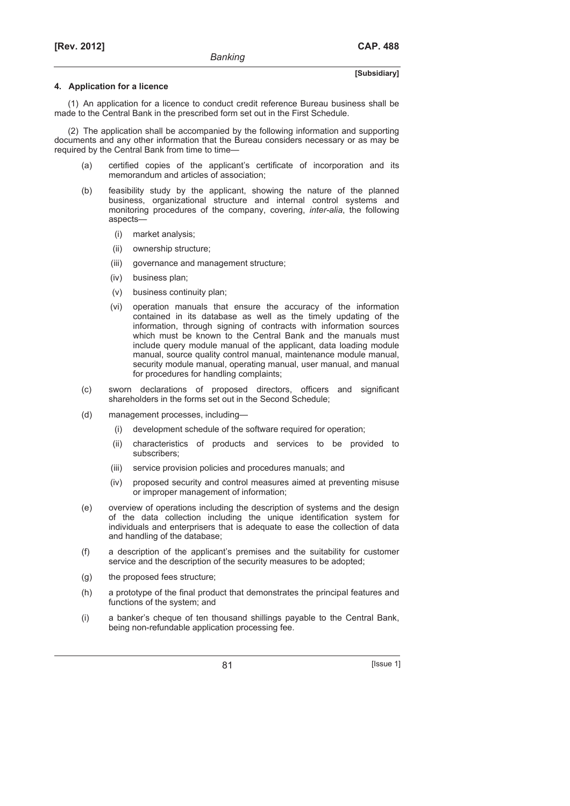#### **4. Application for a licence**

(1) An application for a licence to conduct credit reference Bureau business shall be made to the Central Bank in the prescribed form set out in the First Schedule.

(2) The application shall be accompanied by the following information and supporting documents and any other information that the Bureau considers necessary or as may be required by the Central Bank from time to time—

- (a) certified copies of the applicant's certificate of incorporation and its memorandum and articles of association;
- (b) feasibility study by the applicant, showing the nature of the planned business, organizational structure and internal control systems and monitoring procedures of the company, covering, *inter-alia*, the following aspects—
	- (i) market analysis;
	- (ii) ownership structure;
	- (iii) governance and management structure;
	- (iv) business plan;
	- (v) business continuity plan;
	- (vi) operation manuals that ensure the accuracy of the information contained in its database as well as the timely updating of the information, through signing of contracts with information sources which must be known to the Central Bank and the manuals must include query module manual of the applicant, data loading module manual, source quality control manual, maintenance module manual, security module manual, operating manual, user manual, and manual for procedures for handling complaints;
- (c) sworn declarations of proposed directors, officers and significant shareholders in the forms set out in the Second Schedule;
- (d) management processes, including—
	- (i) development schedule of the software required for operation;
	- (ii) characteristics of products and services to be provided to subscribers;
	- (iii) service provision policies and procedures manuals; and
	- (iv) proposed security and control measures aimed at preventing misuse or improper management of information;
- (e) overview of operations including the description of systems and the design of the data collection including the unique identification system for individuals and enterprisers that is adequate to ease the collection of data and handling of the database;
- (f) a description of the applicant's premises and the suitability for customer service and the description of the security measures to be adopted;
- (g) the proposed fees structure;
- (h) a prototype of the final product that demonstrates the principal features and functions of the system; and
- (i) a banker's cheque of ten thousand shillings payable to the Central Bank, being non-refundable application processing fee.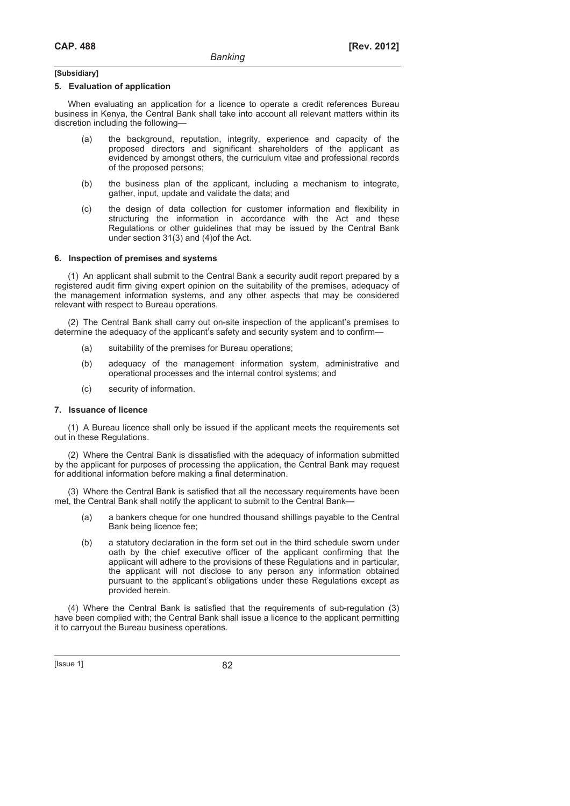#### **5. Evaluation of application**

When evaluating an application for a licence to operate a credit references Bureau business in Kenya, the Central Bank shall take into account all relevant matters within its discretion including the following—

- (a) the background, reputation, integrity, experience and capacity of the proposed directors and significant shareholders of the applicant as evidenced by amongst others, the curriculum vitae and professional records of the proposed persons;
- (b) the business plan of the applicant, including a mechanism to integrate, gather, input, update and validate the data; and
- (c) the design of data collection for customer information and flexibility in structuring the information in accordance with the Act and these Regulations or other guidelines that may be issued by the Central Bank under section 31(3) and (4)of the Act.

#### **6. Inspection of premises and systems**

(1) An applicant shall submit to the Central Bank a security audit report prepared by a registered audit firm giving expert opinion on the suitability of the premises, adequacy of the management information systems, and any other aspects that may be considered relevant with respect to Bureau operations.

(2) The Central Bank shall carry out on-site inspection of the applicant's premises to determine the adequacy of the applicant's safety and security system and to confirm—

- (a) suitability of the premises for Bureau operations;
- (b) adequacy of the management information system, administrative and operational processes and the internal control systems; and
- (c) security of information.

#### **7. Issuance of licence**

(1) A Bureau licence shall only be issued if the applicant meets the requirements set out in these Regulations.

(2) Where the Central Bank is dissatisfied with the adequacy of information submitted by the applicant for purposes of processing the application, the Central Bank may request for additional information before making a final determination.

(3) Where the Central Bank is satisfied that all the necessary requirements have been met, the Central Bank shall notify the applicant to submit to the Central Bank—

- (a) a bankers cheque for one hundred thousand shillings payable to the Central Bank being licence fee;
- (b) a statutory declaration in the form set out in the third schedule sworn under oath by the chief executive officer of the applicant confirming that the applicant will adhere to the provisions of these Regulations and in particular, the applicant will not disclose to any person any information obtained pursuant to the applicant's obligations under these Regulations except as provided herein.

(4) Where the Central Bank is satisfied that the requirements of sub-regulation (3) have been complied with; the Central Bank shall issue a licence to the applicant permitting it to carryout the Bureau business operations.

 $[|$ ssue 1 $]$  82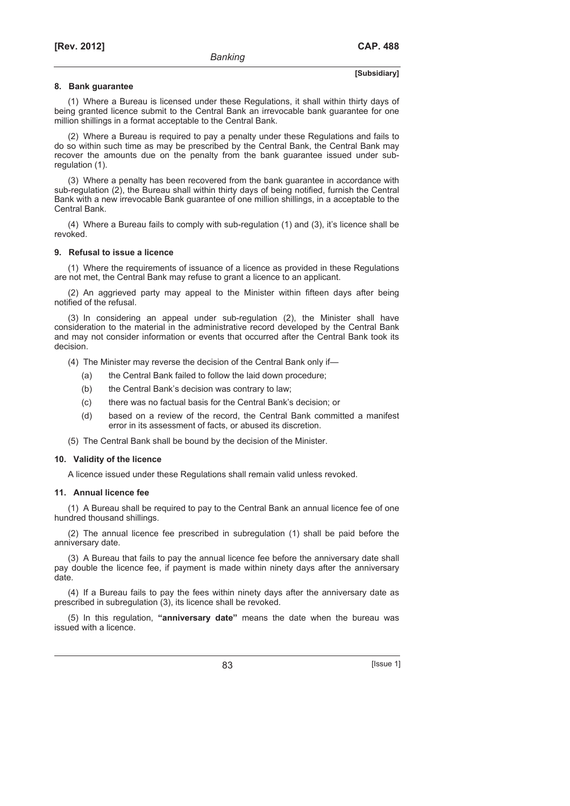#### **8. Bank guarantee**

(1) Where a Bureau is licensed under these Regulations, it shall within thirty days of being granted licence submit to the Central Bank an irrevocable bank guarantee for one million shillings in a format acceptable to the Central Bank.

(2) Where a Bureau is required to pay a penalty under these Regulations and fails to do so within such time as may be prescribed by the Central Bank, the Central Bank may recover the amounts due on the penalty from the bank guarantee issued under subregulation (1).

(3) Where a penalty has been recovered from the bank guarantee in accordance with sub-regulation (2), the Bureau shall within thirty days of being notified, furnish the Central Bank with a new irrevocable Bank guarantee of one million shillings, in a acceptable to the Central Bank.

(4) Where a Bureau fails to comply with sub-regulation (1) and (3), it's licence shall be revoked.

#### **9. Refusal to issue a licence**

(1) Where the requirements of issuance of a licence as provided in these Regulations are not met, the Central Bank may refuse to grant a licence to an applicant.

(2) An aggrieved party may appeal to the Minister within fifteen days after being notified of the refusal.

(3) In considering an appeal under sub-regulation (2), the Minister shall have consideration to the material in the administrative record developed by the Central Bank and may not consider information or events that occurred after the Central Bank took its decision.

(4) The Minister may reverse the decision of the Central Bank only if—

- (a) the Central Bank failed to follow the laid down procedure;
- (b) the Central Bank's decision was contrary to law;
- (c) there was no factual basis for the Central Bank's decision; or
- (d) based on a review of the record, the Central Bank committed a manifest error in its assessment of facts, or abused its discretion.

(5) The Central Bank shall be bound by the decision of the Minister.

#### **10. Validity of the licence**

A licence issued under these Regulations shall remain valid unless revoked.

#### **11. Annual licence fee**

(1) A Bureau shall be required to pay to the Central Bank an annual licence fee of one hundred thousand shillings.

(2) The annual licence fee prescribed in subregulation (1) shall be paid before the anniversary date.

(3) A Bureau that fails to pay the annual licence fee before the anniversary date shall pay double the licence fee, if payment is made within ninety days after the anniversary date.

(4) If a Bureau fails to pay the fees within ninety days after the anniversary date as prescribed in subregulation (3), its licence shall be revoked.

(5) In this regulation, **"anniversary date"** means the date when the bureau was issued with a licence.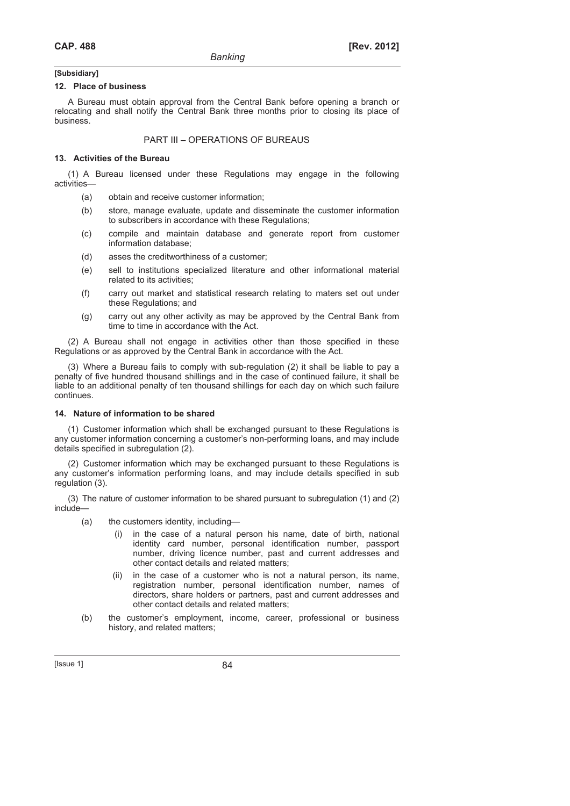#### **12. Place of business**

A Bureau must obtain approval from the Central Bank before opening a branch or relocating and shall notify the Central Bank three months prior to closing its place of business.

#### PART III – OPERATIONS OF BUREAUS

### **13. Activities of the Bureau**

(1) A Bureau licensed under these Regulations may engage in the following activities—

- (a) obtain and receive customer information;
- (b) store, manage evaluate, update and disseminate the customer information to subscribers in accordance with these Regulations;
- (c) compile and maintain database and generate report from customer information database;
- (d) asses the creditworthiness of a customer;
- (e) sell to institutions specialized literature and other informational material related to its activities;
- (f) carry out market and statistical research relating to maters set out under these Regulations; and
- (g) carry out any other activity as may be approved by the Central Bank from time to time in accordance with the Act.

(2) A Bureau shall not engage in activities other than those specified in these Regulations or as approved by the Central Bank in accordance with the Act.

(3) Where a Bureau fails to comply with sub-regulation (2) it shall be liable to pay a penalty of five hundred thousand shillings and in the case of continued failure, it shall be liable to an additional penalty of ten thousand shillings for each day on which such failure continues.

## **14. Nature of information to be shared**

(1) Customer information which shall be exchanged pursuant to these Regulations is any customer information concerning a customer's non-performing loans, and may include details specified in subregulation (2).

(2) Customer information which may be exchanged pursuant to these Regulations is any customer's information performing loans, and may include details specified in sub regulation (3).

(3) The nature of customer information to be shared pursuant to subregulation (1) and (2) include—

- (a) the customers identity, including—
	- (i) in the case of a natural person his name, date of birth, national identity card number, personal identification number, passport number, driving licence number, past and current addresses and other contact details and related matters;
- (ii) in the case of a customer who is not a natural person, its name, registration number, personal identification number, names of directors, share holders or partners, past and current addresses and other contact details and related matters;
	- (b) the customer's employment, income, career, professional or business history, and related matters;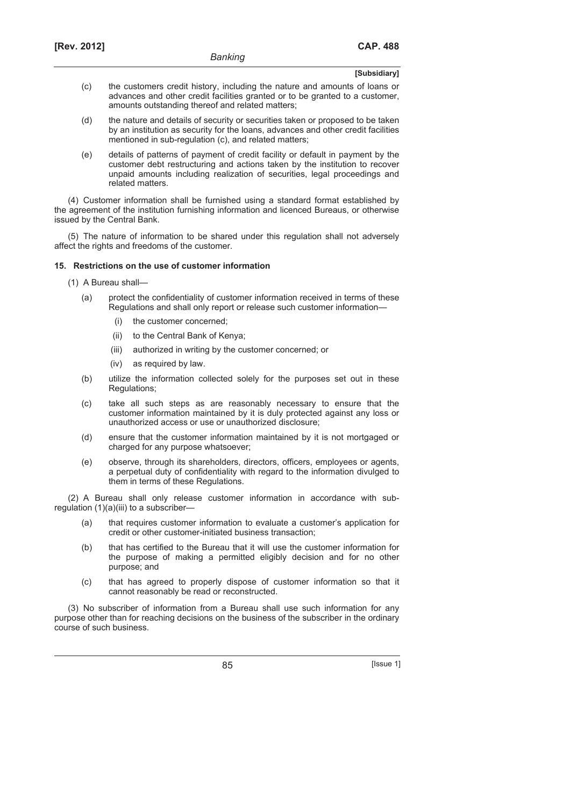- (c) the customers credit history, including the nature and amounts of loans or advances and other credit facilities granted or to be granted to a customer, amounts outstanding thereof and related matters;
- (d) the nature and details of security or securities taken or proposed to be taken by an institution as security for the loans, advances and other credit facilities mentioned in sub-regulation (c), and related matters;
- (e) details of patterns of payment of credit facility or default in payment by the customer debt restructuring and actions taken by the institution to recover unpaid amounts including realization of securities, legal proceedings and related matters.

(4) Customer information shall be furnished using a standard format established by the agreement of the institution furnishing information and licenced Bureaus, or otherwise issued by the Central Bank.

(5) The nature of information to be shared under this regulation shall not adversely affect the rights and freedoms of the customer.

## **15. Restrictions on the use of customer information**

- (1) A Bureau shall—
	- (a) protect the confidentiality of customer information received in terms of these Regulations and shall only report or release such customer information—
		- (i) the customer concerned;
		- (ii) to the Central Bank of Kenya;
		- (iii) authorized in writing by the customer concerned; or
		- (iv) as required by law.
	- (b) utilize the information collected solely for the purposes set out in these Regulations;
	- (c) take all such steps as are reasonably necessary to ensure that the customer information maintained by it is duly protected against any loss or unauthorized access or use or unauthorized disclosure;
	- (d) ensure that the customer information maintained by it is not mortgaged or charged for any purpose whatsoever;
	- (e) observe, through its shareholders, directors, officers, employees or agents, a perpetual duty of confidentiality with regard to the information divulged to them in terms of these Regulations.

(2) A Bureau shall only release customer information in accordance with subregulation (1)(a)(iii) to a subscriber—

- (a) that requires customer information to evaluate a customer's application for credit or other customer-initiated business transaction;
- (b) that has certified to the Bureau that it will use the customer information for the purpose of making a permitted eligibly decision and for no other purpose; and
- (c) that has agreed to properly dispose of customer information so that it cannot reasonably be read or reconstructed.

(3) No subscriber of information from a Bureau shall use such information for any purpose other than for reaching decisions on the business of the subscriber in the ordinary course of such business.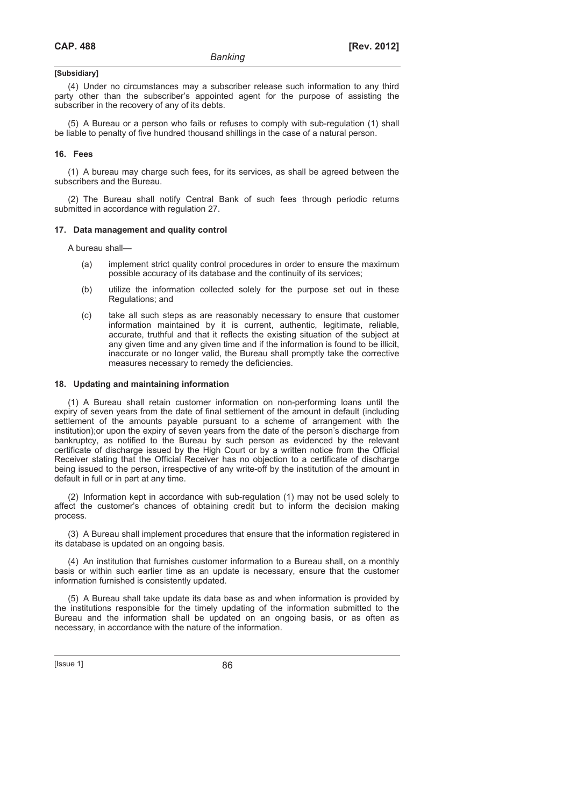(4) Under no circumstances may a subscriber release such information to any third party other than the subscriber's appointed agent for the purpose of assisting the subscriber in the recovery of any of its debts.

(5) A Bureau or a person who fails or refuses to comply with sub-regulation (1) shall be liable to penalty of five hundred thousand shillings in the case of a natural person.

#### **16. Fees**

(1) A bureau may charge such fees, for its services, as shall be agreed between the subscribers and the Bureau.

(2) The Bureau shall notify Central Bank of such fees through periodic returns submitted in accordance with regulation 27.

#### **17. Data management and quality control**

A bureau shall—

- (a) implement strict quality control procedures in order to ensure the maximum possible accuracy of its database and the continuity of its services;
- (b) utilize the information collected solely for the purpose set out in these Regulations; and
- (c) take all such steps as are reasonably necessary to ensure that customer information maintained by it is current, authentic, legitimate, reliable, accurate, truthful and that it reflects the existing situation of the subject at any given time and any given time and if the information is found to be illicit, inaccurate or no longer valid, the Bureau shall promptly take the corrective measures necessary to remedy the deficiencies.

#### **18. Updating and maintaining information**

(1) A Bureau shall retain customer information on non-performing loans until the expiry of seven years from the date of final settlement of the amount in default (including settlement of the amounts payable pursuant to a scheme of arrangement with the institution);or upon the expiry of seven years from the date of the person's discharge from bankruptcy, as notified to the Bureau by such person as evidenced by the relevant certificate of discharge issued by the High Court or by a written notice from the Official Receiver stating that the Official Receiver has no objection to a certificate of discharge being issued to the person, irrespective of any write-off by the institution of the amount in default in full or in part at any time.

(2) Information kept in accordance with sub-regulation (1) may not be used solely to affect the customer's chances of obtaining credit but to inform the decision making process.

(3) A Bureau shall implement procedures that ensure that the information registered in its database is updated on an ongoing basis.

(4) An institution that furnishes customer information to a Bureau shall, on a monthly basis or within such earlier time as an update is necessary, ensure that the customer information furnished is consistently updated.

(5) A Bureau shall take update its data base as and when information is provided by the institutions responsible for the timely updating of the information submitted to the Bureau and the information shall be updated on an ongoing basis, or as often as necessary, in accordance with the nature of the information.

 $[|$ Ssue 1 $]$  86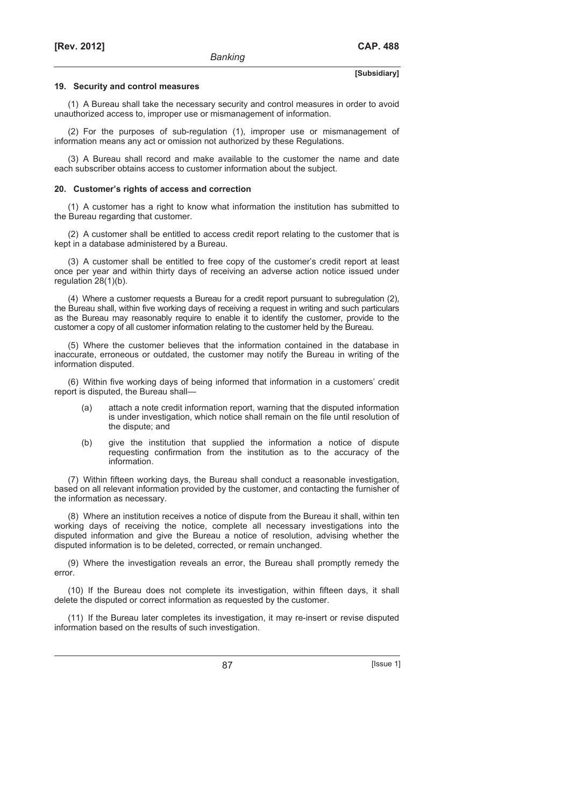#### **19. Security and control measures**

(1) A Bureau shall take the necessary security and control measures in order to avoid unauthorized access to, improper use or mismanagement of information.

(2) For the purposes of sub-regulation (1), improper use or mismanagement of information means any act or omission not authorized by these Regulations.

(3) A Bureau shall record and make available to the customer the name and date each subscriber obtains access to customer information about the subject.

#### **20. Customer's rights of access and correction**

(1) A customer has a right to know what information the institution has submitted to the Bureau regarding that customer.

(2) A customer shall be entitled to access credit report relating to the customer that is kept in a database administered by a Bureau.

(3) A customer shall be entitled to free copy of the customer's credit report at least once per year and within thirty days of receiving an adverse action notice issued under regulation 28(1)(b).

(4) Where a customer requests a Bureau for a credit report pursuant to subregulation (2), the Bureau shall, within five working days of receiving a request in writing and such particulars as the Bureau may reasonably require to enable it to identify the customer, provide to the customer a copy of all customer information relating to the customer held by the Bureau.

(5) Where the customer believes that the information contained in the database in inaccurate, erroneous or outdated, the customer may notify the Bureau in writing of the information disputed.

(6) Within five working days of being informed that information in a customers' credit report is disputed, the Bureau shall—

- (a) attach a note credit information report, warning that the disputed information is under investigation, which notice shall remain on the file until resolution of the dispute; and
- (b) give the institution that supplied the information a notice of dispute requesting confirmation from the institution as to the accuracy of the information.

(7) Within fifteen working days, the Bureau shall conduct a reasonable investigation, based on all relevant information provided by the customer, and contacting the furnisher of the information as necessary.

(8) Where an institution receives a notice of dispute from the Bureau it shall, within ten working days of receiving the notice, complete all necessary investigations into the disputed information and give the Bureau a notice of resolution, advising whether the disputed information is to be deleted, corrected, or remain unchanged.

(9) Where the investigation reveals an error, the Bureau shall promptly remedy the error.

(10) If the Bureau does not complete its investigation, within fifteen days, it shall delete the disputed or correct information as requested by the customer.

(11) If the Bureau later completes its investigation, it may re-insert or revise disputed information based on the results of such investigation.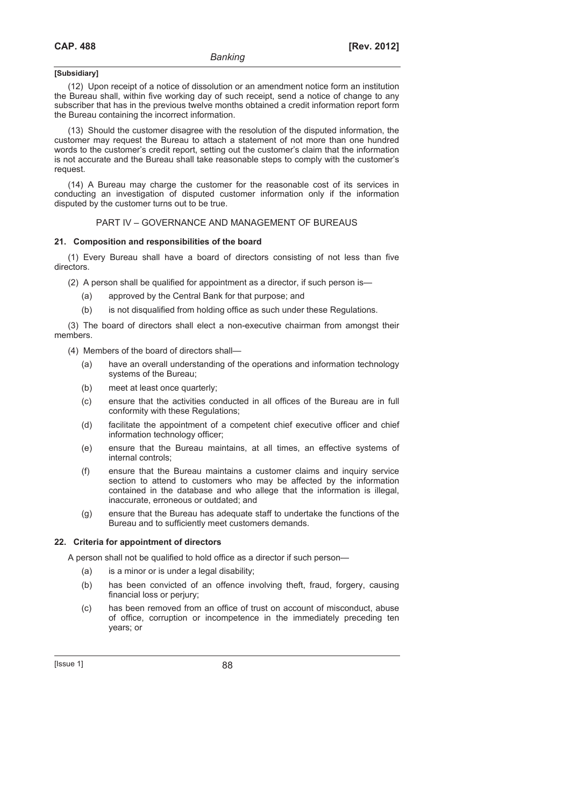(12) Upon receipt of a notice of dissolution or an amendment notice form an institution the Bureau shall, within five working day of such receipt, send a notice of change to any subscriber that has in the previous twelve months obtained a credit information report form the Bureau containing the incorrect information.

(13) Should the customer disagree with the resolution of the disputed information, the customer may request the Bureau to attach a statement of not more than one hundred words to the customer's credit report, setting out the customer's claim that the information is not accurate and the Bureau shall take reasonable steps to comply with the customer's request.

(14) A Bureau may charge the customer for the reasonable cost of its services in conducting an investigation of disputed customer information only if the information disputed by the customer turns out to be true.

#### PART IV – GOVERNANCE AND MANAGEMENT OF BUREAUS

#### **21. Composition and responsibilities of the board**

(1) Every Bureau shall have a board of directors consisting of not less than five directors.

(2) A person shall be qualified for appointment as a director, if such person is—

- (a) approved by the Central Bank for that purpose; and
- (b) is not disqualified from holding office as such under these Regulations.

(3) The board of directors shall elect a non-executive chairman from amongst their members.

(4) Members of the board of directors shall—

- (a) have an overall understanding of the operations and information technology systems of the Bureau;
- (b) meet at least once quarterly;
- (c) ensure that the activities conducted in all offices of the Bureau are in full conformity with these Regulations;
- (d) facilitate the appointment of a competent chief executive officer and chief information technology officer;
- (e) ensure that the Bureau maintains, at all times, an effective systems of internal controls;
- (f) ensure that the Bureau maintains a customer claims and inquiry service section to attend to customers who may be affected by the information contained in the database and who allege that the information is illegal, inaccurate, erroneous or outdated; and
- (g) ensure that the Bureau has adequate staff to undertake the functions of the Bureau and to sufficiently meet customers demands.

## **22. Criteria for appointment of directors**

A person shall not be qualified to hold office as a director if such person—

- (a) is a minor or is under a legal disability;
- (b) has been convicted of an offence involving theft, fraud, forgery, causing financial loss or perjury;
- (c) has been removed from an office of trust on account of misconduct, abuse of office, corruption or incompetence in the immediately preceding ten years; or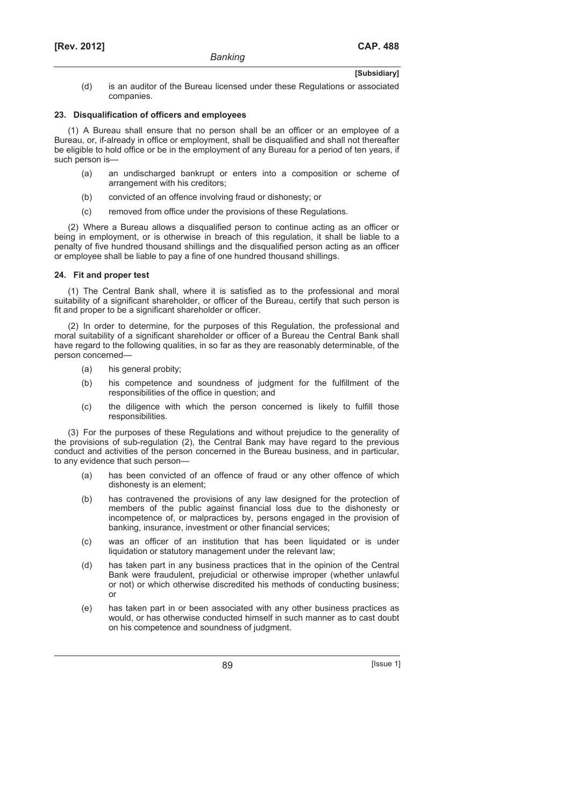(d) is an auditor of the Bureau licensed under these Regulations or associated companies.

## **23. Disqualification of officers and employees**

(1) A Bureau shall ensure that no person shall be an officer or an employee of a Bureau, or, if-already in office or employment, shall be disqualified and shall not thereafter be eligible to hold office or be in the employment of any Bureau for a period of ten years, if such person is—

- (a) an undischarged bankrupt or enters into a composition or scheme of arrangement with his creditors;
- (b) convicted of an offence involving fraud or dishonesty; or
- (c) removed from office under the provisions of these Regulations.

(2) Where a Bureau allows a disqualified person to continue acting as an officer or being in employment, or is otherwise in breach of this regulation, it shall be liable to a penalty of five hundred thousand shillings and the disqualified person acting as an officer or employee shall be liable to pay a fine of one hundred thousand shillings.

## **24. Fit and proper test**

(1) The Central Bank shall, where it is satisfied as to the professional and moral suitability of a significant shareholder, or officer of the Bureau, certify that such person is fit and proper to be a significant shareholder or officer.

(2) In order to determine, for the purposes of this Regulation, the professional and moral suitability of a significant shareholder or officer of a Bureau the Central Bank shall have regard to the following qualities, in so far as they are reasonably determinable, of the person concerned—

- (a) his general probity;
- (b) his competence and soundness of judgment for the fulfillment of the responsibilities of the office in question; and
- (c) the diligence with which the person concerned is likely to fulfill those responsibilities.

(3) For the purposes of these Regulations and without prejudice to the generality of the provisions of sub-regulation (2), the Central Bank may have regard to the previous conduct and activities of the person concerned in the Bureau business, and in particular, to any evidence that such person—

- (a) has been convicted of an offence of fraud or any other offence of which dishonesty is an element;
- (b) has contravened the provisions of any law designed for the protection of members of the public against financial loss due to the dishonesty or incompetence of, or malpractices by, persons engaged in the provision of banking, insurance, investment or other financial services;
- (c) was an officer of an institution that has been liquidated or is under liquidation or statutory management under the relevant law;
- (d) has taken part in any business practices that in the opinion of the Central Bank were fraudulent, prejudicial or otherwise improper (whether unlawful or not) or which otherwise discredited his methods of conducting business; or
- (e) has taken part in or been associated with any other business practices as would, or has otherwise conducted himself in such manner as to cast doubt on his competence and soundness of judgment.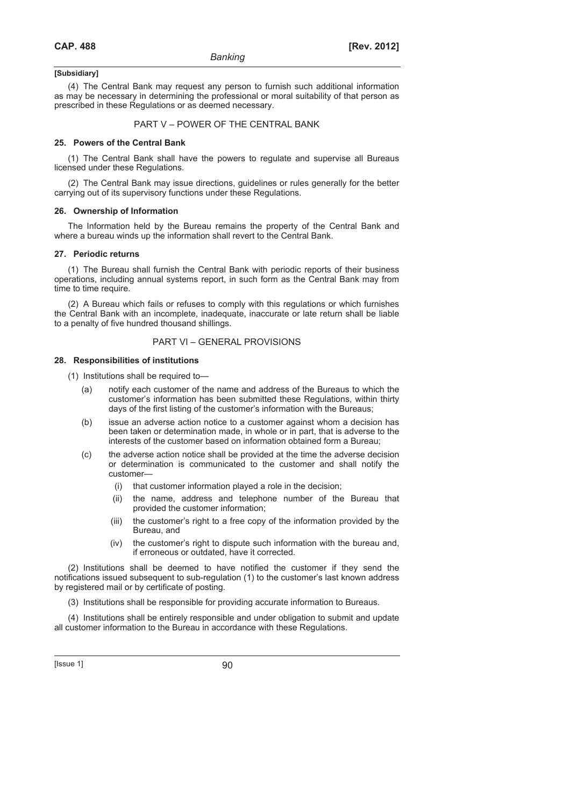(4) The Central Bank may request any person to furnish such additional information as may be necessary in determining the professional or moral suitability of that person as prescribed in these Regulations or as deemed necessary.

## PART V – POWER OF THE CENTRAL BANK

#### **25. Powers of the Central Bank**

(1) The Central Bank shall have the powers to regulate and supervise all Bureaus licensed under these Regulations.

(2) The Central Bank may issue directions, guidelines or rules generally for the better carrying out of its supervisory functions under these Regulations.

#### **26. Ownership of Information**

The Information held by the Bureau remains the property of the Central Bank and where a bureau winds up the information shall revert to the Central Bank.

#### **27. Periodic returns**

(1) The Bureau shall furnish the Central Bank with periodic reports of their business operations, including annual systems report, in such form as the Central Bank may from time to time require.

(2) A Bureau which fails or refuses to comply with this regulations or which furnishes the Central Bank with an incomplete, inadequate, inaccurate or late return shall be liable to a penalty of five hundred thousand shillings.

## PART VI – GENERAL PROVISIONS

## **28. Responsibilities of institutions**

(1) Institutions shall be required to—

- (a) notify each customer of the name and address of the Bureaus to which the customer's information has been submitted these Regulations, within thirty days of the first listing of the customer's information with the Bureaus;
- (b) issue an adverse action notice to a customer against whom a decision has been taken or determination made, in whole or in part, that is adverse to the interests of the customer based on information obtained form a Bureau;
- (c) the adverse action notice shall be provided at the time the adverse decision or determination is communicated to the customer and shall notify the customer—
	- (i) that customer information played a role in the decision;
	- (ii) the name, address and telephone number of the Bureau that provided the customer information;
	- (iii) the customer's right to a free copy of the information provided by the Bureau, and
	- (iv) the customer's right to dispute such information with the bureau and, if erroneous or outdated, have it corrected.

(2) Institutions shall be deemed to have notified the customer if they send the notifications issued subsequent to sub-regulation (1) to the customer's last known address by registered mail or by certificate of posting.

(3) Institutions shall be responsible for providing accurate information to Bureaus.

(4) Institutions shall be entirely responsible and under obligation to submit and update all customer information to the Bureau in accordance with these Regulations.

 $[|$ Ssue 1 $]$  90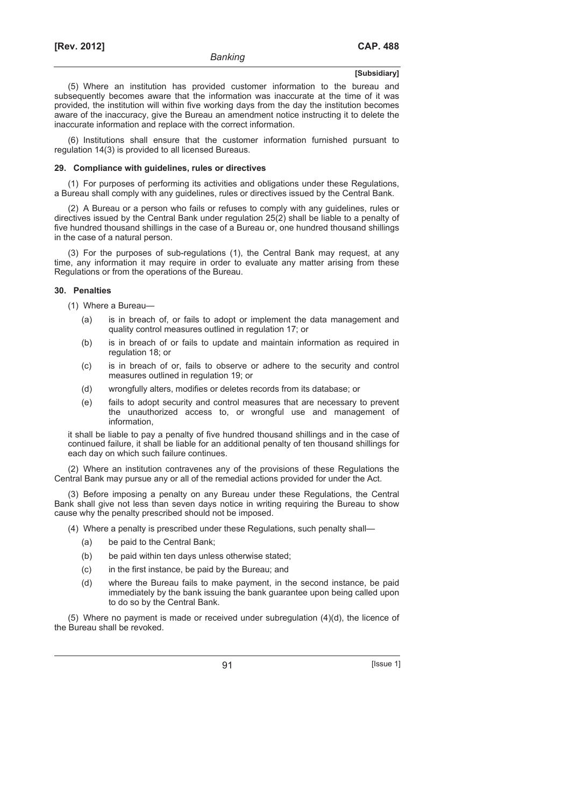(5) Where an institution has provided customer information to the bureau and subsequently becomes aware that the information was inaccurate at the time of it was provided, the institution will within five working days from the day the institution becomes aware of the inaccuracy, give the Bureau an amendment notice instructing it to delete the inaccurate information and replace with the correct information.

(6) Institutions shall ensure that the customer information furnished pursuant to regulation 14(3) is provided to all licensed Bureaus.

#### **29. Compliance with guidelines, rules or directives**

(1) For purposes of performing its activities and obligations under these Regulations, a Bureau shall comply with any guidelines, rules or directives issued by the Central Bank.

(2) A Bureau or a person who fails or refuses to comply with any guidelines, rules or directives issued by the Central Bank under regulation 25(2) shall be liable to a penalty of five hundred thousand shillings in the case of a Bureau or, one hundred thousand shillings in the case of a natural person.

(3) For the purposes of sub-regulations (1), the Central Bank may request, at any time, any information it may require in order to evaluate any matter arising from these Regulations or from the operations of the Bureau.

#### **30. Penalties**

(1) Where a Bureau—

- (a) is in breach of, or fails to adopt or implement the data management and quality control measures outlined in regulation 17; or
- (b) is in breach of or fails to update and maintain information as required in regulation 18; or
- (c) is in breach of or, fails to observe or adhere to the security and control measures outlined in regulation 19; or
- (d) wrongfully alters, modifies or deletes records from its database; or
- (e) fails to adopt security and control measures that are necessary to prevent the unauthorized access to, or wrongful use and management of information,

it shall be liable to pay a penalty of five hundred thousand shillings and in the case of continued failure, it shall be liable for an additional penalty of ten thousand shillings for each day on which such failure continues.

(2) Where an institution contravenes any of the provisions of these Regulations the Central Bank may pursue any or all of the remedial actions provided for under the Act.

(3) Before imposing a penalty on any Bureau under these Regulations, the Central Bank shall give not less than seven days notice in writing requiring the Bureau to show cause why the penalty prescribed should not be imposed.

- (4) Where a penalty is prescribed under these Regulations, such penalty shall—
	- (a) be paid to the Central Bank;
	- (b) be paid within ten days unless otherwise stated;
	- (c) in the first instance, be paid by the Bureau; and
	- (d) where the Bureau fails to make payment, in the second instance, be paid immediately by the bank issuing the bank guarantee upon being called upon to do so by the Central Bank.

(5) Where no payment is made or received under subregulation (4)(d), the licence of the Bureau shall be revoked.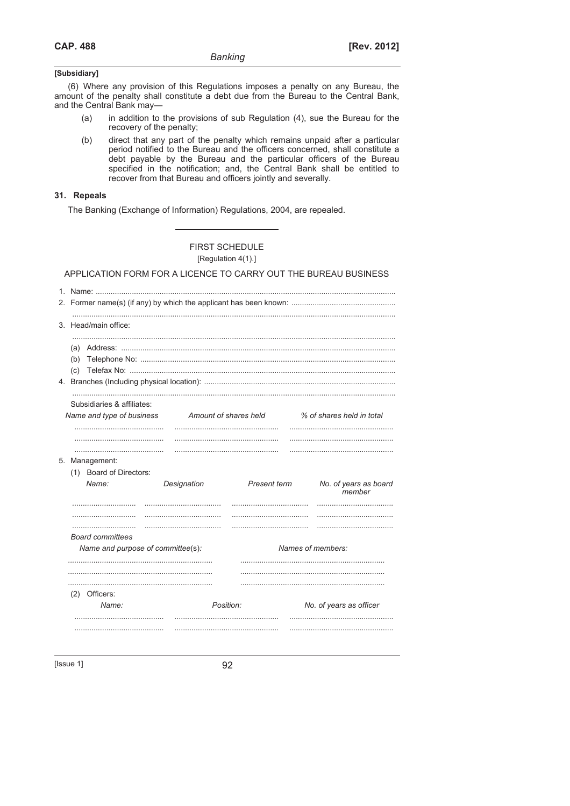(6) Where any provision of this Regulations imposes a penalty on any Bureau, the amount of the penalty shall constitute a debt due from the Bureau to the Central Bank, and the Central Bank may-

- in addition to the provisions of sub Regulation (4), sue the Bureau for the  $(a)$ recovery of the penalty;
- $(b)$ direct that any part of the penalty which remains unpaid after a particular period notified to the Bureau and the officers concerned, shall constitute a debt payable by the Bureau and the particular officers of the Bureau specified in the notification; and, the Central Bank shall be entitled to recover from that Bureau and officers jointly and severally.

## 31. Repeals

The Banking (Exchange of Information) Regulations, 2004, are repealed.

## **FIRST SCHEDULE**

[Regulation 4(1).]

## APPLICATION FORM FOR A LICENCE TO CARRY OUT THE BUREAU BUSINESS

| $\mathbf{1}$ |                                   |                       |              |                                 |  |  |
|--------------|-----------------------------------|-----------------------|--------------|---------------------------------|--|--|
|              |                                   |                       |              |                                 |  |  |
|              | 3. Head/main office:              |                       |              |                                 |  |  |
|              |                                   |                       |              |                                 |  |  |
|              | (b)                               |                       |              |                                 |  |  |
|              | (c)                               |                       |              |                                 |  |  |
|              |                                   |                       |              |                                 |  |  |
|              | Subsidiaries & affiliates:        |                       |              |                                 |  |  |
|              | Name and type of business         | Amount of shares held |              | % of shares held in total       |  |  |
|              |                                   |                       |              |                                 |  |  |
|              |                                   |                       |              |                                 |  |  |
|              | 5. Management:                    |                       |              |                                 |  |  |
|              | (1) Board of Directors:<br>Name:  | Designation           | Present term | No. of years as board<br>member |  |  |
|              |                                   |                       |              |                                 |  |  |
|              |                                   |                       |              |                                 |  |  |
|              | <b>Board committees</b>           |                       |              |                                 |  |  |
|              | Name and purpose of committee(s): |                       |              | Names of members:               |  |  |
|              |                                   |                       |              |                                 |  |  |
|              |                                   |                       |              |                                 |  |  |
|              | (2) Officers:                     |                       |              |                                 |  |  |
|              | Name:                             | Position:             |              | No. of years as officer         |  |  |
|              |                                   |                       |              |                                 |  |  |
|              |                                   |                       |              |                                 |  |  |

[ $|$ sue 1]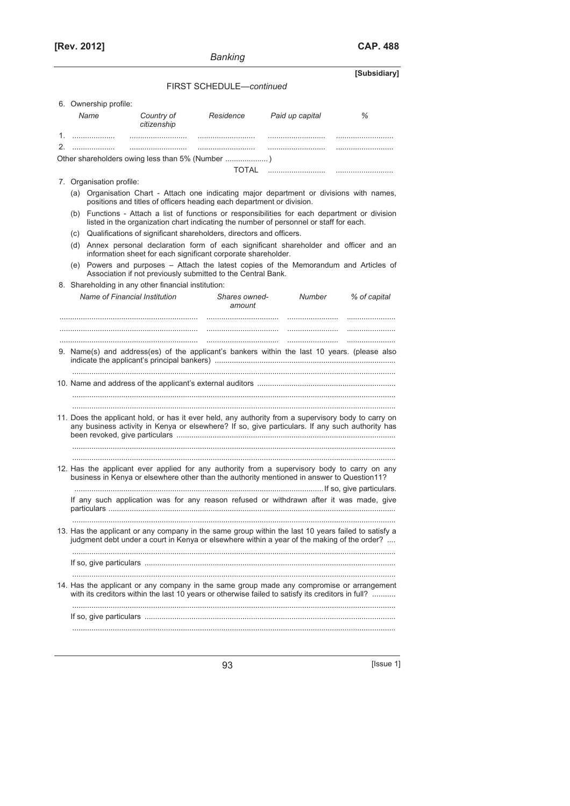**[Rev. 2012] CAP. 488**

**[Subsidiary]** 

## FIRST SCHEDULE—*continued*

|    | 6. Ownership profile:                               |                           |                                                                         |                                                                                                                                                                                                        |              |
|----|-----------------------------------------------------|---------------------------|-------------------------------------------------------------------------|--------------------------------------------------------------------------------------------------------------------------------------------------------------------------------------------------------|--------------|
|    | Name                                                | Country of<br>citizenship | Residence                                                               | Paid up capital                                                                                                                                                                                        | ℅            |
|    |                                                     |                           |                                                                         |                                                                                                                                                                                                        |              |
| 2. |                                                     |                           |                                                                         |                                                                                                                                                                                                        |              |
|    |                                                     |                           |                                                                         |                                                                                                                                                                                                        |              |
|    |                                                     |                           |                                                                         |                                                                                                                                                                                                        |              |
|    | 7. Organisation profile:                            |                           |                                                                         |                                                                                                                                                                                                        |              |
|    |                                                     |                           | positions and titles of officers heading each department or division.   | (a) Organisation Chart - Attach one indicating major department or divisions with names,                                                                                                               |              |
|    |                                                     |                           |                                                                         | (b) Functions - Attach a list of functions or responsibilities for each department or division<br>listed in the organization chart indicating the number of personnel or staff for each.               |              |
|    |                                                     |                           | (c) Qualifications of significant shareholders, directors and officers. |                                                                                                                                                                                                        |              |
|    |                                                     |                           | information sheet for each significant corporate shareholder.           | (d) Annex personal declaration form of each significant shareholder and officer and an                                                                                                                 |              |
|    | (e)                                                 |                           | Association if not previously submitted to the Central Bank.            | Powers and purposes - Attach the latest copies of the Memorandum and Articles of                                                                                                                       |              |
|    | 8. Shareholding in any other financial institution: |                           |                                                                         |                                                                                                                                                                                                        |              |
|    | Name of Financial Institution                       |                           | Shares owned-<br>amount                                                 | Number                                                                                                                                                                                                 | % of capital |
|    |                                                     |                           |                                                                         |                                                                                                                                                                                                        |              |
|    |                                                     |                           |                                                                         | 9. Name(s) and address(es) of the applicant's bankers within the last 10 years. (please also                                                                                                           |              |
|    |                                                     |                           |                                                                         |                                                                                                                                                                                                        |              |
|    |                                                     |                           |                                                                         |                                                                                                                                                                                                        |              |
|    |                                                     |                           |                                                                         | 11. Does the applicant hold, or has it ever held, any authority from a supervisory body to carry on<br>any business activity in Kenya or elsewhere? If so, give particulars. If any such authority has |              |
|    |                                                     |                           |                                                                         |                                                                                                                                                                                                        |              |
|    |                                                     |                           |                                                                         |                                                                                                                                                                                                        |              |
|    |                                                     |                           |                                                                         | 12. Has the applicant ever applied for any authority from a supervisory body to carry on any<br>business in Kenya or elsewhere other than the authority mentioned in answer to Question11?             |              |
|    |                                                     |                           |                                                                         |                                                                                                                                                                                                        |              |
|    |                                                     |                           |                                                                         | If any such application was for any reason refused or withdrawn after it was made, give                                                                                                                |              |
|    |                                                     |                           |                                                                         |                                                                                                                                                                                                        |              |
|    |                                                     |                           |                                                                         | 13. Has the applicant or any company in the same group within the last 10 years failed to satisfy a judgment debt under a court in Kenya or elsewhere within a year of the making of the order?        |              |
|    |                                                     |                           |                                                                         |                                                                                                                                                                                                        |              |
|    |                                                     |                           |                                                                         |                                                                                                                                                                                                        |              |
|    |                                                     |                           |                                                                         | 14. Has the applicant or any company in the same group made any compromise or arrangement<br>with its creditors within the last 10 years or otherwise failed to satisfy its creditors in full?         |              |
|    |                                                     |                           |                                                                         |                                                                                                                                                                                                        |              |
|    |                                                     |                           |                                                                         |                                                                                                                                                                                                        |              |
|    |                                                     |                           |                                                                         |                                                                                                                                                                                                        |              |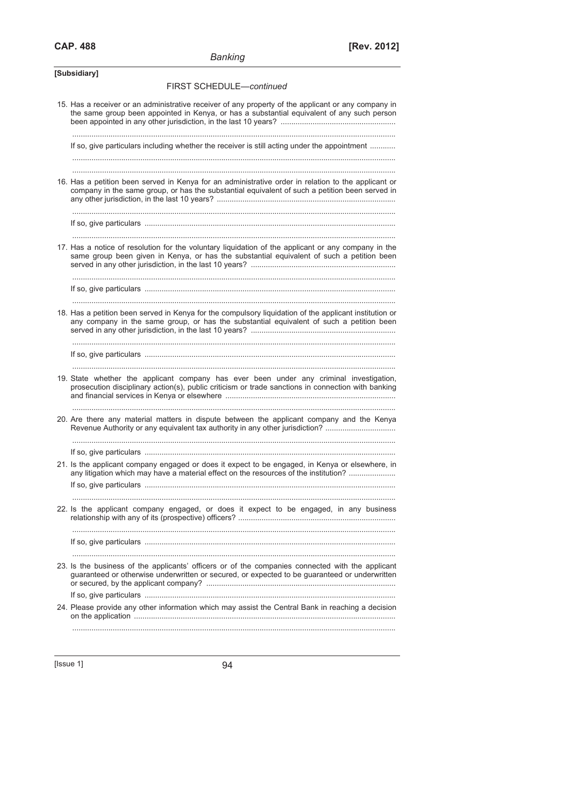| Banking |  |
|---------|--|
|         |  |

| [Subsidiary]                                                                                                                                                                                          |
|-------------------------------------------------------------------------------------------------------------------------------------------------------------------------------------------------------|
| FIRST SCHEDULE-continued                                                                                                                                                                              |
| 15. Has a receiver or an administrative receiver of any property of the applicant or any company in<br>the same group been appointed in Kenya, or has a substantial equivalent of any such person     |
| If so, give particulars including whether the receiver is still acting under the appointment                                                                                                          |
|                                                                                                                                                                                                       |
| 16. Has a petition been served in Kenya for an administrative order in relation to the applicant or<br>company in the same group, or has the substantial equivalent of such a petition been served in |
|                                                                                                                                                                                                       |
| 17. Has a notice of resolution for the voluntary liquidation of the applicant or any company in the<br>same group been given in Kenya, or has the substantial equivalent of such a petition been      |
|                                                                                                                                                                                                       |
| 18. Has a petition been served in Kenya for the compulsory liquidation of the applicant institution or<br>any company in the same group, or has the substantial equivalent of such a petition been    |
|                                                                                                                                                                                                       |
| 19. State whether the applicant company has ever been under any criminal investigation,<br>prosecution disciplinary action(s), public criticism or trade sanctions in connection with banking         |
| 20. Are there any material matters in dispute between the applicant company and the Kenya<br>Revenue Authority or any equivalent tax authority in any other jurisdiction?                             |
|                                                                                                                                                                                                       |
| 21. Is the applicant company engaged or does it expect to be engaged, in Kenya or elsewhere, in<br>any litigation which may have a material effect on the resources of the institution?               |
|                                                                                                                                                                                                       |
| 22. Is the applicant company engaged, or does it expect to be engaged, in any business                                                                                                                |
|                                                                                                                                                                                                       |
|                                                                                                                                                                                                       |
| 23. Is the business of the applicants' officers or of the companies connected with the applicant<br>guaranteed or otherwise underwritten or secured, or expected to be guaranteed or underwritten     |
|                                                                                                                                                                                                       |
| 24. Please provide any other information which may assist the Central Bank in reaching a decision                                                                                                     |
|                                                                                                                                                                                                       |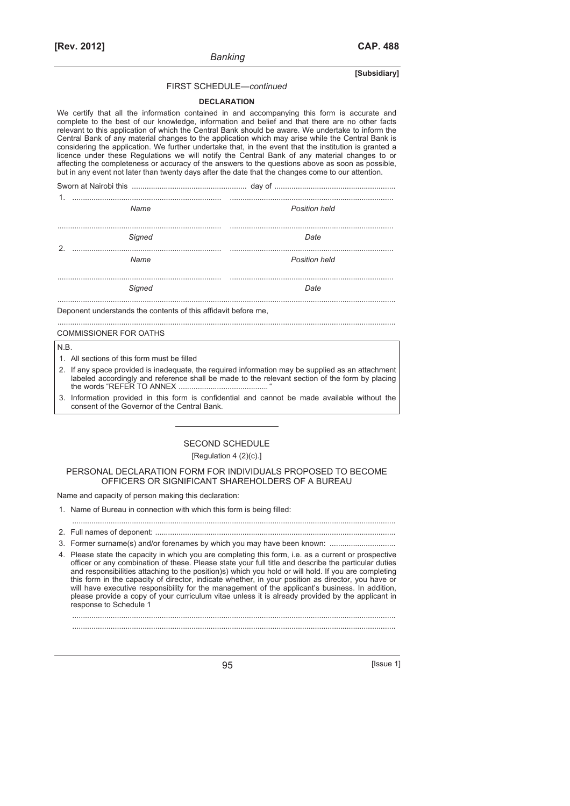#### FIRST SCHEDULE—*continued*

*Banking* 

#### **DECLARATION**

We certify that all the information contained in and accompanying this form is accurate and complete to the best of our knowledge, information and belief and that there are no other facts relevant to this application of which the Central Bank should be aware. We undertake to inform the Central Bank of any material changes to the application which may arise while the Central Bank is considering the application. We further undertake that, in the event that the institution is granted a licence under these Regulations we will notify the Central Bank of any material changes to or affecting the completeness or accuracy of the answers to the questions above as soon as possible, but in any event not later than twenty days after the date that the changes come to our attention.

| 1.            |        |                      |
|---------------|--------|----------------------|
|               | Name   | <b>Position held</b> |
| $\mathcal{D}$ | Signed | Date                 |
|               | Name   | <b>Position held</b> |
|               |        |                      |

...............................................................................................................................................................

**Signed** Date **Date** 

Deponent understands the contents of this affidavit before me,

## COMMISSIONER FOR OATHS

#### N.B.

- 1. All sections of this form must be filled
- 2. If any space provided is inadequate, the required information may be supplied as an attachment labeled accordingly and reference shall be made to the relevant section of the form by placing the words "REFER TO ANNEX .......................................... "
- 3. Information provided in this form is confidential and cannot be made available without the consent of the Governor of the Central Bank.

## SECOND SCHEDULE [Regulation 4 (2)(c).]

#### PERSONAL DECLARATION FORM FOR INDIVIDUALS PROPOSED TO BECOME OFFICERS OR SIGNIFICANT SHAREHOLDERS OF A BUREAU

Name and capacity of person making this declaration:

- 1. Name of Bureau in connection with which this form is being filled:
- ........................................................................................................................................................ 2. Full names of deponent: .................................................................................................................
- 3. Former surname(s) and/or forenames by which you may have been known: ...................
- 4. Please state the capacity in which you are completing this form, i.e. as a current or prospective officer or any combination of these. Please state your full title and describe the particular duties and responsibilities attaching to the position)s) which you hold or will hold. If you are completing this form in the capacity of director, indicate whether, in your position as director, you have or will have executive responsibility for the management of the applicant's business. In addition, please provide a copy of your curriculum vitae unless it is already provided by the applicant in response to Schedule 1

........................................................................................................................................................

........................................................................................................................................................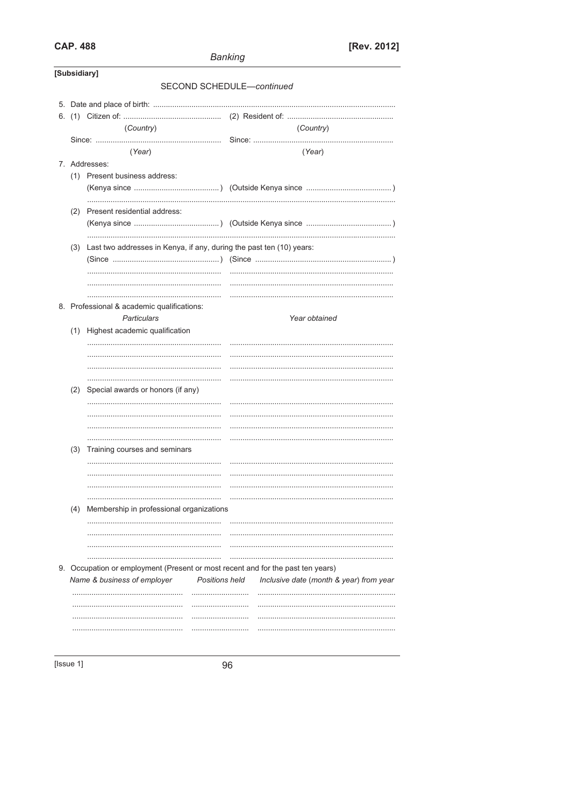## **CAP. 488**

|              |                                                                                 |                       | <b>Banking</b> |                                         |
|--------------|---------------------------------------------------------------------------------|-----------------------|----------------|-----------------------------------------|
| [Subsidiary] |                                                                                 |                       |                |                                         |
|              |                                                                                 |                       |                | SECOND SCHEDULE-continued               |
|              |                                                                                 |                       |                |                                         |
|              |                                                                                 |                       |                |                                         |
|              | (Country)                                                                       |                       |                | (Country)                               |
|              |                                                                                 |                       |                | Since:                                  |
|              | (Year)                                                                          |                       |                | (Year)                                  |
|              | 7. Addresses:                                                                   |                       |                |                                         |
|              | (1) Present business address:                                                   |                       |                |                                         |
|              |                                                                                 |                       |                |                                         |
|              | (2) Present residential address:                                                |                       |                |                                         |
|              |                                                                                 |                       |                |                                         |
|              |                                                                                 |                       |                |                                         |
|              | (3) Last two addresses in Kenya, if any, during the past ten (10) years:        |                       |                |                                         |
|              |                                                                                 |                       |                |                                         |
|              |                                                                                 |                       |                |                                         |
|              |                                                                                 |                       |                |                                         |
|              | 8. Professional & academic qualifications:                                      |                       |                | .                                       |
|              | Particulars                                                                     |                       |                | Year obtained                           |
|              | (1) Highest academic qualification                                              |                       |                |                                         |
|              |                                                                                 |                       |                |                                         |
|              |                                                                                 |                       |                |                                         |
|              |                                                                                 |                       |                |                                         |
|              |                                                                                 |                       |                |                                         |
|              | (2) Special awards or honors (if any)                                           |                       |                |                                         |
|              |                                                                                 |                       |                |                                         |
|              |                                                                                 |                       |                |                                         |
|              |                                                                                 |                       |                |                                         |
| (3)          | Training courses and seminars                                                   |                       |                |                                         |
|              |                                                                                 |                       |                |                                         |
|              |                                                                                 |                       |                |                                         |
|              |                                                                                 |                       |                |                                         |
|              | (4) Membership in professional organizations                                    |                       |                |                                         |
|              |                                                                                 |                       |                |                                         |
|              |                                                                                 |                       |                |                                         |
|              |                                                                                 |                       |                |                                         |
|              |                                                                                 |                       |                |                                         |
|              | 9. Occupation or employment (Present or most recent and for the past ten years) |                       |                |                                         |
|              | Name & business of employer                                                     | <b>Positions held</b> |                | Inclusive date (month & year) from year |
|              |                                                                                 |                       |                |                                         |
|              |                                                                                 |                       |                |                                         |
|              |                                                                                 |                       |                |                                         |
|              |                                                                                 |                       |                |                                         |
|              |                                                                                 |                       |                |                                         |
|              |                                                                                 |                       |                |                                         |

[Issue 1]

96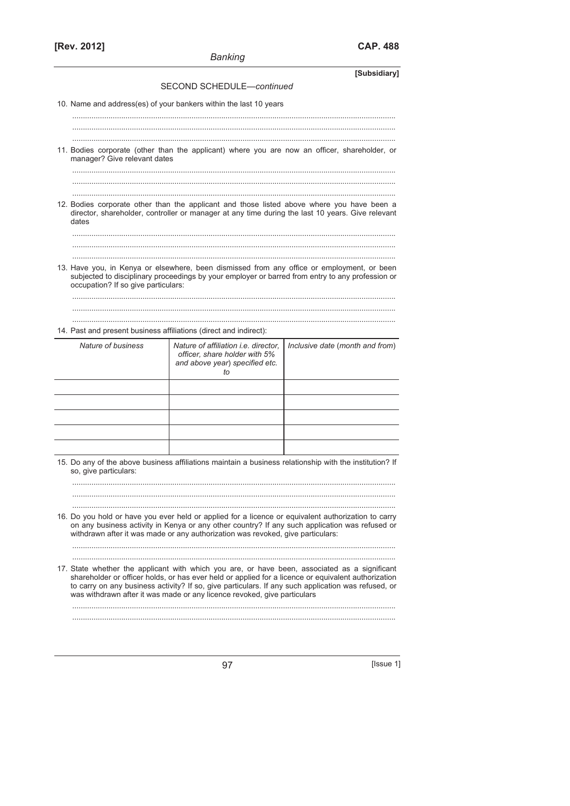# **[Rev. 2012] CAP. 488**

|                                     | <b>Banking</b>                                                                                                                                                                                                                                                                                                                                                                          |                                 |
|-------------------------------------|-----------------------------------------------------------------------------------------------------------------------------------------------------------------------------------------------------------------------------------------------------------------------------------------------------------------------------------------------------------------------------------------|---------------------------------|
|                                     |                                                                                                                                                                                                                                                                                                                                                                                         | [Subsidiary]                    |
|                                     | SECOND SCHEDULE-continued                                                                                                                                                                                                                                                                                                                                                               |                                 |
|                                     | 10. Name and address(es) of your bankers within the last 10 years                                                                                                                                                                                                                                                                                                                       |                                 |
|                                     |                                                                                                                                                                                                                                                                                                                                                                                         |                                 |
|                                     |                                                                                                                                                                                                                                                                                                                                                                                         |                                 |
| manager? Give relevant dates        | 11. Bodies corporate (other than the applicant) where you are now an officer, shareholder, or                                                                                                                                                                                                                                                                                           |                                 |
|                                     |                                                                                                                                                                                                                                                                                                                                                                                         |                                 |
|                                     |                                                                                                                                                                                                                                                                                                                                                                                         |                                 |
| dates                               | 12. Bodies corporate other than the applicant and those listed above where you have been a<br>director, shareholder, controller or manager at any time during the last 10 years. Give relevant                                                                                                                                                                                          |                                 |
|                                     |                                                                                                                                                                                                                                                                                                                                                                                         |                                 |
|                                     |                                                                                                                                                                                                                                                                                                                                                                                         |                                 |
| occupation? If so give particulars: | 13. Have you, in Kenya or elsewhere, been dismissed from any office or employment, or been<br>subjected to disciplinary proceedings by your employer or barred from entry to any profession or                                                                                                                                                                                          |                                 |
|                                     |                                                                                                                                                                                                                                                                                                                                                                                         |                                 |
|                                     |                                                                                                                                                                                                                                                                                                                                                                                         |                                 |
|                                     |                                                                                                                                                                                                                                                                                                                                                                                         |                                 |
|                                     | 14. Past and present business affiliations (direct and indirect):                                                                                                                                                                                                                                                                                                                       |                                 |
| Nature of business                  | Nature of affiliation <i>i.e.</i> director.<br>officer, share holder with 5%<br>and above year) specified etc.<br>to                                                                                                                                                                                                                                                                    | Inclusive date (month and from) |
|                                     |                                                                                                                                                                                                                                                                                                                                                                                         |                                 |
|                                     |                                                                                                                                                                                                                                                                                                                                                                                         |                                 |
|                                     |                                                                                                                                                                                                                                                                                                                                                                                         |                                 |
|                                     |                                                                                                                                                                                                                                                                                                                                                                                         |                                 |
|                                     |                                                                                                                                                                                                                                                                                                                                                                                         |                                 |
|                                     |                                                                                                                                                                                                                                                                                                                                                                                         |                                 |
| so, give particulars:               | 15. Do any of the above business affiliations maintain a business relationship with the institution? If                                                                                                                                                                                                                                                                                 |                                 |
|                                     |                                                                                                                                                                                                                                                                                                                                                                                         |                                 |
|                                     |                                                                                                                                                                                                                                                                                                                                                                                         |                                 |
|                                     | 16. Do you hold or have you ever held or applied for a licence or equivalent authorization to carry<br>on any business activity in Kenya or any other country? If any such application was refused or<br>withdrawn after it was made or any authorization was revoked, give particulars:                                                                                                |                                 |
|                                     |                                                                                                                                                                                                                                                                                                                                                                                         |                                 |
|                                     | 17. State whether the applicant with which you are, or have been, associated as a significant<br>shareholder or officer holds, or has ever held or applied for a licence or equivalent authorization<br>to carry on any business activity? If so, give particulars. If any such application was refused, or<br>was withdrawn after it was made or any licence revoked, give particulars |                                 |
|                                     |                                                                                                                                                                                                                                                                                                                                                                                         |                                 |
|                                     |                                                                                                                                                                                                                                                                                                                                                                                         |                                 |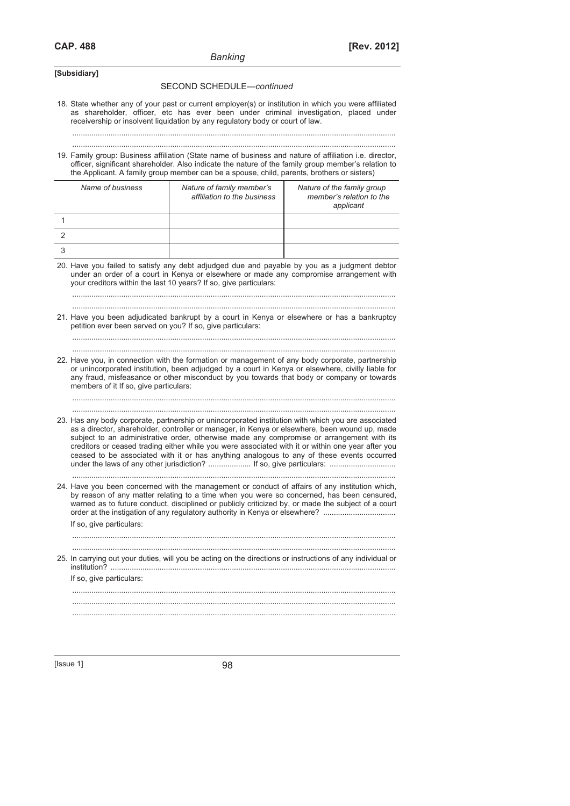| [Subsidiary] |  |  |  |  |  |
|--------------|--|--|--|--|--|
|--------------|--|--|--|--|--|

#### SECOND SCHEDULE—*continued*

18. State whether any of your past or current employer(s) or institution in which you were affiliated as shareholder, officer, etc has ever been under criminal investigation, placed under receivership or insolvent liquidation by any regulatory body or court of law.

........................................................................................................................................................

 ........................................................................................................................................................ 19. Family group: Business affiliation (State name of business and nature of affiliation i.e. director, officer, significant shareholder. Also indicate the nature of the family group member's relation to the Applicant. A family group member can be a spouse, child, parents, brothers or sisters)

| Name of business | Nature of family member's<br>affiliation to the business | Nature of the family group<br>member's relation to the<br>applicant |
|------------------|----------------------------------------------------------|---------------------------------------------------------------------|
|                  |                                                          |                                                                     |
|                  |                                                          |                                                                     |
|                  |                                                          |                                                                     |

20. Have you failed to satisfy any debt adjudged due and payable by you as a judgment debtor under an order of a court in Kenya or elsewhere or made any compromise arrangement with your creditors within the last 10 years? If so, give particulars:

 ........................................................................................................................................................ ........................................................................................................................................................

|  | 21. Have you been adjudicated bankrupt by a court in Kenya or elsewhere or has a bankruptcy |  |  |  |  |  |
|--|---------------------------------------------------------------------------------------------|--|--|--|--|--|
|  | petition ever been served on you? If so, give particulars:                                  |  |  |  |  |  |

 ........................................................................................................................................................ ........................................................................................................................................................

22. Have you, in connection with the formation or management of any body corporate, partnership or unincorporated institution, been adjudged by a court in Kenya or elsewhere, civilly liable for any fraud, misfeasance or other misconduct by you towards that body or company or towards members of it If so, give particulars:

........................................................................................................................................................

- ........................................................................................................................................................ 23. Has any body corporate, partnership or unincorporated institution with which you are associated as a director, shareholder, controller or manager, in Kenya or elsewhere, been wound up, made subject to an administrative order, otherwise made any compromise or arrangement with its creditors or ceased trading either while you were associated with it or within one year after you ceased to be associated with it or has anything analogous to any of these events occurred under the laws of any other jurisdiction? .................... If so, give particulars: ...............................
- 24. Have you been concerned with the management or conduct of affairs of any institution which, by reason of any matter relating to a time when you were so concerned, has been censured, warned as to future conduct, disciplined or publicly criticized by, or made the subject of a court order at the instigation of any regulatory authority in Kenya or elsewhere? .................................. If so, give particulars:

........................................................................................................................................................

 ........................................................................................................................................................ ........................................................................................................................................................

25. In carrying out your duties, will you be acting on the directions or instructions of any individual or institution? ......................................................................................................................................

 ........................................................................................................................................................ ........................................................................................................................................................

 If so, give particulars: ........................................................................................................................................................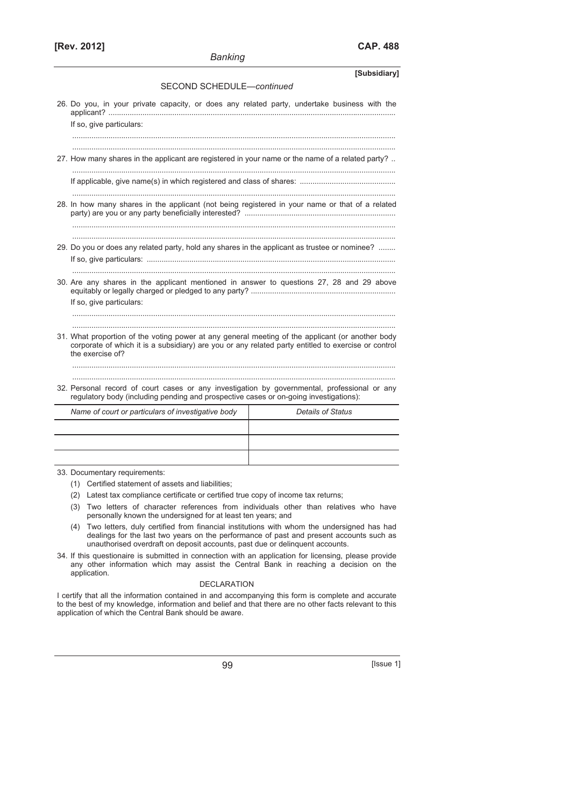|                                                                                                                                                                                                                             | [Subsidiary]      |  |  |  |
|-----------------------------------------------------------------------------------------------------------------------------------------------------------------------------------------------------------------------------|-------------------|--|--|--|
| SECOND SCHEDULE-continued                                                                                                                                                                                                   |                   |  |  |  |
| 26. Do you, in your private capacity, or does any related party, undertake business with the                                                                                                                                |                   |  |  |  |
| If so, give particulars:                                                                                                                                                                                                    |                   |  |  |  |
|                                                                                                                                                                                                                             |                   |  |  |  |
| 27. How many shares in the applicant are registered in your name or the name of a related party?                                                                                                                            |                   |  |  |  |
|                                                                                                                                                                                                                             |                   |  |  |  |
| 28. In how many shares in the applicant (not being registered in your name or that of a related                                                                                                                             |                   |  |  |  |
| 29. Do you or does any related party, hold any shares in the applicant as trustee or nominee?                                                                                                                               |                   |  |  |  |
| 30. Are any shares in the applicant mentioned in answer to questions 27, 28 and 29 above<br>If so, give particulars:                                                                                                        |                   |  |  |  |
| 31. What proportion of the voting power at any general meeting of the applicant (or another body<br>corporate of which it is a subsidiary) are you or any related party entitled to exercise or control<br>the exercise of? |                   |  |  |  |
| 32. Personal record of court cases or any investigation by governmental, professional or any<br>regulatory body (including pending and prospective cases or on-going investigations):                                       |                   |  |  |  |
| Name of court or particulars of investigative body                                                                                                                                                                          | Details of Status |  |  |  |
|                                                                                                                                                                                                                             |                   |  |  |  |
|                                                                                                                                                                                                                             |                   |  |  |  |
|                                                                                                                                                                                                                             |                   |  |  |  |

*Banking* 

33. Documentary requirements:

- (1) Certified statement of assets and liabilities;
- (2) Latest tax compliance certificate or certified true copy of income tax returns;
- (3) Two letters of character references from individuals other than relatives who have personally known the undersigned for at least ten years; and
- (4) Two letters, duly certified from financial institutions with whom the undersigned has had dealings for the last two years on the performance of past and present accounts such as unauthorised overdraft on deposit accounts, past due or delinquent accounts.
- 34. If this questionaire is submitted in connection with an application for licensing, please provide any other information which may assist the Central Bank in reaching a decision on the application.

#### DECLARATION

I certify that all the information contained in and accompanying this form is complete and accurate to the best of my knowledge, information and belief and that there are no other facts relevant to this application of which the Central Bank should be aware.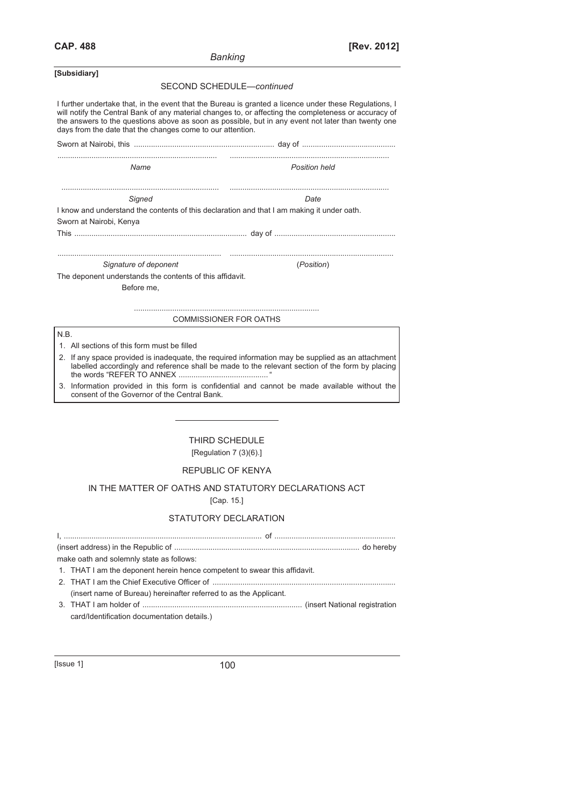| Banking |
|---------|
|---------|

| [Subsidiary]                                                                                                                                                                                                                                                                                                                                                                        |                                                                                                                                                                                                      |  |  |  |  |
|-------------------------------------------------------------------------------------------------------------------------------------------------------------------------------------------------------------------------------------------------------------------------------------------------------------------------------------------------------------------------------------|------------------------------------------------------------------------------------------------------------------------------------------------------------------------------------------------------|--|--|--|--|
|                                                                                                                                                                                                                                                                                                                                                                                     | SECOND SCHEDULE-continued                                                                                                                                                                            |  |  |  |  |
| I further undertake that, in the event that the Bureau is granted a licence under these Regulations, I<br>will notify the Central Bank of any material changes to, or affecting the completeness or accuracy of<br>the answers to the questions above as soon as possible, but in any event not later than twenty one<br>days from the date that the changes come to our attention. |                                                                                                                                                                                                      |  |  |  |  |
|                                                                                                                                                                                                                                                                                                                                                                                     |                                                                                                                                                                                                      |  |  |  |  |
| Name                                                                                                                                                                                                                                                                                                                                                                                | Position held                                                                                                                                                                                        |  |  |  |  |
| Signed                                                                                                                                                                                                                                                                                                                                                                              | Date                                                                                                                                                                                                 |  |  |  |  |
|                                                                                                                                                                                                                                                                                                                                                                                     | I know and understand the contents of this declaration and that I am making it under oath.                                                                                                           |  |  |  |  |
| Sworn at Nairobi, Kenya                                                                                                                                                                                                                                                                                                                                                             |                                                                                                                                                                                                      |  |  |  |  |
|                                                                                                                                                                                                                                                                                                                                                                                     |                                                                                                                                                                                                      |  |  |  |  |
|                                                                                                                                                                                                                                                                                                                                                                                     |                                                                                                                                                                                                      |  |  |  |  |
| Signature of deponent                                                                                                                                                                                                                                                                                                                                                               | (Position)                                                                                                                                                                                           |  |  |  |  |
| The deponent understands the contents of this affidavit.                                                                                                                                                                                                                                                                                                                            |                                                                                                                                                                                                      |  |  |  |  |
| Before me.                                                                                                                                                                                                                                                                                                                                                                          |                                                                                                                                                                                                      |  |  |  |  |
|                                                                                                                                                                                                                                                                                                                                                                                     |                                                                                                                                                                                                      |  |  |  |  |
|                                                                                                                                                                                                                                                                                                                                                                                     |                                                                                                                                                                                                      |  |  |  |  |
|                                                                                                                                                                                                                                                                                                                                                                                     | <b>COMMISSIONER FOR OATHS</b>                                                                                                                                                                        |  |  |  |  |
| N.B.                                                                                                                                                                                                                                                                                                                                                                                |                                                                                                                                                                                                      |  |  |  |  |
| 1. All sections of this form must be filled                                                                                                                                                                                                                                                                                                                                         |                                                                                                                                                                                                      |  |  |  |  |
|                                                                                                                                                                                                                                                                                                                                                                                     | 2. If any space provided is inadequate, the required information may be supplied as an attachment<br>labelled accordingly and reference shall be made to the relevant section of the form by placing |  |  |  |  |
| consent of the Governor of the Central Bank.                                                                                                                                                                                                                                                                                                                                        | 3. Information provided in this form is confidential and cannot be made available without the                                                                                                        |  |  |  |  |
|                                                                                                                                                                                                                                                                                                                                                                                     |                                                                                                                                                                                                      |  |  |  |  |
|                                                                                                                                                                                                                                                                                                                                                                                     |                                                                                                                                                                                                      |  |  |  |  |
|                                                                                                                                                                                                                                                                                                                                                                                     |                                                                                                                                                                                                      |  |  |  |  |
|                                                                                                                                                                                                                                                                                                                                                                                     | THIRD SCHEDULE                                                                                                                                                                                       |  |  |  |  |
|                                                                                                                                                                                                                                                                                                                                                                                     | [Regulation $7(3)(6)$ .]                                                                                                                                                                             |  |  |  |  |
|                                                                                                                                                                                                                                                                                                                                                                                     | REPUBLIC OF KENYA                                                                                                                                                                                    |  |  |  |  |
|                                                                                                                                                                                                                                                                                                                                                                                     | IN THE MATTER OF OATHS AND STATUTORY DECLARATIONS ACT<br>[ $Cap. 15$ ]                                                                                                                               |  |  |  |  |

## STATUTORY DECLARATION

| make oath and solemnly state as follows:                                  |
|---------------------------------------------------------------------------|
| 1. THAT I am the deponent herein hence competent to swear this affidavit. |
|                                                                           |
| (insert name of Bureau) hereinafter referred to as the Applicant.         |
|                                                                           |
| card/Identification documentation details.)                               |
|                                                                           |
|                                                                           |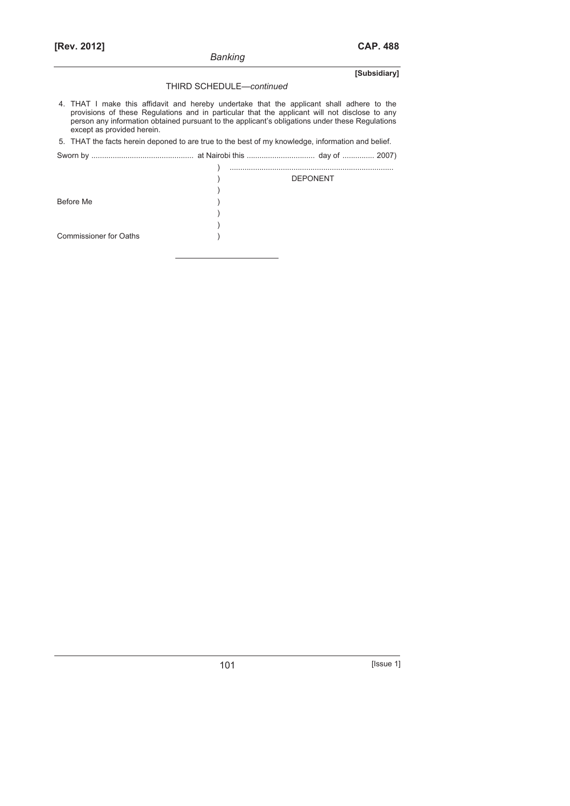### THIRD SCHEDULE—*continued*

 4. THAT I make this affidavit and hereby undertake that the applicant shall adhere to the provisions of these Regulations and in particular that the applicant will not disclose to any person any information obtained pursuant to the applicant's obligations under these Regulations except as provided herein.

5. THAT the facts herein deponed to are true to the best of my knowledge, information and belief.

Sworn by ................................................ at Nairobi this ................................ day of ............... 2007)

|                               | <b>DEPONENT</b> |
|-------------------------------|-----------------|
|                               |                 |
| Before Me                     |                 |
|                               |                 |
|                               |                 |
| <b>Commissioner for Oaths</b> |                 |
|                               |                 |